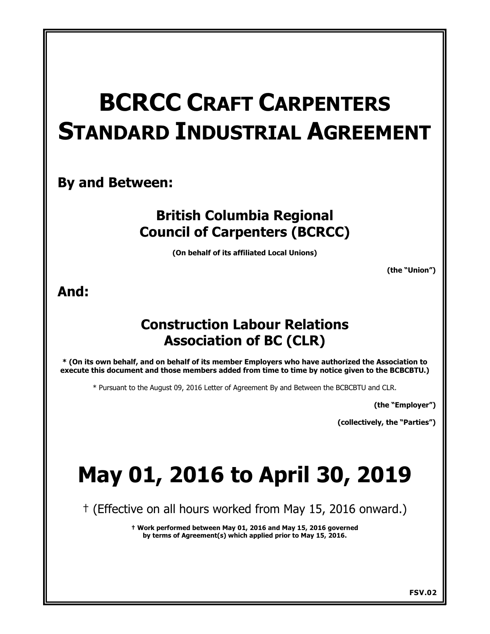# **BCRCC CRAFT CARPENTERS STANDARD INDUSTRIAL AGREEMENT**

# **By and Between:**

# **British Columbia Regional Council of Carpenters (BCRCC)**

**(On behalf of its affiliated Local Unions)**

**(the "Union")** 

# **And:**

# **Construction Labour Relations Association of BC (CLR)**

**\* (On its own behalf, and on behalf of its member Employers who have authorized the Association to execute this document and those members added from time to time by notice given to the BCBCBTU.)**

\* Pursuant to the August 09, 2016 Letter of Agreement By and Between the BCBCBTU and CLR.

**(the "Employer")** 

**(collectively, the "Parties")** 

# **May 01, 2016 to April 30, 2019**

† (Effective on all hours worked from May 15, 2016 onward.)

**† Work performed between May 01, 2016 and May 15, 2016 governed by terms of Agreement(s) which applied prior to May 15, 2016.**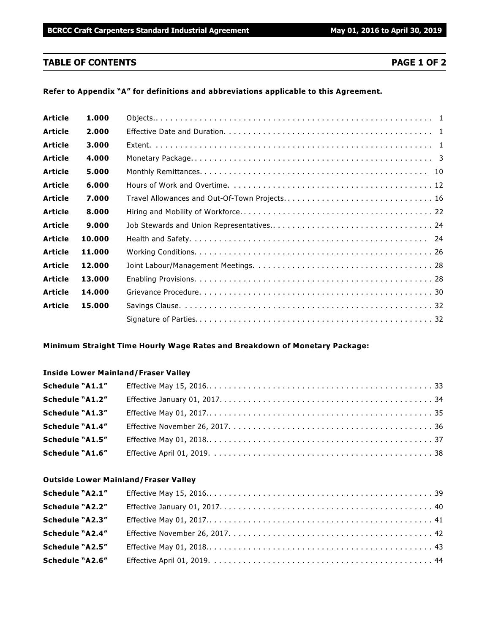### **TABLE OF CONTENTS PAGE 1 OF 2**

#### **Refer to Appendix "A" for definitions and abbreviations applicable to this Agreement.**

| <b>Article</b> | 1.000  |                                               |
|----------------|--------|-----------------------------------------------|
| <b>Article</b> | 2.000  |                                               |
| <b>Article</b> | 3.000  |                                               |
| <b>Article</b> | 4.000  |                                               |
| <b>Article</b> | 5.000  |                                               |
| <b>Article</b> | 6.000  |                                               |
| <b>Article</b> | 7.000  | Travel Allowances and Out-Of-Town Projects 16 |
| <b>Article</b> | 8.000  |                                               |
| <b>Article</b> | 9.000  |                                               |
| <b>Article</b> | 10.000 |                                               |
| <b>Article</b> | 11.000 |                                               |
| <b>Article</b> | 12.000 |                                               |
| <b>Article</b> | 13.000 |                                               |
| <b>Article</b> | 14.000 |                                               |
| <b>Article</b> | 15.000 |                                               |
|                |        |                                               |

#### **Minimum Straight Time Hourly Wage Rates and Breakdown of Monetary Package:**

#### **Inside Lower Mainland/Fraser Valley**

| Schedule "A1.1" |  |
|-----------------|--|
| Schedule "A1.2" |  |
| Schedule "A1.3" |  |
| Schedule "A1.4" |  |
| Schedule "A1.5" |  |
| Schedule "A1.6" |  |

#### **Outside Lower Mainland/Fraser Valley**

| Schedule "A2.1"        |  |
|------------------------|--|
| Schedule "A2.2"        |  |
| <b>Schedule "A2.3"</b> |  |
| Schedule "A2.4"        |  |
| <b>Schedule "A2.5"</b> |  |
| <b>Schedule "A2.6"</b> |  |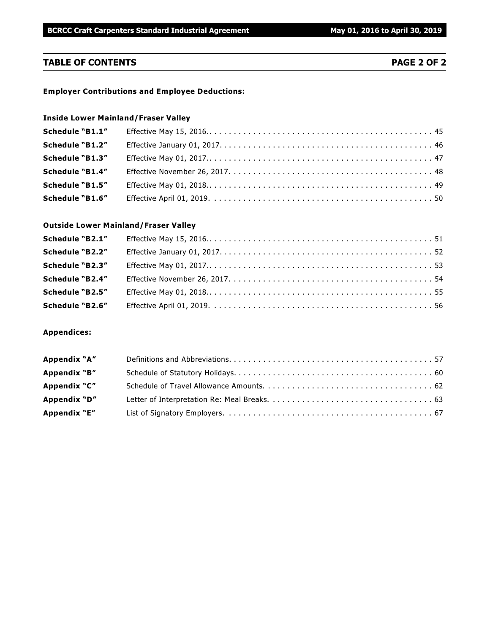# **TABLE OF CONTENTS PAGE 2 OF 2**

#### **Employer Contributions and Employee Deductions:**

# **Inside Lower Mainland/Fraser Valley**

| Schedule "B1.1"        |  |
|------------------------|--|
| Schedule "B1.2"        |  |
| <b>Schedule "B1.3"</b> |  |
| <b>Schedule "B1.4"</b> |  |
| Schedule "B1.5"        |  |
| <b>Schedule "B1.6"</b> |  |

#### **Outside Lower Mainland/Fraser Valley**

| Schedule "B2.1"        |  |
|------------------------|--|
| Schedule "B2.2"        |  |
| Schedule "B2.3"        |  |
| Schedule "B2.4"        |  |
| <b>Schedule "B2.5"</b> |  |
| Schedule "B2.6"        |  |

#### **Appendices:**

| Appendix "A" |  |
|--------------|--|
| Appendix "B" |  |
| Appendix "C" |  |
| Appendix "D" |  |
| Appendix "E" |  |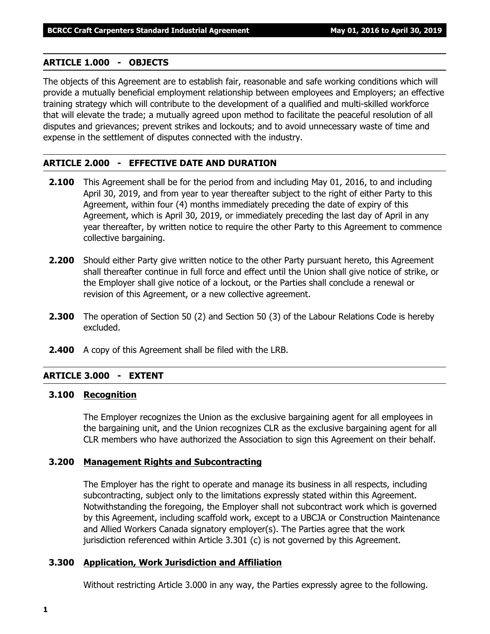#### **ARTICLE 1.000 - OBJECTS**

The objects of this Agreement are to establish fair, reasonable and safe working conditions which will provide a mutually beneficial employment relationship between employees and Employers; an effective training strategy which will contribute to the development of a qualified and multi-skilled workforce that will elevate the trade; a mutually agreed upon method to facilitate the peaceful resolution of all disputes and grievances; prevent strikes and lockouts; and to avoid unnecessary waste of time and expense in the settlement of disputes connected with the industry.

#### **ARTICLE 2.000 - EFFECTIVE DATE AND DURATION**

- **2.100** This Agreement shall be for the period from and including May 01, 2016, to and including April 30, 2019, and from year to year thereafter subject to the right of either Party to this Agreement, within four (4) months immediately preceding the date of expiry of this Agreement, which is April 30, 2019, or immediately preceding the last day of April in any year thereafter, by written notice to require the other Party to this Agreement to commence collective bargaining.
- **2.200** Should either Party give written notice to the other Party pursuant hereto, this Agreement shall thereafter continue in full force and effect until the Union shall give notice of strike, or the Employer shall give notice of a lockout, or the Parties shall conclude a renewal or revision of this Agreement, or a new collective agreement.
- **2.300** The operation of Section 50 (2) and Section 50 (3) of the *Labour Relations Code* is hereby excluded.
- **2.400** A copy of this Agreement shall be filed with the LRB.

### **ARTICLE 3.000 - EXTENT**

#### **3.100 Recognition**

The Employer recognizes the Union as the exclusive bargaining agent for all employees in the bargaining unit, and the Union recognizes CLR as the exclusive bargaining agent for all CLR members who have authorized the Association to sign this Agreement on their behalf.

#### **3.200 Management Rights and Subcontracting**

The Employer has the right to operate and manage its business in all respects, including subcontracting, subject only to the limitations expressly stated within this Agreement. Notwithstanding the foregoing, the Employer shall not subcontract work which is governed by this Agreement, including scaffold work, except to a UBCJA or Construction Maintenance and Allied Workers Canada signatory employer(s). The Parties agree that the work jurisdiction referenced within Article 3.301 (c) is not governed by this Agreement.

#### **3.300 Application, Work Jurisdiction and Affiliation**

Without restricting Article 3.000 in any way, the Parties expressly agree to the following.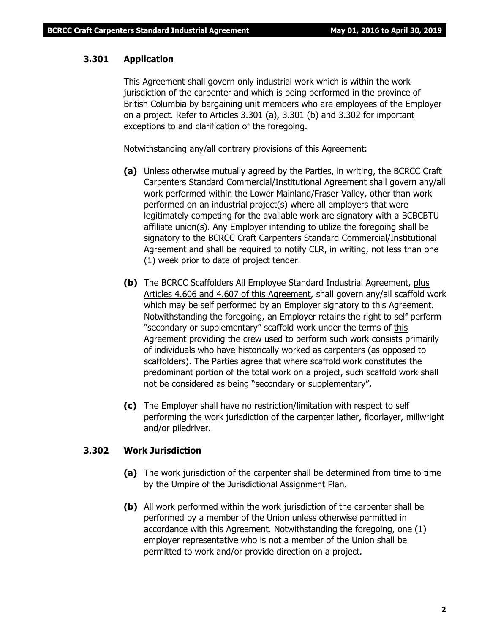# **3.301 Application**

This Agreement shall govern only industrial work which is within the work jurisdiction of the carpenter and which is being performed in the province of British Columbia by bargaining unit members who are employees of the Employer on a project. Refer to Articles 3.301 (a), 3.301 (b) and 3.302 for important exceptions to and clarification of the foregoing.

Notwithstanding any/all contrary provisions of this Agreement:

- **(a)** Unless otherwise mutually agreed by the Parties, in writing, the BCRCC Craft Carpenters Standard Commercial/Institutional Agreement shall govern any/all work performed within the Lower Mainland/Fraser Valley, other than work performed on an industrial project(s) where all employers that were legitimately competing for the available work are signatory with a BCBCBTU affiliate union(s). Any Employer intending to utilize the foregoing shall be signatory to the BCRCC Craft Carpenters Standard Commercial/Institutional Agreement and shall be required to notify CLR, in writing, not less than one (1) week prior to date of project tender.
- **(b)** The BCRCC Scaffolders All Employee Standard Industrial Agreement, plus Articles 4.606 and 4.607 of this Agreement, shall govern any/all scaffold work which may be self performed by an Employer signatory to this Agreement. Notwithstanding the foregoing, an Employer retains the right to self perform "secondary or supplementary" scaffold work under the terms of this Agreement providing the crew used to perform such work consists primarily of individuals who have historically worked as carpenters (as opposed to scaffolders). The Parties agree that where scaffold work constitutes the predominant portion of the total work on a project, such scaffold work shall not be considered as being "secondary or supplementary".
- **(c)** The Employer shall have no restriction/limitation with respect to self performing the work jurisdiction of the carpenter lather, floorlayer, millwright and/or piledriver.

#### **3.302 Work Jurisdiction**

- **(a)** The work jurisdiction of the carpenter shall be determined from time to time by the Umpire of the Jurisdictional Assignment Plan.
- **(b)** All work performed within the work jurisdiction of the carpenter shall be performed by a member of the Union unless otherwise permitted in accordance with this Agreement. Notwithstanding the foregoing, one (1) employer representative who is not a member of the Union shall be permitted to work and/or provide direction on a project.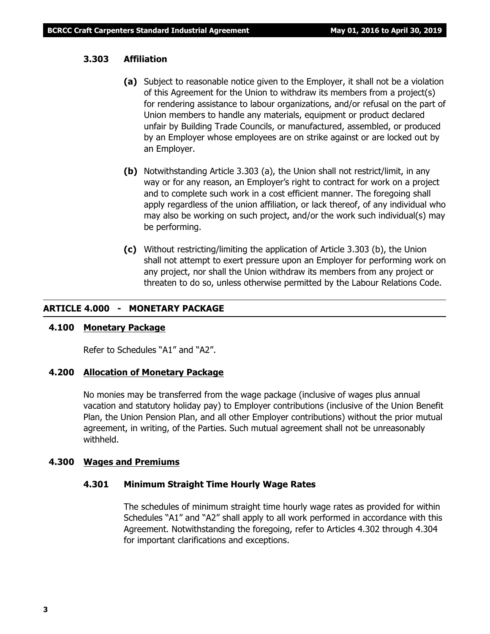### **3.303 Affiliation**

- **(a)** Subject to reasonable notice given to the Employer, it shall not be a violation of this Agreement for the Union to withdraw its members from a project(s) for rendering assistance to labour organizations, and/or refusal on the part of Union members to handle any materials, equipment or product declared unfair by Building Trade Councils, or manufactured, assembled, or produced by an Employer whose employees are on strike against or are locked out by an Employer.
- **(b)** Notwithstanding Article 3.303 (a), the Union shall not restrict/limit, in any way or for any reason, an Employer's right to contract for work on a project and to complete such work in a cost efficient manner. The foregoing shall apply regardless of the union affiliation, or lack thereof, of any individual who may also be working on such project, and/or the work such individual(s) may be performing.
- **(c)** Without restricting/limiting the application of Article 3.303 (b), the Union shall not attempt to exert pressure upon an Employer for performing work on any project, nor shall the Union withdraw its members from any project or threaten to do so, unless otherwise permitted by the *Labour Relations Code*.

### **ARTICLE 4.000 - MONETARY PACKAGE**

#### **4.100 Monetary Package**

Refer to Schedules "A1" and "A2".

#### **4.200 Allocation of Monetary Package**

No monies may be transferred from the wage package (inclusive of wages plus annual vacation and statutory holiday pay) to Employer contributions (inclusive of the Union Benefit Plan, the Union Pension Plan, and all other Employer contributions) without the prior mutual agreement, in writing, of the Parties. Such mutual agreement shall not be unreasonably withheld.

#### **4.300 Wages and Premiums**

# **4.301 Minimum Straight Time Hourly Wage Rates**

The schedules of minimum straight time hourly wage rates as provided for within Schedules "A1" and "A2" shall apply to all work performed in accordance with this Agreement. Notwithstanding the foregoing, refer to Articles 4.302 through 4.304 for important clarifications and exceptions.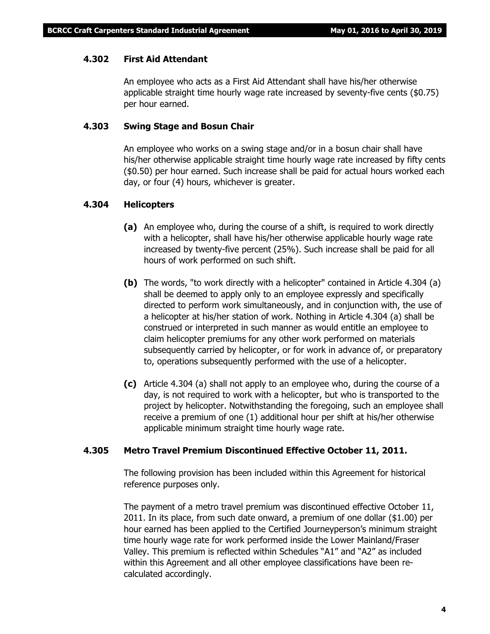### **4.302 First Aid Attendant**

An employee who acts as a First Aid Attendant shall have his/her otherwise applicable straight time hourly wage rate increased by seventy-five cents (\$0.75) per hour earned.

### **4.303 Swing Stage and Bosun Chair**

An employee who works on a swing stage and/or in a bosun chair shall have his/her otherwise applicable straight time hourly wage rate increased by fifty cents (\$0.50) per hour earned. Such increase shall be paid for actual hours worked each day, or four (4) hours, whichever is greater.

### **4.304 Helicopters**

- **(a)** An employee who, during the course of a shift, is required to work directly with a helicopter, shall have his/her otherwise applicable hourly wage rate increased by twenty-five percent (25%). Such increase shall be paid for all hours of work performed on such shift.
- **(b)** The words, "to work directly with a helicopter" contained in Article 4.304 (a) shall be deemed to apply only to an employee expressly and specifically directed to perform work simultaneously, and in conjunction with, the use of a helicopter at his/her station of work. Nothing in Article 4.304 (a) shall be construed or interpreted in such manner as would entitle an employee to claim helicopter premiums for any other work performed on materials subsequently carried by helicopter, or for work in advance of, or preparatory to, operations subsequently performed with the use of a helicopter.
- **(c)** Article 4.304 (a) shall not apply to an employee who, during the course of a day, is not required to work with a helicopter, but who is transported to the project by helicopter. Notwithstanding the foregoing, such an employee shall receive a premium of one (1) additional hour per shift at his/her otherwise applicable minimum straight time hourly wage rate.

#### **4.305 Metro Travel Premium Discontinued Effective October 11, 2011.**

The following provision has been included within this Agreement for historical reference purposes only.

The payment of a metro travel premium was discontinued effective October 11, 2011. In its place, from such date onward, a premium of one dollar (\$1.00) per hour earned has been applied to the Certified Journeyperson's minimum straight time hourly wage rate for work performed inside the Lower Mainland/Fraser Valley. This premium is reflected within Schedules "A1" and "A2" as included within this Agreement and all other employee classifications have been recalculated accordingly.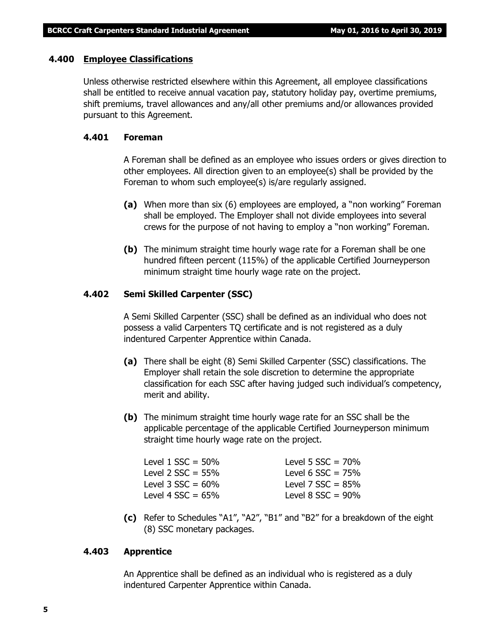#### **4.400 Employee Classifications**

Unless otherwise restricted elsewhere within this Agreement, all employee classifications shall be entitled to receive annual vacation pay, statutory holiday pay, overtime premiums, shift premiums, travel allowances and any/all other premiums and/or allowances provided pursuant to this Agreement.

#### **4.401 Foreman**

A Foreman shall be defined as an employee who issues orders or gives direction to other employees. All direction given to an employee(s) shall be provided by the Foreman to whom such employee(s) is/are regularly assigned.

- **(a)** When more than six (6) employees are employed, a "non working" Foreman shall be employed. The Employer shall not divide employees into several crews for the purpose of not having to employ a "non working" Foreman.
- **(b)** The minimum straight time hourly wage rate for a Foreman shall be one hundred fifteen percent (115%) of the applicable Certified Journeyperson minimum straight time hourly wage rate on the project.

#### **4.402 Semi Skilled Carpenter (SSC)**

A Semi Skilled Carpenter (SSC) shall be defined as an individual who does not possess a valid Carpenters TQ certificate and is not registered as a duly indentured Carpenter Apprentice within Canada.

- **(a)** There shall be eight (8) Semi Skilled Carpenter (SSC) classifications. The Employer shall retain the sole discretion to determine the appropriate classification for each SSC after having judged such individual's competency, merit and ability.
- **(b)** The minimum straight time hourly wage rate for an SSC shall be the applicable percentage of the applicable Certified Journeyperson minimum straight time hourly wage rate on the project.

| Level $1$ SSC = 50%  | Level 5 $SSC = 70%$    |
|----------------------|------------------------|
| Level 2 $SSC = 55\%$ | Level 6 $SSC = 75%$    |
| Level $3$ SSC = 60%  | Level 7 $SSC = 85%$    |
| Level 4 $SSC = 65\%$ | Level $8$ SSC = $90\%$ |
|                      |                        |

**(c)** Refer to Schedules "A1", "A2", "B1" and "B2" for a breakdown of the eight (8) SSC monetary packages.

#### **4.403 Apprentice**

An Apprentice shall be defined as an individual who is registered as a duly indentured Carpenter Apprentice within Canada.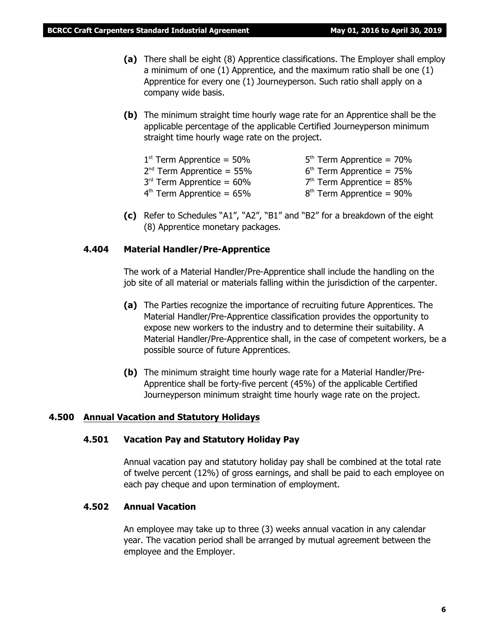- **(a)** There shall be eight (8) Apprentice classifications. The Employer shall employ a minimum of one (1) Apprentice, and the maximum ratio shall be one (1) Apprentice for every one (1) Journeyperson. Such ratio shall apply on a company wide basis.
- **(b)** The minimum straight time hourly wage rate for an Apprentice shall be the applicable percentage of the applicable Certified Journeyperson minimum straight time hourly wage rate on the project.

| $1st$ Term Apprentice = 50% | $5th$ Term Apprentice = 70% |
|-----------------------------|-----------------------------|
| $2nd$ Term Apprentice = 55% | $6th$ Term Apprentice = 75% |
| $3rd$ Term Apprentice = 60% | $7th$ Term Apprentice = 85% |
| $4th$ Term Apprentice = 65% | $8th$ Term Apprentice = 90% |

**(c)** Refer to Schedules "A1", "A2", "B1" and "B2" for a breakdown of the eight (8) Apprentice monetary packages.

### **4.404 Material Handler/Pre-Apprentice**

The work of a Material Handler/Pre-Apprentice shall include the handling on the job site of all material or materials falling within the jurisdiction of the carpenter.

- **(a)** The Parties recognize the importance of recruiting future Apprentices. The Material Handler/Pre-Apprentice classification provides the opportunity to expose new workers to the industry and to determine their suitability. A Material Handler/Pre-Apprentice shall, in the case of competent workers, be a possible source of future Apprentices.
- **(b)** The minimum straight time hourly wage rate for a Material Handler/Pre-Apprentice shall be forty-five percent (45%) of the applicable Certified Journeyperson minimum straight time hourly wage rate on the project.

#### **4.500 Annual Vacation and Statutory Holidays**

#### **4.501 Vacation Pay and Statutory Holiday Pay**

Annual vacation pay and statutory holiday pay shall be combined at the total rate of twelve percent (12%) of gross earnings, and shall be paid to each employee on each pay cheque and upon termination of employment.

### **4.502 Annual Vacation**

An employee may take up to three (3) weeks annual vacation in any calendar year. The vacation period shall be arranged by mutual agreement between the employee and the Employer.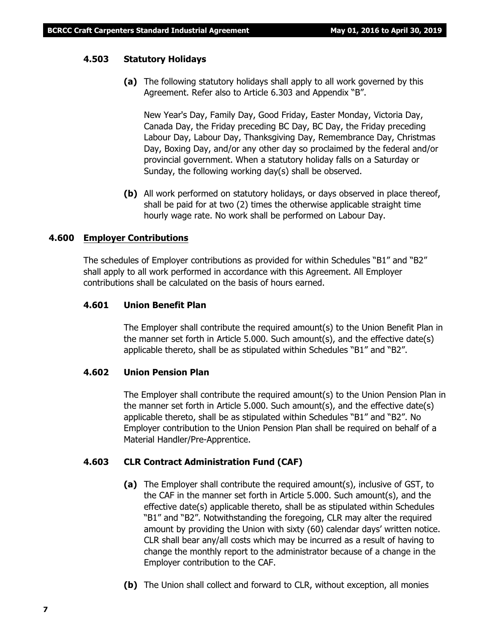#### **4.503 Statutory Holidays**

**(a)** The following statutory holidays shall apply to all work governed by this Agreement. Refer also to Article 6.303 and Appendix "B".

New Year's Day, Family Day, Good Friday, Easter Monday, Victoria Day, Canada Day, the Friday preceding BC Day, BC Day, the Friday preceding Labour Day, Labour Day, Thanksgiving Day, Remembrance Day, Christmas Day, Boxing Day, and/or any other day so proclaimed by the federal and/or provincial government. When a statutory holiday falls on a Saturday or Sunday, the following working day(s) shall be observed.

**(b)** All work performed on statutory holidays, or days observed in place thereof, shall be paid for at two (2) times the otherwise applicable straight time hourly wage rate. No work shall be performed on Labour Day.

#### **4.600 Employer Contributions**

The schedules of Employer contributions as provided for within Schedules "B1" and "B2" shall apply to all work performed in accordance with this Agreement. All Employer contributions shall be calculated on the basis of hours earned.

#### **4.601 Union Benefit Plan**

The Employer shall contribute the required amount(s) to the Union Benefit Plan in the manner set forth in Article 5.000. Such amount(s), and the effective date(s) applicable thereto, shall be as stipulated within Schedules "B1" and "B2".

#### **4.602 Union Pension Plan**

The Employer shall contribute the required amount(s) to the Union Pension Plan in the manner set forth in Article 5.000. Such amount(s), and the effective date(s) applicable thereto, shall be as stipulated within Schedules "B1" and "B2". No Employer contribution to the Union Pension Plan shall be required on behalf of a Material Handler/Pre-Apprentice.

#### **4.603 CLR Contract Administration Fund (CAF)**

- **(a)** The Employer shall contribute the required amount(s), inclusive of GST, to the CAF in the manner set forth in Article 5.000. Such amount(s), and the effective date(s) applicable thereto, shall be as stipulated within Schedules "B1" and "B2". Notwithstanding the foregoing, CLR may alter the required amount by providing the Union with sixty (60) calendar days' written notice. CLR shall bear any/all costs which may be incurred as a result of having to change the monthly report to the administrator because of a change in the Employer contribution to the CAF.
- **(b)** The Union shall collect and forward to CLR, without exception, all monies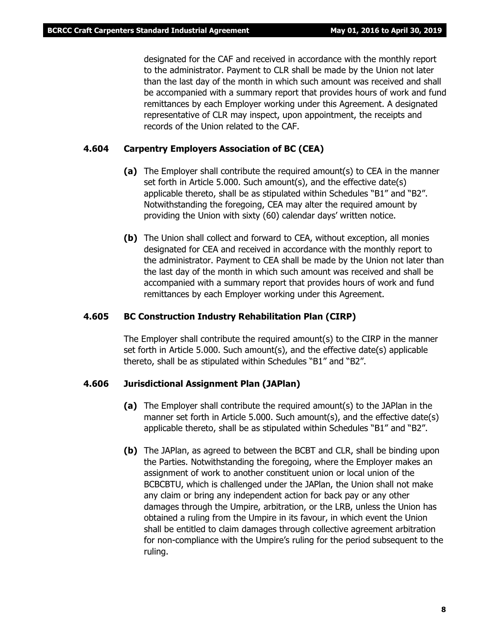designated for the CAF and received in accordance with the monthly report to the administrator. Payment to CLR shall be made by the Union not later than the last day of the month in which such amount was received and shall be accompanied with a summary report that provides hours of work and fund remittances by each Employer working under this Agreement. A designated representative of CLR may inspect, upon appointment, the receipts and records of the Union related to the CAF.

#### **4.604 Carpentry Employers Association of BC (CEA)**

- **(a)** The Employer shall contribute the required amount(s) to CEA in the manner set forth in Article 5.000. Such amount(s), and the effective date(s) applicable thereto, shall be as stipulated within Schedules "B1" and "B2". Notwithstanding the foregoing, CEA may alter the required amount by providing the Union with sixty (60) calendar days' written notice.
- **(b)** The Union shall collect and forward to CEA, without exception, all monies designated for CEA and received in accordance with the monthly report to the administrator. Payment to CEA shall be made by the Union not later than the last day of the month in which such amount was received and shall be accompanied with a summary report that provides hours of work and fund remittances by each Employer working under this Agreement.

#### **4.605 BC Construction Industry Rehabilitation Plan (CIRP)**

The Employer shall contribute the required amount(s) to the CIRP in the manner set forth in Article 5.000. Such amount(s), and the effective date(s) applicable thereto, shall be as stipulated within Schedules "B1" and "B2".

#### **4.606 Jurisdictional Assignment Plan (JAPlan)**

- **(a)** The Employer shall contribute the required amount(s) to the JAPlan in the manner set forth in Article 5.000. Such amount(s), and the effective date(s) applicable thereto, shall be as stipulated within Schedules "B1" and "B2".
- **(b)** The JAPlan, as agreed to between the BCBT and CLR, shall be binding upon the Parties. Notwithstanding the foregoing, where the Employer makes an assignment of work to another constituent union or local union of the BCBCBTU, which is challenged under the JAPlan, the Union shall not make any claim or bring any independent action for back pay or any other damages through the Umpire, arbitration, or the LRB, unless the Union has obtained a ruling from the Umpire in its favour, in which event the Union shall be entitled to claim damages through collective agreement arbitration for non-compliance with the Umpire's ruling for the period subsequent to the ruling.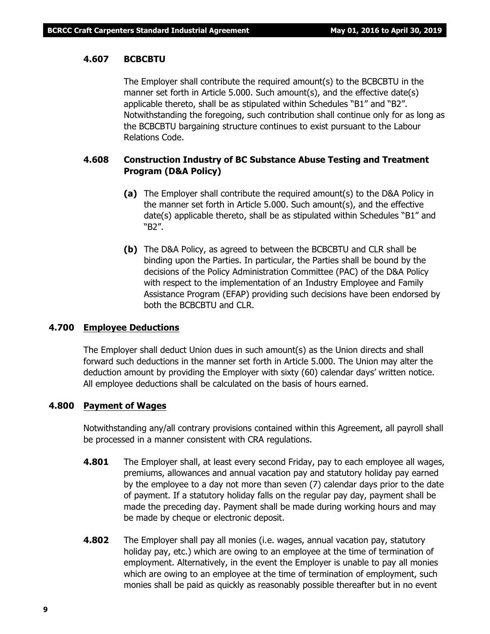### **4.607 BCBCBTU**

The Employer shall contribute the required amount(s) to the BCBCBTU in the manner set forth in Article 5.000. Such amount(s), and the effective date(s) applicable thereto, shall be as stipulated within Schedules "B1" and "B2". Notwithstanding the foregoing, such contribution shall continue only for as long as the BCBCBTU bargaining structure continues to exist pursuant to the *Labour Relations Code*.

# **4.608 Construction Industry of BC Substance Abuse Testing and Treatment Program (D&A Policy)**

- **(a)** The Employer shall contribute the required amount(s) to the D&A Policy in the manner set forth in Article 5.000. Such amount(s), and the effective date(s) applicable thereto, shall be as stipulated within Schedules "B1" and "B2".
- **(b)** The D&A Policy, as agreed to between the BCBCBTU and CLR shall be binding upon the Parties. In particular, the Parties shall be bound by the decisions of the Policy Administration Committee (PAC) of the D&A Policy with respect to the implementation of an Industry Employee and Family Assistance Program (EFAP) providing such decisions have been endorsed by both the BCBCBTU and CLR.

#### **4.700 Employee Deductions**

The Employer shall deduct Union dues in such amount(s) as the Union directs and shall forward such deductions in the manner set forth in Article 5.000. The Union may alter the deduction amount by providing the Employer with sixty (60) calendar days' written notice. All employee deductions shall be calculated on the basis of hours earned.

#### **4.800 Payment of Wages**

Notwithstanding any/all contrary provisions contained within this Agreement, all payroll shall be processed in a manner consistent with CRA regulations.

- **4.801** The Employer shall, at least every second Friday, pay to each employee all wages, premiums, allowances and annual vacation pay and statutory holiday pay earned by the employee to a day not more than seven (7) calendar days prior to the date of payment. If a statutory holiday falls on the regular pay day, payment shall be made the preceding day. Payment shall be made during working hours and may be made by cheque or electronic deposit.
- **4.802** The Employer shall pay all monies (i.e. wages, annual vacation pay, statutory holiday pay, etc.) which are owing to an employee at the time of termination of employment. Alternatively, in the event the Employer is unable to pay all monies which are owing to an employee at the time of termination of employment, such monies shall be paid as quickly as reasonably possible thereafter but in no event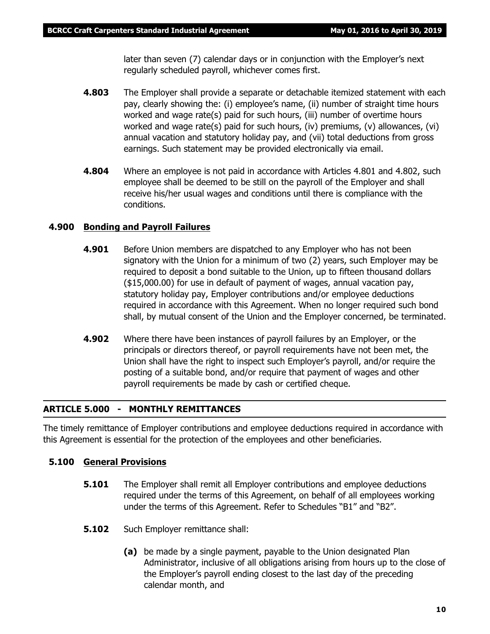later than seven (7) calendar days or in conjunction with the Employer's next regularly scheduled payroll, whichever comes first.

- **4.803** The Employer shall provide a separate or detachable itemized statement with each pay, clearly showing the: (i) employee's name, (ii) number of straight time hours worked and wage rate(s) paid for such hours, (iii) number of overtime hours worked and wage rate(s) paid for such hours, (iv) premiums, (v) allowances, (vi) annual vacation and statutory holiday pay, and (vii) total deductions from gross earnings. Such statement may be provided electronically via email.
- **4.804** Where an employee is not paid in accordance with Articles 4.801 and 4.802, such employee shall be deemed to be still on the payroll of the Employer and shall receive his/her usual wages and conditions until there is compliance with the conditions.

# **4.900 Bonding and Payroll Failures**

- **4.901** Before Union members are dispatched to any Employer who has not been signatory with the Union for a minimum of two (2) years, such Employer may be required to deposit a bond suitable to the Union, up to fifteen thousand dollars (\$15,000.00) for use in default of payment of wages, annual vacation pay, statutory holiday pay, Employer contributions and/or employee deductions required in accordance with this Agreement. When no longer required such bond shall, by mutual consent of the Union and the Employer concerned, be terminated.
- **4.902** Where there have been instances of payroll failures by an Employer, or the principals or directors thereof, or payroll requirements have not been met, the Union shall have the right to inspect such Employer's payroll, and/or require the posting of a suitable bond, and/or require that payment of wages and other payroll requirements be made by cash or certified cheque.

# **ARTICLE 5.000 - MONTHLY REMITTANCES**

The timely remittance of Employer contributions and employee deductions required in accordance with this Agreement is essential for the protection of the employees and other beneficiaries.

# **5.100 General Provisions**

- **5.101** The Employer shall remit all Employer contributions and employee deductions required under the terms of this Agreement, on behalf of all employees working under the terms of this Agreement. Refer to Schedules "B1" and "B2".
- **5.102** Such Employer remittance shall:
	- **(a)** be made by a single payment, payable to the Union designated Plan Administrator, inclusive of all obligations arising from hours up to the close of the Employer's payroll ending closest to the last day of the preceding calendar month, and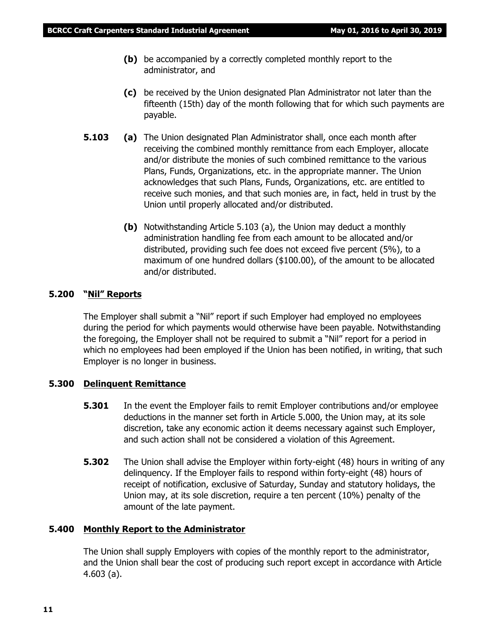- **(b)** be accompanied by a correctly completed monthly report to the administrator, and
- **(c)** be received by the Union designated Plan Administrator not later than the fifteenth (15th) day of the month following that for which such payments are payable.
- **5.103 (a)** The Union designated Plan Administrator shall, once each month after receiving the combined monthly remittance from each Employer, allocate and/or distribute the monies of such combined remittance to the various Plans, Funds, Organizations, etc. in the appropriate manner. The Union acknowledges that such Plans, Funds, Organizations, etc. are entitled to receive such monies, and that such monies are, in fact, held in trust by the Union until properly allocated and/or distributed.
	- **(b)** Notwithstanding Article 5.103 (a), the Union may deduct a monthly administration handling fee from each amount to be allocated and/or distributed, providing such fee does not exceed five percent (5%), to a maximum of one hundred dollars (\$100.00), of the amount to be allocated and/or distributed.

### **5.200 "Nil" Reports**

The Employer shall submit a "Nil" report if such Employer had employed no employees during the period for which payments would otherwise have been payable. Notwithstanding the foregoing, the Employer shall not be required to submit a "Nil" report for a period in which no employees had been employed if the Union has been notified, in writing, that such Employer is no longer in business.

#### **5.300 Delinquent Remittance**

- **5.301** In the event the Employer fails to remit Employer contributions and/or employee deductions in the manner set forth in Article 5.000, the Union may, at its sole discretion, take any economic action it deems necessary against such Employer, and such action shall not be considered a violation of this Agreement.
- **5.302** The Union shall advise the Employer within forty-eight (48) hours in writing of any delinquency. If the Employer fails to respond within forty-eight (48) hours of receipt of notification, exclusive of Saturday, Sunday and statutory holidays, the Union may, at its sole discretion, require a ten percent (10%) penalty of the amount of the late payment.

#### **5.400 Monthly Report to the Administrator**

The Union shall supply Employers with copies of the monthly report to the administrator, and the Union shall bear the cost of producing such report except in accordance with Article 4.603 (a).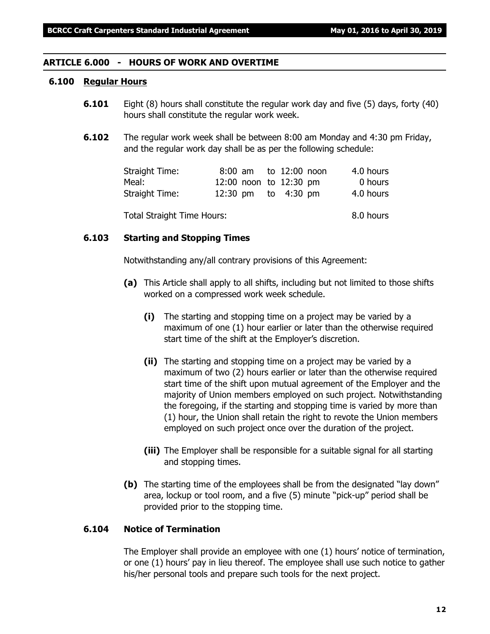#### **ARTICLE 6.000 - HOURS OF WORK AND OVERTIME**

#### **6.100 Regular Hours**

- **6.101** Eight (8) hours shall constitute the regular work day and five (5) days, forty (40) hours shall constitute the regular work week.
- **6.102** The regular work week shall be between 8:00 am Monday and 4:30 pm Friday, and the regular work day shall be as per the following schedule:

| Straight Time: |                        |  | 8:00 am to 12:00 noon | 4.0 hours |
|----------------|------------------------|--|-----------------------|-----------|
| Meal:          | 12:00 noon to 12:30 pm |  |                       | 0 hours   |
| Straight Time: |                        |  | 12:30 pm to 4:30 pm   | 4.0 hours |

Total Straight Time Hours: 8.0 hours

### **6.103 Starting and Stopping Times**

Notwithstanding any/all contrary provisions of this Agreement:

- **(a)** This Article shall apply to all shifts, including but not limited to those shifts worked on a compressed work week schedule.
	- **(i)** The starting and stopping time on a project may be varied by a maximum of one (1) hour earlier or later than the otherwise required start time of the shift at the Employer's discretion.
	- **(ii)** The starting and stopping time on a project may be varied by a maximum of two (2) hours earlier or later than the otherwise required start time of the shift upon mutual agreement of the Employer and the majority of Union members employed on such project. Notwithstanding the foregoing, if the starting and stopping time is varied by more than (1) hour, the Union shall retain the right to revote the Union members employed on such project once over the duration of the project.
	- **(iii)** The Employer shall be responsible for a suitable signal for all starting and stopping times.
- **(b)** The starting time of the employees shall be from the designated "lay down" area, lockup or tool room, and a five (5) minute "pick-up" period shall be provided prior to the stopping time.

# **6.104 Notice of Termination**

The Employer shall provide an employee with one (1) hours' notice of termination, or one (1) hours' pay in lieu thereof. The employee shall use such notice to gather his/her personal tools and prepare such tools for the next project.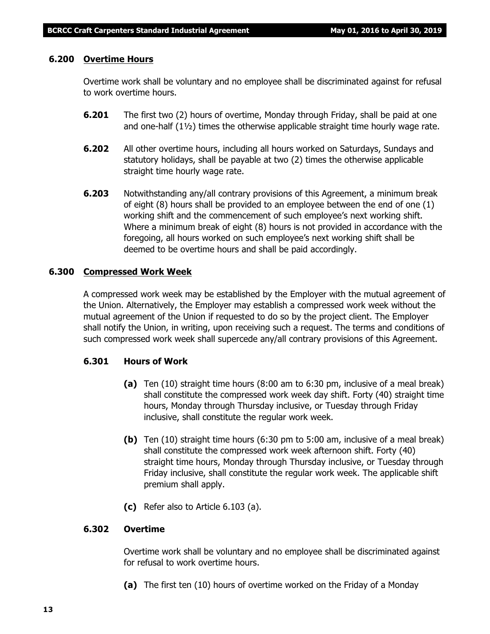#### **6.200 Overtime Hours**

Overtime work shall be voluntary and no employee shall be discriminated against for refusal to work overtime hours.

- **6.201** The first two (2) hours of overtime, Monday through Friday, shall be paid at one and one-half  $(1\frac{1}{2})$  times the otherwise applicable straight time hourly wage rate.
- **6.202** All other overtime hours, including all hours worked on Saturdays, Sundays and statutory holidays, shall be payable at two (2) times the otherwise applicable straight time hourly wage rate.
- **6.203** Notwithstanding any/all contrary provisions of this Agreement, a minimum break of eight (8) hours shall be provided to an employee between the end of one (1) working shift and the commencement of such employee's next working shift. Where a minimum break of eight (8) hours is not provided in accordance with the foregoing, all hours worked on such employee's next working shift shall be deemed to be overtime hours and shall be paid accordingly.

### **6.300 Compressed Work Week**

A compressed work week may be established by the Employer with the mutual agreement of the Union. Alternatively, the Employer may establish a compressed work week without the mutual agreement of the Union if requested to do so by the project client. The Employer shall notify the Union, in writing, upon receiving such a request. The terms and conditions of such compressed work week shall supercede any/all contrary provisions of this Agreement.

# **6.301 Hours of Work**

- **(a)** Ten (10) straight time hours (8:00 am to 6:30 pm, inclusive of a meal break) shall constitute the compressed work week day shift. Forty (40) straight time hours, Monday through Thursday inclusive, or Tuesday through Friday inclusive, shall constitute the regular work week.
- **(b)** Ten (10) straight time hours (6:30 pm to 5:00 am, inclusive of a meal break) shall constitute the compressed work week afternoon shift. Forty (40) straight time hours, Monday through Thursday inclusive, or Tuesday through Friday inclusive, shall constitute the regular work week. The applicable shift premium shall apply.
- **(c)** Refer also to Article 6.103 (a).

# **6.302 Overtime**

Overtime work shall be voluntary and no employee shall be discriminated against for refusal to work overtime hours.

**(a)** The first ten (10) hours of overtime worked on the Friday of a Monday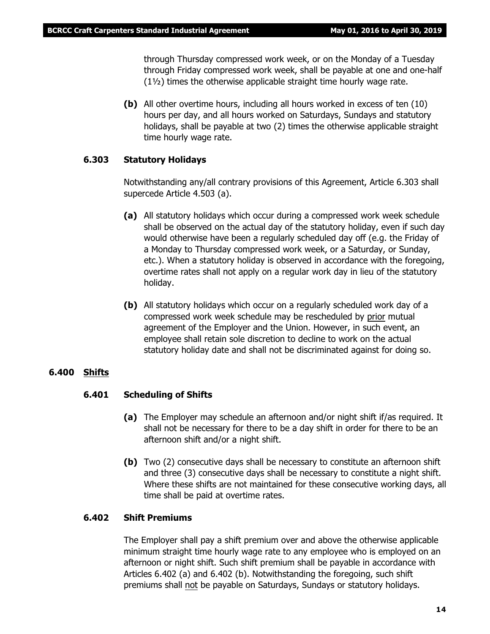through Thursday compressed work week, or on the Monday of a Tuesday through Friday compressed work week, shall be payable at one and one-half (1½) times the otherwise applicable straight time hourly wage rate.

**(b)** All other overtime hours, including all hours worked in excess of ten (10) hours per day, and all hours worked on Saturdays, Sundays and statutory holidays, shall be payable at two (2) times the otherwise applicable straight time hourly wage rate.

#### **6.303 Statutory Holidays**

Notwithstanding any/all contrary provisions of this Agreement, Article 6.303 shall supercede Article 4.503 (a).

- **(a)** All statutory holidays which occur during a compressed work week schedule shall be observed on the actual day of the statutory holiday, even if such day would otherwise have been a regularly scheduled day off (e.g. the Friday of a Monday to Thursday compressed work week, or a Saturday, or Sunday, etc.). When a statutory holiday is observed in accordance with the foregoing, overtime rates shall not apply on a regular work day in lieu of the statutory holiday.
- **(b)** All statutory holidays which occur on a regularly scheduled work day of a compressed work week schedule may be rescheduled by prior mutual agreement of the Employer and the Union. However, in such event, an employee shall retain sole discretion to decline to work on the actual statutory holiday date and shall not be discriminated against for doing so.

#### **6.400 Shifts**

#### **6.401 Scheduling of Shifts**

- **(a)** The Employer may schedule an afternoon and/or night shift if/as required. It shall not be necessary for there to be a day shift in order for there to be an afternoon shift and/or a night shift.
- **(b)** Two (2) consecutive days shall be necessary to constitute an afternoon shift and three (3) consecutive days shall be necessary to constitute a night shift. Where these shifts are not maintained for these consecutive working days, all time shall be paid at overtime rates.

#### **6.402 Shift Premiums**

The Employer shall pay a shift premium over and above the otherwise applicable minimum straight time hourly wage rate to any employee who is employed on an afternoon or night shift. Such shift premium shall be payable in accordance with Articles 6.402 (a) and 6.402 (b). Notwithstanding the foregoing, such shift premiums shall not be payable on Saturdays, Sundays or statutory holidays.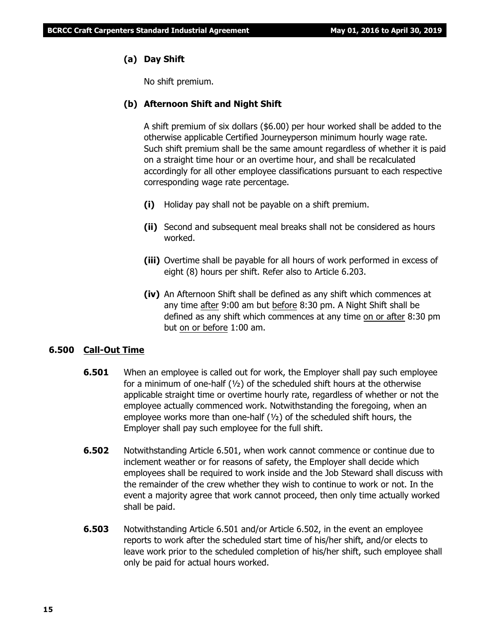# **(a) Day Shift**

No shift premium.

### **(b) Afternoon Shift and Night Shift**

A shift premium of six dollars (\$6.00) per hour worked shall be added to the otherwise applicable Certified Journeyperson minimum hourly wage rate. Such shift premium shall be the same amount regardless of whether it is paid on a straight time hour or an overtime hour, and shall be recalculated accordingly for all other employee classifications pursuant to each respective corresponding wage rate percentage.

- **(i)** Holiday pay shall not be payable on a shift premium.
- **(ii)** Second and subsequent meal breaks shall not be considered as hours worked.
- **(iii)** Overtime shall be payable for all hours of work performed in excess of eight (8) hours per shift. Refer also to Article 6.203.
- **(iv)** An Afternoon Shift shall be defined as any shift which commences at any time after 9:00 am but before 8:30 pm. A Night Shift shall be defined as any shift which commences at any time on or after 8:30 pm but on or before 1:00 am.

# **6.500 Call-Out Time**

- **6.501** When an employee is called out for work, the Employer shall pay such employee for a minimum of one-half  $(y_2)$  of the scheduled shift hours at the otherwise applicable straight time or overtime hourly rate, regardless of whether or not the employee actually commenced work. Notwithstanding the foregoing, when an employee works more than one-half (½) of the scheduled shift hours, the Employer shall pay such employee for the full shift.
- **6.502** Notwithstanding Article 6.501, when work cannot commence or continue due to inclement weather or for reasons of safety, the Employer shall decide which employees shall be required to work inside and the Job Steward shall discuss with the remainder of the crew whether they wish to continue to work or not. In the event a majority agree that work cannot proceed, then only time actually worked shall be paid.
- **6.503** Notwithstanding Article 6.501 and/or Article 6.502, in the event an employee reports to work after the scheduled start time of his/her shift, and/or elects to leave work prior to the scheduled completion of his/her shift, such employee shall only be paid for actual hours worked.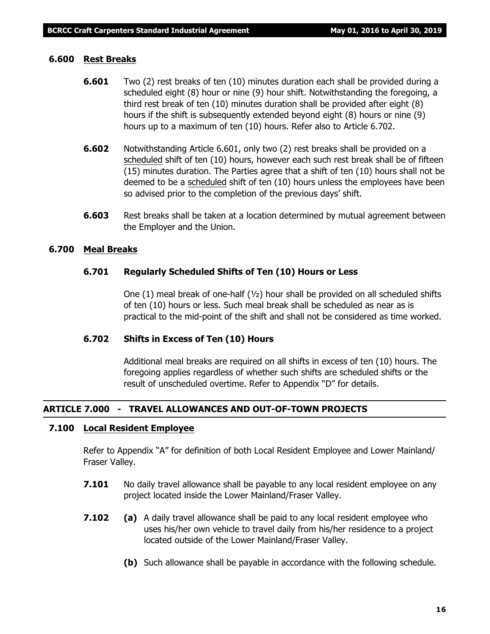#### **6.600 Rest Breaks**

- **6.601** Two (2) rest breaks of ten (10) minutes duration each shall be provided during a scheduled eight (8) hour or nine (9) hour shift. Notwithstanding the foregoing, a third rest break of ten (10) minutes duration shall be provided after eight (8) hours if the shift is subsequently extended beyond eight (8) hours or nine (9) hours up to a maximum of ten (10) hours. Refer also to Article 6.702.
- **6.602** Notwithstanding Article 6.601, only two (2) rest breaks shall be provided on a scheduled shift of ten (10) hours, however each such rest break shall be of fifteen (15) minutes duration. The Parties agree that a shift of ten (10) hours shall not be deemed to be a scheduled shift of ten (10) hours unless the employees have been so advised prior to the completion of the previous days' shift.
- **6.603** Rest breaks shall be taken at a location determined by mutual agreement between the Employer and the Union.

#### **6.700 Meal Breaks**

#### **6.701 Regularly Scheduled Shifts of Ten (10) Hours or Less**

One (1) meal break of one-half  $(v_2)$  hour shall be provided on all scheduled shifts of ten (10) hours or less. Such meal break shall be scheduled as near as is practical to the mid-point of the shift and shall not be considered as time worked.

### **6.702 Shifts in Excess of Ten (10) Hours**

Additional meal breaks are required on all shifts in excess of ten (10) hours. The foregoing applies regardless of whether such shifts are scheduled shifts or the result of unscheduled overtime. Refer to Appendix "D" for details.

#### **ARTICLE 7.000 - TRAVEL ALLOWANCES AND OUT-OF-TOWN PROJECTS**

#### **7.100 Local Resident Employee**

Refer to Appendix "A" for definition of both Local Resident Employee and Lower Mainland/ Fraser Valley.

- **7.101** No daily travel allowance shall be payable to any local resident employee on any project located inside the Lower Mainland/Fraser Valley.
- **7.102 (a)** A daily travel allowance shall be paid to any local resident employee who uses his/her own vehicle to travel daily from his/her residence to a project located outside of the Lower Mainland/Fraser Valley.
	- **(b)** Such allowance shall be payable in accordance with the following schedule.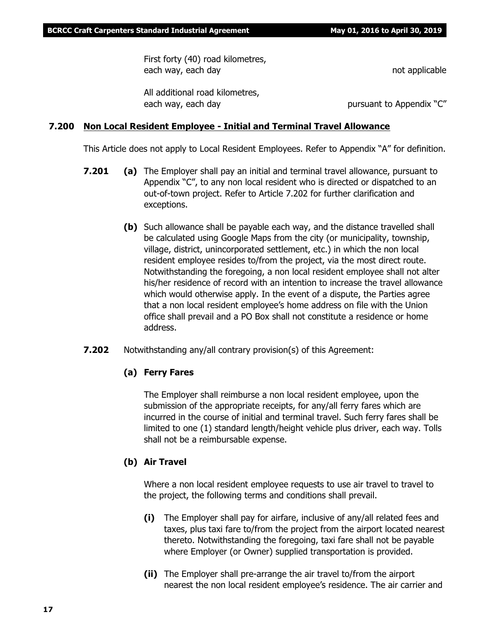First forty (40) road kilometres, each way, each day not applicable

All additional road kilometres, each way, each day **pursuant to Appendix "C"** pursuant to Appendix "C"

### **7.200 Non Local Resident Employee - Initial and Terminal Travel Allowance**

This Article does not apply to Local Resident Employees. Refer to Appendix "A" for definition.

- **7.201 (a)** The Employer shall pay an initial and terminal travel allowance, pursuant to Appendix "C", to any non local resident who is directed or dispatched to an out-of-town project. Refer to Article 7.202 for further clarification and exceptions.
	- **(b)** Such allowance shall be payable each way, and the distance travelled shall be calculated using Google Maps from the city (or municipality, township, village, district, unincorporated settlement, etc.) in which the non local resident employee resides to/from the project, via the most direct route. Notwithstanding the foregoing, a non local resident employee shall not alter his/her residence of record with an intention to increase the travel allowance which would otherwise apply. In the event of a dispute, the Parties agree that a non local resident employee's home address on file with the Union office shall prevail and a PO Box shall not constitute a residence or home address.
- **7.202** Notwithstanding any/all contrary provision(s) of this Agreement:

# **(a) Ferry Fares**

The Employer shall reimburse a non local resident employee, upon the submission of the appropriate receipts, for any/all ferry fares which are incurred in the course of initial and terminal travel. Such ferry fares shall be limited to one (1) standard length/height vehicle plus driver, each way. Tolls shall not be a reimbursable expense.

# **(b) Air Travel**

Where a non local resident employee requests to use air travel to travel to the project, the following terms and conditions shall prevail.

- **(i)** The Employer shall pay for airfare, inclusive of any/all related fees and taxes, plus taxi fare to/from the project from the airport located nearest thereto. Notwithstanding the foregoing, taxi fare shall not be payable where Employer (or Owner) supplied transportation is provided.
- **(ii)** The Employer shall pre-arrange the air travel to/from the airport nearest the non local resident employee's residence. The air carrier and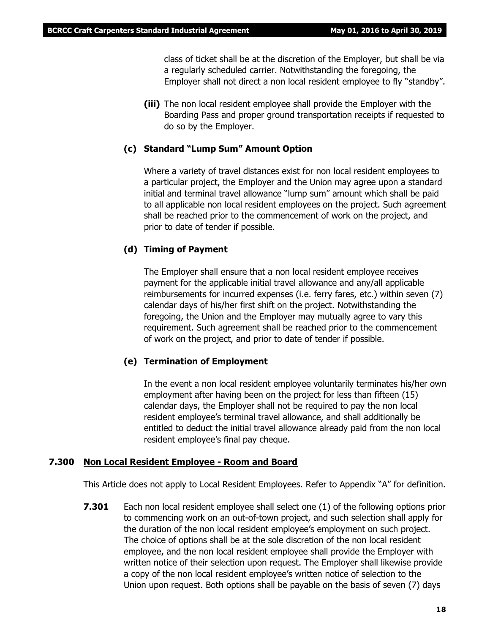class of ticket shall be at the discretion of the Employer, but shall be via a regularly scheduled carrier. Notwithstanding the foregoing, the Employer shall not direct a non local resident employee to fly "standby".

**(iii)** The non local resident employee shall provide the Employer with the Boarding Pass and proper ground transportation receipts if requested to do so by the Employer.

#### **(c) Standard "Lump Sum" Amount Option**

Where a variety of travel distances exist for non local resident employees to a particular project, the Employer and the Union may agree upon a standard initial and terminal travel allowance "lump sum" amount which shall be paid to all applicable non local resident employees on the project. Such agreement shall be reached prior to the commencement of work on the project, and prior to date of tender if possible.

#### **(d) Timing of Payment**

The Employer shall ensure that a non local resident employee receives payment for the applicable initial travel allowance and any/all applicable reimbursements for incurred expenses (i.e. ferry fares, etc.) within seven (7) calendar days of his/her first shift on the project. Notwithstanding the foregoing, the Union and the Employer may mutually agree to vary this requirement. Such agreement shall be reached prior to the commencement of work on the project, and prior to date of tender if possible.

#### **(e) Termination of Employment**

In the event a non local resident employee voluntarily terminates his/her own employment after having been on the project for less than fifteen (15) calendar days, the Employer shall not be required to pay the non local resident employee's terminal travel allowance, and shall additionally be entitled to deduct the initial travel allowance already paid from the non local resident employee's final pay cheque.

#### **7.300 Non Local Resident Employee - Room and Board**

This Article does not apply to Local Resident Employees. Refer to Appendix "A" for definition.

**7.301** Each non local resident employee shall select one (1) of the following options prior to commencing work on an out-of-town project, and such selection shall apply for the duration of the non local resident employee's employment on such project. The choice of options shall be at the sole discretion of the non local resident employee, and the non local resident employee shall provide the Employer with written notice of their selection upon request. The Employer shall likewise provide a copy of the non local resident employee's written notice of selection to the Union upon request. Both options shall be payable on the basis of seven (7) days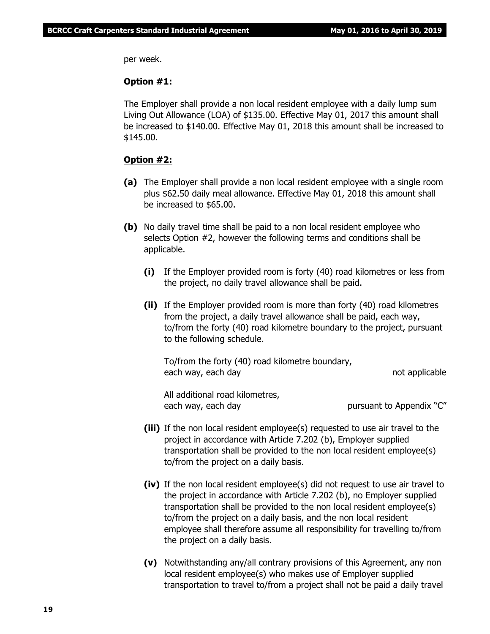per week.

#### **Option #1:**

The Employer shall provide a non local resident employee with a daily lump sum Living Out Allowance (LOA) of \$135.00. Effective May 01, 2017 this amount shall be increased to \$140.00. Effective May 01, 2018 this amount shall be increased to \$145.00.

#### **Option #2:**

- **(a)** The Employer shall provide a non local resident employee with a single room plus \$62.50 daily meal allowance. Effective May 01, 2018 this amount shall be increased to \$65.00.
- **(b)** No daily travel time shall be paid to a non local resident employee who selects Option #2, however the following terms and conditions shall be applicable.
	- **(i)** If the Employer provided room is forty (40) road kilometres or less from the project, no daily travel allowance shall be paid.
	- **(ii)** If the Employer provided room is more than forty (40) road kilometres from the project, a daily travel allowance shall be paid, each way, to/from the forty (40) road kilometre boundary to the project, pursuant to the following schedule.

To/from the forty (40) road kilometre boundary, each way, each day not applicable

All additional road kilometres, each way, each day bursuant to Appendix "C"

- **(iii)** If the non local resident employee(s) requested to use air travel to the project in accordance with Article 7.202 (b), Employer supplied transportation shall be provided to the non local resident employee(s) to/from the project on a daily basis.
- **(iv)** If the non local resident employee(s) did not request to use air travel to the project in accordance with Article 7.202 (b), no Employer supplied transportation shall be provided to the non local resident employee(s) to/from the project on a daily basis, and the non local resident employee shall therefore assume all responsibility for travelling to/from the project on a daily basis.
- **(v)** Notwithstanding any/all contrary provisions of this Agreement, any non local resident employee(s) who makes use of Employer supplied transportation to travel to/from a project shall not be paid a daily travel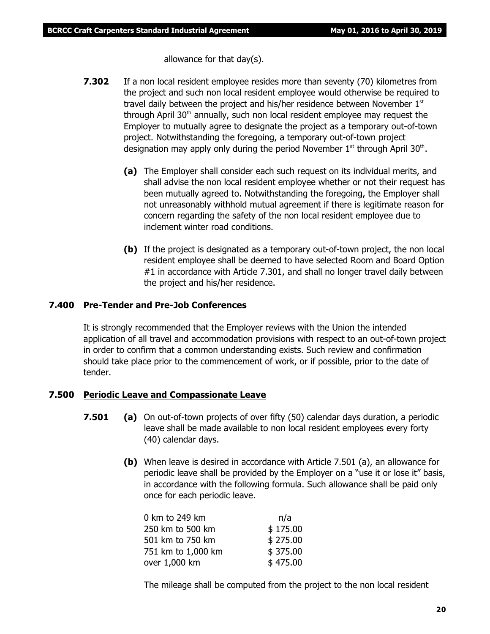allowance for that day(s).

- **7.302** If a non local resident employee resides more than seventy (70) kilometres from the project and such non local resident employee would otherwise be required to travel daily between the project and his/her residence between November 1st through April  $30<sup>th</sup>$  annually, such non local resident employee may request the Employer to mutually agree to designate the project as a temporary out-of-town project. Notwithstanding the foregoing, a temporary out-of-town project designation may apply only during the period November  $1<sup>st</sup>$  through April 30<sup>th</sup>.
	- **(a)** The Employer shall consider each such request on its individual merits, and shall advise the non local resident employee whether or not their request has been mutually agreed to. Notwithstanding the foregoing, the Employer shall not unreasonably withhold mutual agreement if there is legitimate reason for concern regarding the safety of the non local resident employee due to inclement winter road conditions.
	- **(b)** If the project is designated as a temporary out-of-town project, the non local resident employee shall be deemed to have selected Room and Board Option #1 in accordance with Article 7.301, and shall no longer travel daily between the project and his/her residence.

### **7.400 Pre-Tender and Pre-Job Conferences**

It is strongly recommended that the Employer reviews with the Union the intended application of all travel and accommodation provisions with respect to an out-of-town project in order to confirm that a common understanding exists. Such review and confirmation should take place prior to the commencement of work, or if possible, prior to the date of tender.

# **7.500 Periodic Leave and Compassionate Leave**

- **7.501 (a)** On out-of-town projects of over fifty (50) calendar days duration, a periodic leave shall be made available to non local resident employees every forty (40) calendar days.
	- **(b)** When leave is desired in accordance with Article 7.501 (a), an allowance for periodic leave shall be provided by the Employer on a "use it or lose it" basis, in accordance with the following formula. Such allowance shall be paid only once for each periodic leave.

| 0 km to 249 km     | n/a      |
|--------------------|----------|
| 250 km to 500 km   | \$175.00 |
| 501 km to 750 km   | \$275.00 |
| 751 km to 1,000 km | \$375.00 |
| over 1,000 km      | \$475.00 |

The mileage shall be computed from the project to the non local resident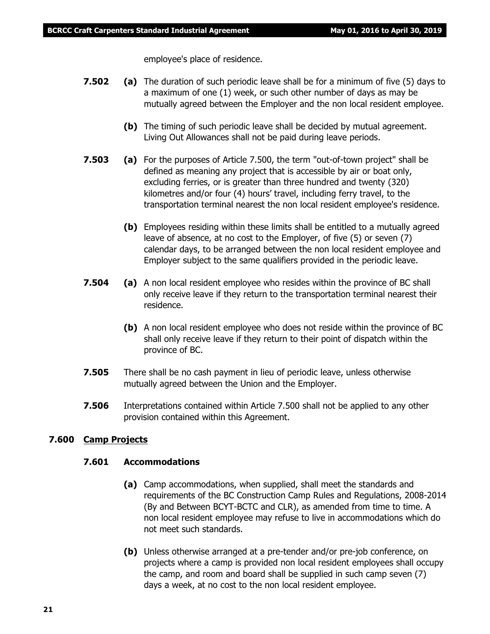employee's place of residence.

- **7.502 (a)** The duration of such periodic leave shall be for a minimum of five (5) days to a maximum of one (1) week, or such other number of days as may be mutually agreed between the Employer and the non local resident employee.
	- **(b)** The timing of such periodic leave shall be decided by mutual agreement. Living Out Allowances shall not be paid during leave periods.
- **7.503 (a)** For the purposes of Article 7.500, the term "out-of-town project" shall be defined as meaning any project that is accessible by air or boat only, excluding ferries, or is greater than three hundred and twenty (320) kilometres and/or four (4) hours' travel, including ferry travel, to the transportation terminal nearest the non local resident employee's residence.
	- **(b)** Employees residing within these limits shall be entitled to a mutually agreed leave of absence, at no cost to the Employer, of five (5) or seven (7) calendar days, to be arranged between the non local resident employee and Employer subject to the same qualifiers provided in the periodic leave.
- **7.504 (a)** A non local resident employee who resides within the province of BC shall only receive leave if they return to the transportation terminal nearest their residence.
	- **(b)** A non local resident employee who does not reside within the province of BC shall only receive leave if they return to their point of dispatch within the province of BC.
- **7.505** There shall be no cash payment in lieu of periodic leave, unless otherwise mutually agreed between the Union and the Employer.
- **7.506** Interpretations contained within Article 7.500 shall not be applied to any other provision contained within this Agreement.

#### **7.600 Camp Projects**

### **7.601 Accommodations**

- **(a)** Camp accommodations, when supplied, shall meet the standards and requirements of the BC Construction Camp Rules and Regulations, 2008-2014 (By and Between BCYT-BCTC and CLR), as amended from time to time. A non local resident employee may refuse to live in accommodations which do not meet such standards.
- **(b)** Unless otherwise arranged at a pre-tender and/or pre-job conference, on projects where a camp is provided non local resident employees shall occupy the camp, and room and board shall be supplied in such camp seven (7) days a week, at no cost to the non local resident employee.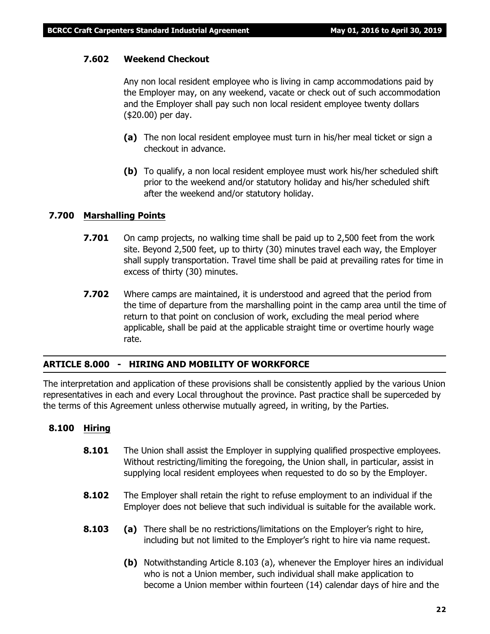### **7.602 Weekend Checkout**

Any non local resident employee who is living in camp accommodations paid by the Employer may, on any weekend, vacate or check out of such accommodation and the Employer shall pay such non local resident employee twenty dollars (\$20.00) per day.

- **(a)** The non local resident employee must turn in his/her meal ticket or sign a checkout in advance.
- **(b)** To qualify, a non local resident employee must work his/her scheduled shift prior to the weekend and/or statutory holiday and his/her scheduled shift after the weekend and/or statutory holiday.

### **7.700 Marshalling Points**

- **7.701** On camp projects, no walking time shall be paid up to 2,500 feet from the work site. Beyond 2,500 feet, up to thirty (30) minutes travel each way, the Employer shall supply transportation. Travel time shall be paid at prevailing rates for time in excess of thirty (30) minutes.
- **7.702** Where camps are maintained, it is understood and agreed that the period from the time of departure from the marshalling point in the camp area until the time of return to that point on conclusion of work, excluding the meal period where applicable, shall be paid at the applicable straight time or overtime hourly wage rate.

#### **ARTICLE 8.000 - HIRING AND MOBILITY OF WORKFORCE**

The interpretation and application of these provisions shall be consistently applied by the various Union representatives in each and every Local throughout the province. Past practice shall be superceded by the terms of this Agreement unless otherwise mutually agreed, in writing, by the Parties.

#### **8.100 Hiring**

- **8.101** The Union shall assist the Employer in supplying qualified prospective employees. Without restricting/limiting the foregoing, the Union shall, in particular, assist in supplying local resident employees when requested to do so by the Employer.
- **8.102** The Employer shall retain the right to refuse employment to an individual if the Employer does not believe that such individual is suitable for the available work.
- **8.103 (a)** There shall be no restrictions/limitations on the Employer's right to hire, including but not limited to the Employer's right to hire via name request.
	- **(b)** Notwithstanding Article 8.103 (a), whenever the Employer hires an individual who is not a Union member, such individual shall make application to become a Union member within fourteen (14) calendar days of hire and the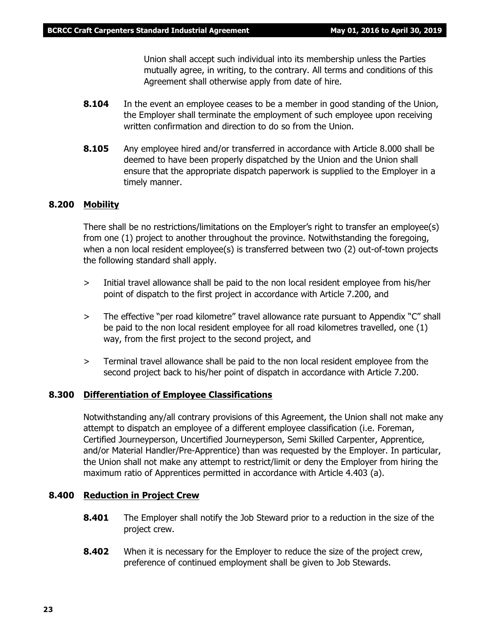Union shall accept such individual into its membership unless the Parties mutually agree, in writing, to the contrary. All terms and conditions of this Agreement shall otherwise apply from date of hire.

- **8.104** In the event an employee ceases to be a member in good standing of the Union, the Employer shall terminate the employment of such employee upon receiving written confirmation and direction to do so from the Union.
- **8.105** Any employee hired and/or transferred in accordance with Article 8.000 shall be deemed to have been properly dispatched by the Union and the Union shall ensure that the appropriate dispatch paperwork is supplied to the Employer in a timely manner.

#### **8.200 Mobility**

There shall be no restrictions/limitations on the Employer's right to transfer an employee(s) from one (1) project to another throughout the province. Notwithstanding the foregoing, when a non local resident employee(s) is transferred between two (2) out-of-town projects the following standard shall apply.

- > Initial travel allowance shall be paid to the non local resident employee from his/her point of dispatch to the first project in accordance with Article 7.200, and
- > The effective "per road kilometre" travel allowance rate pursuant to Appendix "C" shall be paid to the non local resident employee for all road kilometres travelled, one (1) way, from the first project to the second project, and
- > Terminal travel allowance shall be paid to the non local resident employee from the second project back to his/her point of dispatch in accordance with Article 7.200.

#### **8.300 Differentiation of Employee Classifications**

Notwithstanding any/all contrary provisions of this Agreement, the Union shall not make any attempt to dispatch an employee of a different employee classification (i.e. Foreman, Certified Journeyperson, Uncertified Journeyperson, Semi Skilled Carpenter, Apprentice, and/or Material Handler/Pre-Apprentice) than was requested by the Employer. In particular, the Union shall not make any attempt to restrict/limit or deny the Employer from hiring the maximum ratio of Apprentices permitted in accordance with Article 4.403 (a).

#### **8.400 Reduction in Project Crew**

- **8.401** The Employer shall notify the Job Steward prior to a reduction in the size of the project crew.
- **8.402** When it is necessary for the Employer to reduce the size of the project crew, preference of continued employment shall be given to Job Stewards.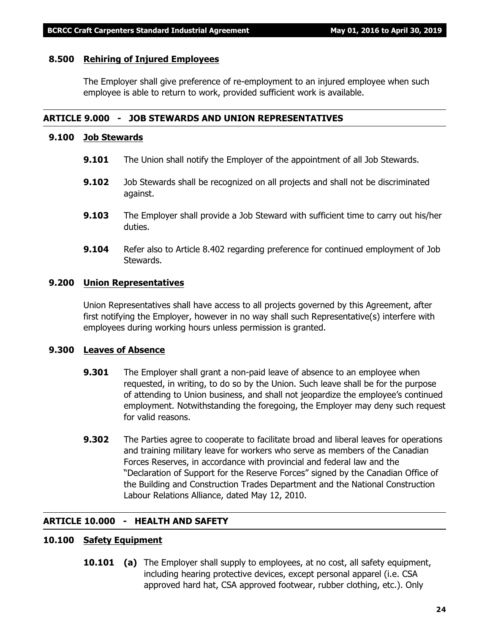#### **8.500 Rehiring of Injured Employees**

The Employer shall give preference of re-employment to an injured employee when such employee is able to return to work, provided sufficient work is available.

#### **ARTICLE 9.000 - JOB STEWARDS AND UNION REPRESENTATIVES**

#### **9.100 Job Stewards**

- **9.101** The Union shall notify the Employer of the appointment of all Job Stewards.
- **9.102** Job Stewards shall be recognized on all projects and shall not be discriminated against.
- **9.103** The Employer shall provide a Job Steward with sufficient time to carry out his/her duties.
- **9.104** Refer also to Article 8.402 regarding preference for continued employment of Job Stewards.

#### **9.200 Union Representatives**

Union Representatives shall have access to all projects governed by this Agreement, after first notifying the Employer, however in no way shall such Representative(s) interfere with employees during working hours unless permission is granted.

#### **9.300 Leaves of Absence**

- **9.301** The Employer shall grant a non-paid leave of absence to an employee when requested, in writing, to do so by the Union. Such leave shall be for the purpose of attending to Union business, and shall not jeopardize the employee's continued employment. Notwithstanding the foregoing, the Employer may deny such request for valid reasons.
- **9.302** The Parties agree to cooperate to facilitate broad and liberal leaves for operations and training military leave for workers who serve as members of the Canadian Forces Reserves, in accordance with provincial and federal law and the "Declaration of Support for the Reserve Forces" signed by the Canadian Office of the Building and Construction Trades Department and the National Construction Labour Relations Alliance, dated May 12, 2010.

#### **ARTICLE 10.000 - HEALTH AND SAFETY**

# **10.100 Safety Equipment**

**10.101 (a)** The Employer shall supply to employees, at no cost, all safety equipment, including hearing protective devices, except personal apparel (i.e. CSA approved hard hat, CSA approved footwear, rubber clothing, etc.). Only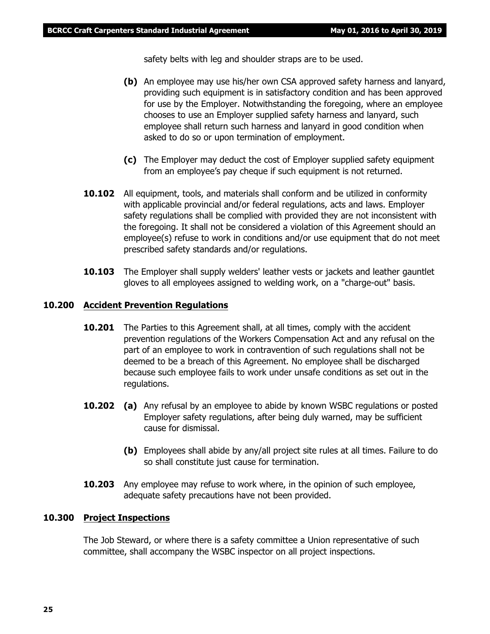safety belts with leg and shoulder straps are to be used.

- **(b)** An employee may use his/her own CSA approved safety harness and lanyard, providing such equipment is in satisfactory condition and has been approved for use by the Employer. Notwithstanding the foregoing, where an employee chooses to use an Employer supplied safety harness and lanyard, such employee shall return such harness and lanyard in good condition when asked to do so or upon termination of employment.
- **(c)** The Employer may deduct the cost of Employer supplied safety equipment from an employee's pay cheque if such equipment is not returned.
- **10.102** All equipment, tools, and materials shall conform and be utilized in conformity with applicable provincial and/or federal regulations, acts and laws. Employer safety regulations shall be complied with provided they are not inconsistent with the foregoing. It shall not be considered a violation of this Agreement should an employee(s) refuse to work in conditions and/or use equipment that do not meet prescribed safety standards and/or regulations.
- **10.103** The Employer shall supply welders' leather vests or jackets and leather gauntlet gloves to all employees assigned to welding work, on a "charge-out" basis.

#### **10.200 Accident Prevention Regulations**

- **10.201** The Parties to this Agreement shall, at all times, comply with the accident prevention regulations of the *Workers Compensation Act* and any refusal on the part of an employee to work in contravention of such regulations shall not be deemed to be a breach of this Agreement. No employee shall be discharged because such employee fails to work under unsafe conditions as set out in the regulations.
- **10.202 (a)** Any refusal by an employee to abide by known WSBC regulations or posted Employer safety regulations, after being duly warned, may be sufficient cause for dismissal.
	- **(b)** Employees shall abide by any/all project site rules at all times. Failure to do so shall constitute just cause for termination.
- **10.203** Any employee may refuse to work where, in the opinion of such employee, adequate safety precautions have not been provided.

#### **10.300 Project Inspections**

The Job Steward, or where there is a safety committee a Union representative of such committee, shall accompany the WSBC inspector on all project inspections.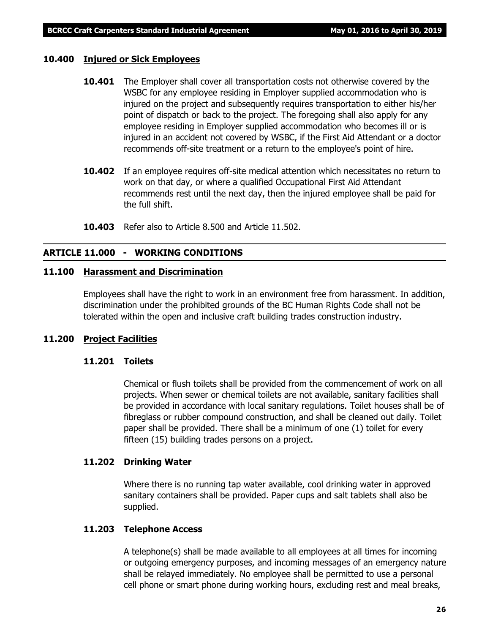#### **10.400 Injured or Sick Employees**

- **10.401** The Employer shall cover all transportation costs not otherwise covered by the WSBC for any employee residing in Employer supplied accommodation who is injured on the project and subsequently requires transportation to either his/her point of dispatch or back to the project. The foregoing shall also apply for any employee residing in Employer supplied accommodation who becomes ill or is injured in an accident not covered by WSBC, if the First Aid Attendant or a doctor recommends off-site treatment or a return to the employee's point of hire.
- **10.402** If an employee requires off-site medical attention which necessitates no return to work on that day, or where a qualified Occupational First Aid Attendant recommends rest until the next day, then the injured employee shall be paid for the full shift.
- **10.403** Refer also to Article 8.500 and Article 11.502.

### **ARTICLE 11.000 - WORKING CONDITIONS**

#### **11.100 Harassment and Discrimination**

Employees shall have the right to work in an environment free from harassment. In addition, discrimination under the prohibited grounds of the *BC Human Rights Code* shall not be tolerated within the open and inclusive craft building trades construction industry.

#### **11.200 Project Facilities**

#### **11.201 Toilets**

Chemical or flush toilets shall be provided from the commencement of work on all projects. When sewer or chemical toilets are not available, sanitary facilities shall be provided in accordance with local sanitary regulations. Toilet houses shall be of fibreglass or rubber compound construction, and shall be cleaned out daily. Toilet paper shall be provided. There shall be a minimum of one (1) toilet for every fifteen (15) building trades persons on a project.

#### **11.202 Drinking Water**

Where there is no running tap water available, cool drinking water in approved sanitary containers shall be provided. Paper cups and salt tablets shall also be supplied.

#### **11.203 Telephone Access**

A telephone(s) shall be made available to all employees at all times for incoming or outgoing emergency purposes, and incoming messages of an emergency nature shall be relayed immediately. No employee shall be permitted to use a personal cell phone or smart phone during working hours, excluding rest and meal breaks,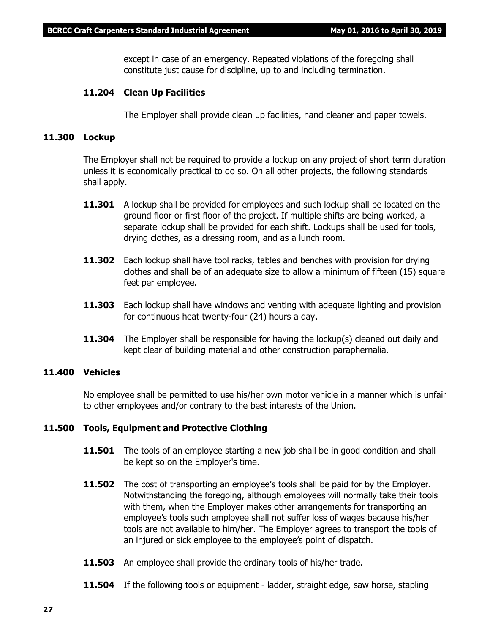except in case of an emergency. Repeated violations of the foregoing shall constitute just cause for discipline, up to and including termination.

#### **11.204 Clean Up Facilities**

The Employer shall provide clean up facilities, hand cleaner and paper towels.

### **11.300 Lockup**

The Employer shall not be required to provide a lockup on any project of short term duration unless it is economically practical to do so. On all other projects, the following standards shall apply.

- **11.301** A lockup shall be provided for employees and such lockup shall be located on the ground floor or first floor of the project. If multiple shifts are being worked, a separate lockup shall be provided for each shift. Lockups shall be used for tools, drying clothes, as a dressing room, and as a lunch room.
- **11.302** Each lockup shall have tool racks, tables and benches with provision for drying clothes and shall be of an adequate size to allow a minimum of fifteen (15) square feet per employee.
- **11.303** Each lockup shall have windows and venting with adequate lighting and provision for continuous heat twenty-four (24) hours a day.
- **11.304** The Employer shall be responsible for having the lockup(s) cleaned out daily and kept clear of building material and other construction paraphernalia.

#### **11.400 Vehicles**

No employee shall be permitted to use his/her own motor vehicle in a manner which is unfair to other employees and/or contrary to the best interests of the Union.

#### **11.500 Tools, Equipment and Protective Clothing**

- **11.501** The tools of an employee starting a new job shall be in good condition and shall be kept so on the Employer's time.
- **11.502** The cost of transporting an employee's tools shall be paid for by the Employer. Notwithstanding the foregoing, although employees will normally take their tools with them, when the Employer makes other arrangements for transporting an employee's tools such employee shall not suffer loss of wages because his/her tools are not available to him/her. The Employer agrees to transport the tools of an injured or sick employee to the employee's point of dispatch.
- **11.503** An employee shall provide the ordinary tools of his/her trade.
- **11.504** If the following tools or equipment ladder, straight edge, saw horse, stapling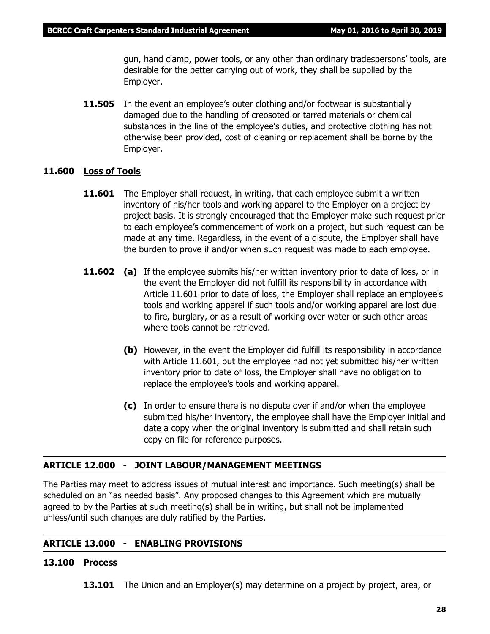gun, hand clamp, power tools, or any other than ordinary tradespersons' tools, are desirable for the better carrying out of work, they shall be supplied by the Employer.

**11.505** In the event an employee's outer clothing and/or footwear is substantially damaged due to the handling of creosoted or tarred materials or chemical substances in the line of the employee's duties, and protective clothing has not otherwise been provided, cost of cleaning or replacement shall be borne by the Employer.

#### **11.600 Loss of Tools**

- **11.601** The Employer shall request, in writing, that each employee submit a written inventory of his/her tools and working apparel to the Employer on a project by project basis. It is strongly encouraged that the Employer make such request prior to each employee's commencement of work on a project, but such request can be made at any time. Regardless, in the event of a dispute, the Employer shall have the burden to prove if and/or when such request was made to each employee.
- **11.602** (a) If the employee submits his/her written inventory prior to date of loss, or in the event the Employer did not fulfill its responsibility in accordance with Article 11.601 prior to date of loss, the Employer shall replace an employee's tools and working apparel if such tools and/or working apparel are lost due to fire, burglary, or as a result of working over water or such other areas where tools cannot be retrieved.
	- **(b)** However, in the event the Employer did fulfill its responsibility in accordance with Article 11.601, but the employee had not yet submitted his/her written inventory prior to date of loss, the Employer shall have no obligation to replace the employee's tools and working apparel.
	- **(c)** In order to ensure there is no dispute over if and/or when the employee submitted his/her inventory, the employee shall have the Employer initial and date a copy when the original inventory is submitted and shall retain such copy on file for reference purposes.

#### **ARTICLE 12.000 - JOINT LABOUR/MANAGEMENT MEETINGS**

The Parties may meet to address issues of mutual interest and importance. Such meeting(s) shall be scheduled on an "as needed basis". Any proposed changes to this Agreement which are mutually agreed to by the Parties at such meeting(s) shall be in writing, but shall not be implemented unless/until such changes are duly ratified by the Parties.

# **ARTICLE 13.000 - ENABLING PROVISIONS**

### **13.100 Process**

**13.101** The Union and an Employer(s) may determine on a project by project, area, or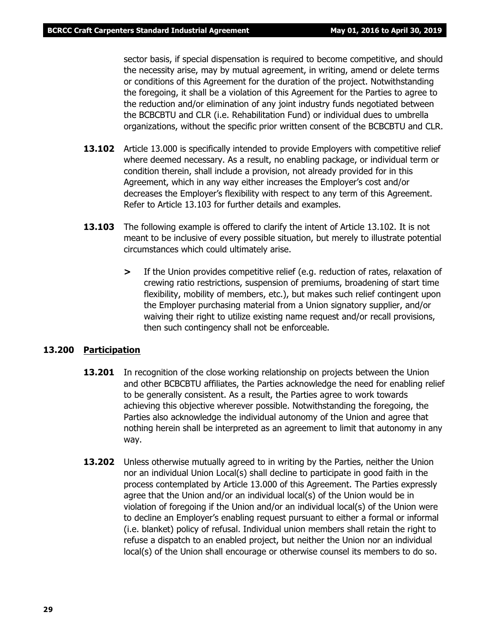sector basis, if special dispensation is required to become competitive, and should the necessity arise, may by mutual agreement, in writing, amend or delete terms or conditions of this Agreement for the duration of the project. Notwithstanding the foregoing, it shall be a violation of this Agreement for the Parties to agree to the reduction and/or elimination of any joint industry funds negotiated between the BCBCBTU and CLR (i.e. Rehabilitation Fund) or individual dues to umbrella organizations, without the specific prior written consent of the BCBCBTU and CLR.

- **13.102** Article 13.000 is specifically intended to provide Employers with competitive relief where deemed necessary. As a result, no enabling package, or individual term or condition therein, shall include a provision, not already provided for in this Agreement, which in any way either increases the Employer's cost and/or decreases the Employer's flexibility with respect to any term of this Agreement. Refer to Article 13.103 for further details and examples.
- **13.103** The following example is offered to clarify the intent of Article 13.102. It is not meant to be inclusive of every possible situation, but merely to illustrate potential circumstances which could ultimately arise.
	- **>** If the Union provides competitive relief (e.g. reduction of rates, relaxation of crewing ratio restrictions, suspension of premiums, broadening of start time flexibility, mobility of members, etc.), but makes such relief contingent upon the Employer purchasing material from a Union signatory supplier, and/or waiving their right to utilize existing name request and/or recall provisions, then such contingency shall not be enforceable.

#### **13.200 Participation**

- **13.201** In recognition of the close working relationship on projects between the Union and other BCBCBTU affiliates, the Parties acknowledge the need for enabling relief to be generally consistent. As a result, the Parties agree to work towards achieving this objective wherever possible. Notwithstanding the foregoing, the Parties also acknowledge the individual autonomy of the Union and agree that nothing herein shall be interpreted as an agreement to limit that autonomy in any way.
- **13.202** Unless otherwise mutually agreed to in writing by the Parties, neither the Union nor an individual Union Local(s) shall decline to participate in good faith in the process contemplated by Article 13.000 of this Agreement. The Parties expressly agree that the Union and/or an individual local(s) of the Union would be in violation of foregoing if the Union and/or an individual local(s) of the Union were to decline an Employer's enabling request pursuant to either a formal or informal (i.e. blanket) policy of refusal. Individual union members shall retain the right to refuse a dispatch to an enabled project, but neither the Union nor an individual local(s) of the Union shall encourage or otherwise counsel its members to do so.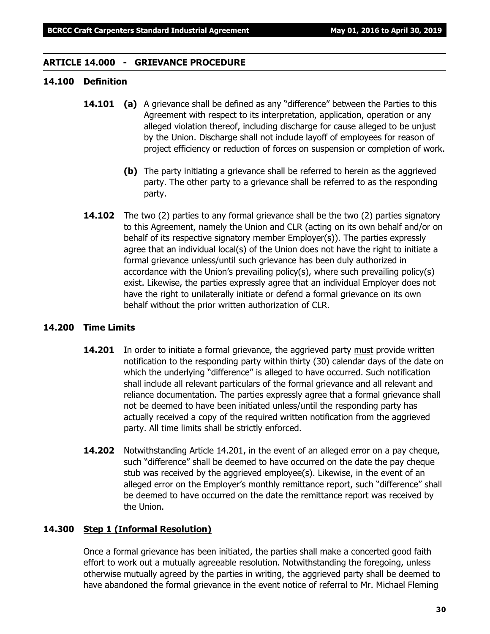#### **ARTICLE 14.000 - GRIEVANCE PROCEDURE**

# **14.100 Definition**

- **14.101 (a)** A grievance shall be defined as any "difference" between the Parties to this Agreement with respect to its interpretation, application, operation or any alleged violation thereof, including discharge for cause alleged to be unjust by the Union. Discharge shall not include layoff of employees for reason of project efficiency or reduction of forces on suspension or completion of work.
	- **(b)** The party initiating a grievance shall be referred to herein as the aggrieved party. The other party to a grievance shall be referred to as the responding party.
- **14.102** The two (2) parties to any formal grievance shall be the two (2) parties signatory to this Agreement, namely the Union and CLR (acting on its own behalf and/or on behalf of its respective signatory member Employer(s)). The parties expressly agree that an individual local(s) of the Union does not have the right to initiate a formal grievance unless/until such grievance has been duly authorized in accordance with the Union's prevailing policy(s), where such prevailing policy(s) exist. Likewise, the parties expressly agree that an individual Employer does not have the right to unilaterally initiate or defend a formal grievance on its own behalf without the prior written authorization of CLR.

#### **14.200 Time Limits**

- **14.201** In order to initiate a formal grievance, the aggrieved party must provide written notification to the responding party within thirty (30) calendar days of the date on which the underlying "difference" is alleged to have occurred. Such notification shall include all relevant particulars of the formal grievance and all relevant and reliance documentation. The parties expressly agree that a formal grievance shall not be deemed to have been initiated unless/until the responding party has actually received a copy of the required written notification from the aggrieved party. All time limits shall be strictly enforced.
- **14.202** Notwithstanding Article 14.201, in the event of an alleged error on a pay cheque, such "difference" shall be deemed to have occurred on the date the pay cheque stub was received by the aggrieved employee(s). Likewise, in the event of an alleged error on the Employer's monthly remittance report, such "difference" shall be deemed to have occurred on the date the remittance report was received by the Union.

#### **14.300 Step 1 (Informal Resolution)**

Once a formal grievance has been initiated, the parties shall make a concerted good faith effort to work out a mutually agreeable resolution. Notwithstanding the foregoing, unless otherwise mutually agreed by the parties in writing, the aggrieved party shall be deemed to have abandoned the formal grievance in the event notice of referral to Mr. Michael Fleming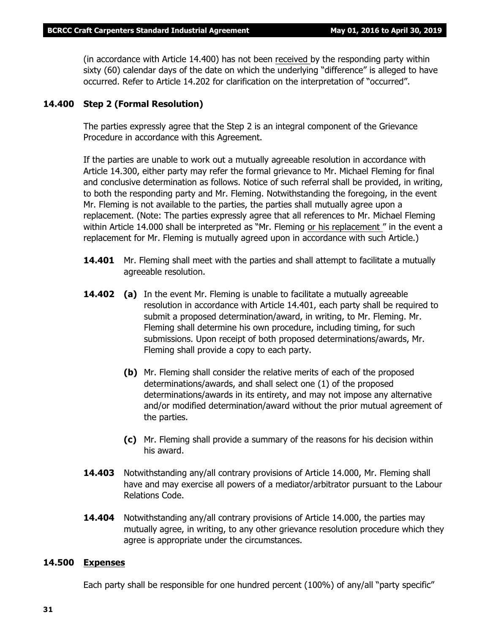(in accordance with Article 14.400) has not been received by the responding party within sixty (60) calendar days of the date on which the underlying "difference" is alleged to have occurred. Refer to Article 14.202 for clarification on the interpretation of "occurred".

#### **14.400 Step 2 (Formal Resolution)**

The parties expressly agree that the Step 2 is an integral component of the Grievance Procedure in accordance with this Agreement.

If the parties are unable to work out a mutually agreeable resolution in accordance with Article 14.300, either party may refer the formal grievance to Mr. Michael Fleming for final and conclusive determination as follows. Notice of such referral shall be provided, in writing, to both the responding party and Mr. Fleming. Notwithstanding the foregoing, in the event Mr. Fleming is not available to the parties, the parties shall mutually agree upon a replacement. (Note: The parties expressly agree that all references to Mr. Michael Fleming within Article 14.000 shall be interpreted as *"Mr. Fleming or his replacement "* in the event a replacement for Mr. Fleming is mutually agreed upon in accordance with such Article.)

- **14.401** Mr. Fleming shall meet with the parties and shall attempt to facilitate a mutually agreeable resolution.
- **14.402 (a)** In the event Mr. Fleming is unable to facilitate a mutually agreeable resolution in accordance with Article 14.401, each party shall be required to submit a proposed determination/award, in writing, to Mr. Fleming. Mr. Fleming shall determine his own procedure, including timing, for such submissions. Upon receipt of both proposed determinations/awards, Mr. Fleming shall provide a copy to each party.
	- **(b)** Mr. Fleming shall consider the relative merits of each of the proposed determinations/awards, and shall select one (1) of the proposed determinations/awards in its entirety, and may not impose any alternative and/or modified determination/award without the prior mutual agreement of the parties.
	- **(c)** Mr. Fleming shall provide a summary of the reasons for his decision within his award.
- **14.403** Notwithstanding any/all contrary provisions of Article 14.000, Mr. Fleming shall have and may exercise all powers of a mediator/arbitrator pursuant to the *Labour Relations Code.*
- **14.404** Notwithstanding any/all contrary provisions of Article 14.000, the parties may mutually agree, in writing, to any other grievance resolution procedure which they agree is appropriate under the circumstances.

#### **14.500 Expenses**

Each party shall be responsible for one hundred percent (100%) of any/all "party specific"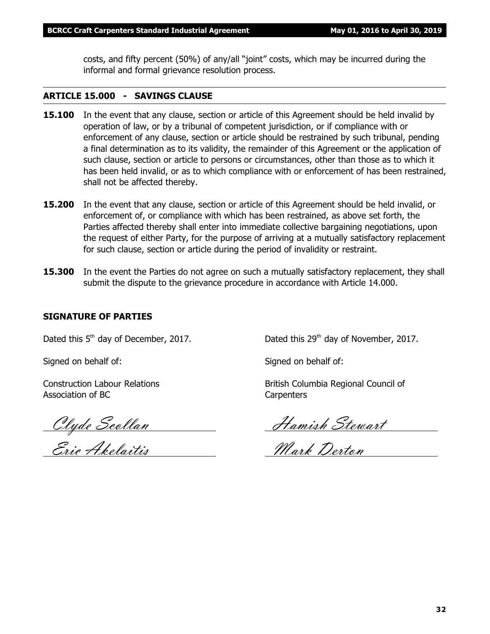costs, and fifty percent (50%) of any/all "joint" costs, which may be incurred during the informal and formal grievance resolution process.

# **ARTICLE 15.000 - SAVINGS CLAUSE**

- **15.100** In the event that any clause, section or article of this Agreement should be held invalid by operation of law, or by a tribunal of competent jurisdiction, or if compliance with or enforcement of any clause, section or article should be restrained by such tribunal, pending a final determination as to its validity, the remainder of this Agreement or the application of such clause, section or article to persons or circumstances, other than those as to which it has been held invalid, or as to which compliance with or enforcement of has been restrained, shall not be affected thereby.
- **15.200** In the event that any clause, section or article of this Agreement should be held invalid, or enforcement of, or compliance with which has been restrained, as above set forth, the Parties affected thereby shall enter into immediate collective bargaining negotiations, upon the request of either Party, for the purpose of arriving at a mutually satisfactory replacement for such clause, section or article during the period of invalidity or restraint.
- **15.300** In the event the Parties do not agree on such a mutually satisfactory replacement, they shall submit the dispute to the grievance procedure in accordance with Article 14.000.

# **SIGNATURE OF PARTIES**

Association of BC Carpenters

<u>Eric Akelaitis</u> Mark Derton

Dated this  $5<sup>th</sup>$  day of December, 2017. Dated this  $29<sup>th</sup>$  day of November, 2017.

Signed on behalf of: Signed on behalf of:

Construction Labour Relations **British Columbia Regional Council of** British Columbia Regional Council of

Clyde Scollan Hamish Stewart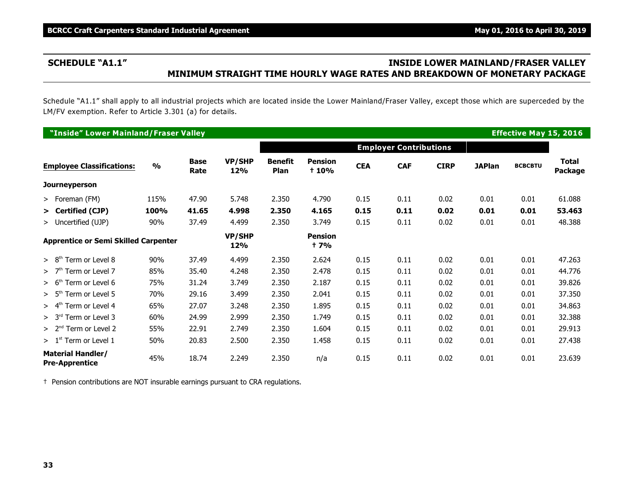# **SCHEDULE "A1.1" INSIDE LOWER MAINLAND/FRASER VALLEY MINIMUM STRAIGHT TIME HOURLY WAGE RATES AND BREAKDOWN OF MONETARY PACKAGE**

Schedule "A1.1" shall apply to all industrial projects which are located inside the Lower Mainland/Fraser Valley, except those which are superceded by the LM/FV exemption. Refer to Article 3.301 (a) for details.

| "Inside" Lower Mainland/Fraser Valley<br><b>Effective May 15, 2016</b> |               |                     |                      |                               |                                |            |            |             |               |                |                                |
|------------------------------------------------------------------------|---------------|---------------------|----------------------|-------------------------------|--------------------------------|------------|------------|-------------|---------------|----------------|--------------------------------|
|                                                                        |               |                     |                      | <b>Employer Contributions</b> |                                |            |            |             |               |                |                                |
| <b>Employee Classifications:</b>                                       | $\frac{0}{0}$ | <b>Base</b><br>Rate | <b>VP/SHP</b><br>12% | <b>Benefit</b><br><b>Plan</b> | <b>Pension</b><br><b>t</b> 10% | <b>CEA</b> | <b>CAF</b> | <b>CIRP</b> | <b>JAPlan</b> | <b>BCBCBTU</b> | <b>Total</b><br><b>Package</b> |
| <b>Journeyperson</b>                                                   |               |                     |                      |                               |                                |            |            |             |               |                |                                |
| > Foreman (FM)                                                         | 115%          | 47.90               | 5.748                | 2.350                         | 4.790                          | 0.15       | 0.11       | 0.02        | 0.01          | 0.01           | 61.088                         |
| > Certified (CJP)                                                      | 100%          | 41.65               | 4.998                | 2.350                         | 4.165                          | 0.15       | 0.11       | 0.02        | 0.01          | 0.01           | 53.463                         |
| > Uncertified (UJP)                                                    | 90%           | 37.49               | 4.499                | 2.350                         | 3.749                          | 0.15       | 0.11       | 0.02        | 0.01          | 0.01           | 48.388                         |
| <b>Apprentice or Semi Skilled Carpenter</b>                            |               |                     | VP/SHP<br>12%        |                               | <b>Pension</b><br>† 7%         |            |            |             |               |                |                                |
| $> 8th$ Term or Level 8                                                | 90%           | 37.49               | 4.499                | 2.350                         | 2.624                          | 0.15       | 0.11       | 0.02        | 0.01          | 0.01           | 47.263                         |
| $>$ 7 <sup>th</sup> Term or Level 7                                    | 85%           | 35.40               | 4.248                | 2.350                         | 2.478                          | 0.15       | 0.11       | 0.02        | 0.01          | 0.01           | 44.776                         |
| $> 6th$ Term or Level 6                                                | 75%           | 31.24               | 3.749                | 2.350                         | 2.187                          | 0.15       | 0.11       | 0.02        | 0.01          | 0.01           | 39.826                         |
| $> 5th$ Term or Level 5                                                | 70%           | 29.16               | 3.499                | 2.350                         | 2.041                          | 0.15       | 0.11       | 0.02        | 0.01          | 0.01           | 37.350                         |
| $> 4th$ Term or Level 4                                                | 65%           | 27.07               | 3.248                | 2.350                         | 1.895                          | 0.15       | 0.11       | 0.02        | 0.01          | 0.01           | 34.863                         |
| $> 3rd$ Term or Level 3                                                | 60%           | 24.99               | 2.999                | 2.350                         | 1.749                          | 0.15       | 0.11       | 0.02        | 0.01          | 0.01           | 32.388                         |
| $> 2nd$ Term or Level 2                                                | 55%           | 22.91               | 2.749                | 2.350                         | 1.604                          | 0.15       | 0.11       | 0.02        | 0.01          | 0.01           | 29.913                         |
| $>1st$ Term or Level 1                                                 | 50%           | 20.83               | 2.500                | 2.350                         | 1.458                          | 0.15       | 0.11       | 0.02        | 0.01          | 0.01           | 27.438                         |
| <b>Material Handler/</b><br><b>Pre-Apprentice</b>                      | 45%           | 18.74               | 2.249                | 2.350                         | n/a                            | 0.15       | 0.11       | 0.02        | 0.01          | 0.01           | 23.639                         |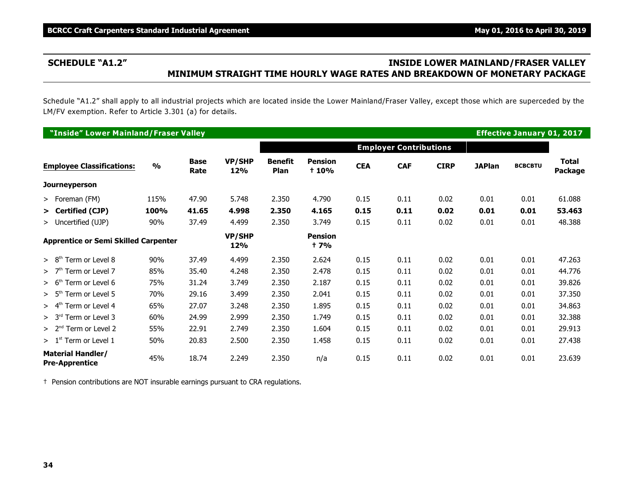# **SCHEDULE "A1.2" INSIDE LOWER MAINLAND/FRASER VALLEY MINIMUM STRAIGHT TIME HOURLY WAGE RATES AND BREAKDOWN OF MONETARY PACKAGE**

Schedule "A1.2" shall apply to all industrial projects which are located inside the Lower Mainland/Fraser Valley, except those which are superceded by the LM/FV exemption. Refer to Article 3.301 (a) for details.

| "Inside" Lower Mainland/Fraser Valley<br><b>Effective January 01, 2017</b> |               |                     |                      |                               |                               |            |            |             |               |                |                         |
|----------------------------------------------------------------------------|---------------|---------------------|----------------------|-------------------------------|-------------------------------|------------|------------|-------------|---------------|----------------|-------------------------|
|                                                                            |               |                     |                      | <b>Employer Contributions</b> |                               |            |            |             |               |                |                         |
| <b>Employee Classifications:</b>                                           | $\frac{0}{0}$ | <b>Base</b><br>Rate | <b>VP/SHP</b><br>12% | <b>Benefit</b><br><b>Plan</b> | <b>Pension</b><br>+ 10%       | <b>CEA</b> | <b>CAF</b> | <b>CIRP</b> | <b>JAPlan</b> | <b>BCBCBTU</b> | <b>Total</b><br>Package |
| <b>Journeyperson</b>                                                       |               |                     |                      |                               |                               |            |            |             |               |                |                         |
| > Foreman (FM)                                                             | 115%          | 47.90               | 5.748                | 2.350                         | 4.790                         | 0.15       | 0.11       | 0.02        | 0.01          | 0.01           | 61.088                  |
| > Certified (CJP)                                                          | 100%          | 41.65               | 4.998                | 2.350                         | 4.165                         | 0.15       | 0.11       | 0.02        | 0.01          | 0.01           | 53.463                  |
| > Uncertified (UJP)                                                        | 90%           | 37.49               | 4.499                | 2.350                         | 3.749                         | 0.15       | 0.11       | 0.02        | 0.01          | 0.01           | 48.388                  |
| <b>Apprentice or Semi Skilled Carpenter</b>                                |               |                     | VP/SHP<br>12%        |                               | <b>Pension</b><br><b>t</b> 7% |            |            |             |               |                |                         |
| $> 8th$ Term or Level 8                                                    | 90%           | 37.49               | 4.499                | 2.350                         | 2.624                         | 0.15       | 0.11       | 0.02        | 0.01          | 0.01           | 47.263                  |
| $>$ 7 <sup>th</sup> Term or Level 7                                        | 85%           | 35.40               | 4.248                | 2.350                         | 2.478                         | 0.15       | 0.11       | 0.02        | 0.01          | 0.01           | 44.776                  |
| $> 6th$ Term or Level 6                                                    | 75%           | 31.24               | 3.749                | 2.350                         | 2.187                         | 0.15       | 0.11       | 0.02        | 0.01          | 0.01           | 39.826                  |
| $> 5th$ Term or Level 5                                                    | 70%           | 29.16               | 3.499                | 2.350                         | 2.041                         | 0.15       | 0.11       | 0.02        | 0.01          | 0.01           | 37.350                  |
| $> 4th$ Term or Level 4                                                    | 65%           | 27.07               | 3.248                | 2.350                         | 1.895                         | 0.15       | 0.11       | 0.02        | 0.01          | 0.01           | 34.863                  |
| $> 3rd$ Term or Level 3                                                    | 60%           | 24.99               | 2.999                | 2.350                         | 1.749                         | 0.15       | 0.11       | 0.02        | 0.01          | 0.01           | 32.388                  |
| $> 2nd$ Term or Level 2                                                    | 55%           | 22.91               | 2.749                | 2.350                         | 1.604                         | 0.15       | 0.11       | 0.02        | 0.01          | 0.01           | 29.913                  |
| $>1st$ Term or Level 1                                                     | 50%           | 20.83               | 2.500                | 2.350                         | 1.458                         | 0.15       | 0.11       | 0.02        | 0.01          | 0.01           | 27.438                  |
| <b>Material Handler/</b><br><b>Pre-Apprentice</b>                          | 45%           | 18.74               | 2.249                | 2.350                         | n/a                           | 0.15       | 0.11       | 0.02        | 0.01          | 0.01           | 23.639                  |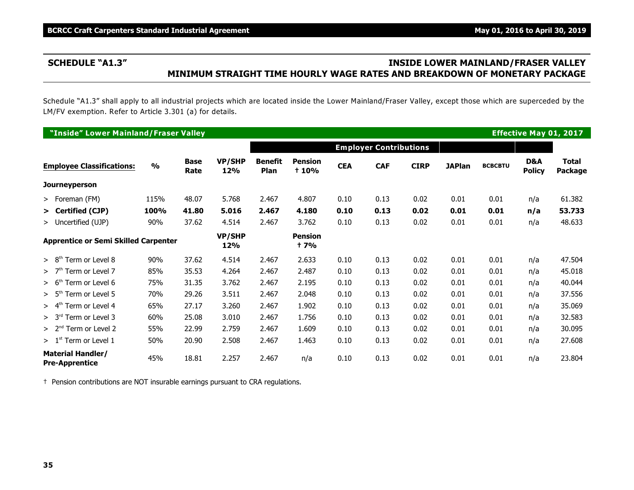# **SCHEDULE "A1.3" INSIDE LOWER MAINLAND/FRASER VALLEY MINIMUM STRAIGHT TIME HOURLY WAGE RATES AND BREAKDOWN OF MONETARY PACKAGE**

Schedule "A1.3" shall apply to all industrial projects which are located inside the Lower Mainland/Fraser Valley, except those which are superceded by the LM/FV exemption. Refer to Article 3.301 (a) for details.

|                                                   | "Inside" Lower Mainland/Fraser Valley       |               |                     |                      |                               |                                |            |                               |             |               |                |                      | <b>Effective May 01, 2017</b> |
|---------------------------------------------------|---------------------------------------------|---------------|---------------------|----------------------|-------------------------------|--------------------------------|------------|-------------------------------|-------------|---------------|----------------|----------------------|-------------------------------|
|                                                   |                                             |               |                     |                      |                               |                                |            | <b>Employer Contributions</b> |             |               |                |                      |                               |
|                                                   | <b>Employee Classifications:</b>            | $\frac{0}{0}$ | <b>Base</b><br>Rate | <b>VP/SHP</b><br>12% | <b>Benefit</b><br><b>Plan</b> | <b>Pension</b><br><b>t</b> 10% | <b>CEA</b> | <b>CAF</b>                    | <b>CIRP</b> | <b>JAPlan</b> | <b>BCBCBTU</b> | D&A<br><b>Policy</b> | <b>Total</b><br>Package       |
| <b>Journeyperson</b>                              |                                             |               |                     |                      |                               |                                |            |                               |             |               |                |                      |                               |
| > Foreman (FM)                                    |                                             | 115%          | 48.07               | 5.768                | 2.467                         | 4.807                          | 0.10       | 0.13                          | 0.02        | 0.01          | 0.01           | n/a                  | 61.382                        |
| > Certified (CJP)                                 |                                             | 100%          | 41.80               | 5.016                | 2.467                         | 4.180                          | 0.10       | 0.13                          | 0.02        | 0.01          | 0.01           | n/a                  | 53.733                        |
| > Uncertified (UJP)                               |                                             | 90%           | 37.62               | 4.514                | 2.467                         | 3.762                          | 0.10       | 0.13                          | 0.02        | 0.01          | 0.01           | n/a                  | 48.633                        |
|                                                   | <b>Apprentice or Semi Skilled Carpenter</b> |               |                     | <b>VP/SHP</b><br>12% |                               | <b>Pension</b><br><b>t</b> 7%  |            |                               |             |               |                |                      |                               |
| > 8 <sup>tr</sup>                                 | Term or Level 8                             | 90%           | 37.62               | 4.514                | 2.467                         | 2.633                          | 0.10       | 0.13                          | 0.02        | 0.01          | 0.01           | n/a                  | 47.504                        |
| >7 <sup>th</sup>                                  | Term or Level 7                             | 85%           | 35.53               | 4.264                | 2.467                         | 2.487                          | 0.10       | 0.13                          | 0.02        | 0.01          | 0.01           | n/a                  | 45.018                        |
| > 6 <sup>tr</sup>                                 | Term or Level 6                             | 75%           | 31.35               | 3.762                | 2.467                         | 2.195                          | 0.10       | 0.13                          | 0.02        | 0.01          | 0.01           | n/a                  | 40.044                        |
| $> 5$ <sup>tr</sup>                               | Term or Level 5                             | 70%           | 29.26               | 3.511                | 2.467                         | 2.048                          | 0.10       | 0.13                          | 0.02        | 0.01          | 0.01           | n/a                  | 37.556                        |
| > 4 <sup>th</sup>                                 | Term or Level 4                             | 65%           | 27.17               | 3.260                | 2.467                         | 1.902                          | 0.10       | 0.13                          | 0.02        | 0.01          | 0.01           | n/a                  | 35.069                        |
| > 3 <sup>rd</sup>                                 | Term or Level 3                             | 60%           | 25.08               | 3.010                | 2.467                         | 1.756                          | 0.10       | 0.13                          | 0.02        | 0.01          | 0.01           | n/a                  | 32.583                        |
|                                                   | $> 2nd$ Term or Level 2                     | 55%           | 22.99               | 2.759                | 2.467                         | 1.609                          | 0.10       | 0.13                          | 0.02        | 0.01          | 0.01           | n/a                  | 30.095                        |
| $>1st$ Term or Level 1                            |                                             | 50%           | 20.90               | 2.508                | 2.467                         | 1.463                          | 0.10       | 0.13                          | 0.02        | 0.01          | 0.01           | n/a                  | 27.608                        |
| <b>Material Handler/</b><br><b>Pre-Apprentice</b> |                                             | 45%           | 18.81               | 2.257                | 2.467                         | n/a                            | 0.10       | 0.13                          | 0.02        | 0.01          | 0.01           | n/a                  | 23.804                        |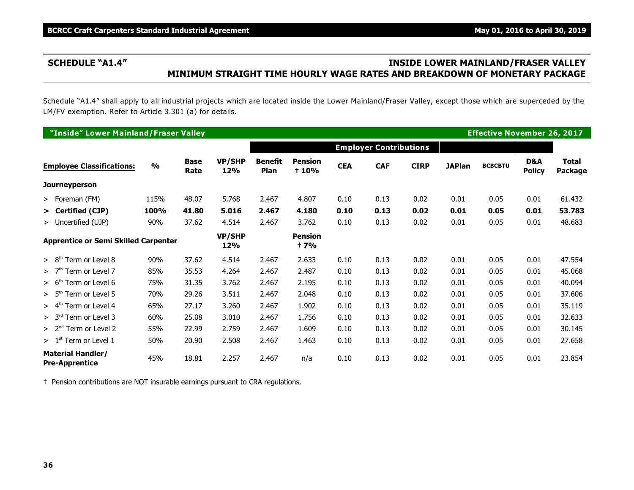# **SCHEDULE "A1.4" INSIDE LOWER MAINLAND/FRASER VALLEY MINIMUM STRAIGHT TIME HOURLY WAGE RATES AND BREAKDOWN OF MONETARY PACKAGE**

Schedule "A1.4" shall apply to all industrial projects which are located inside the Lower Mainland/Fraser Valley, except those which are superceded by the LM/FV exemption. Refer to Article 3.301 (a) for details.

| "Inside" Lower Mainland/Fraser Valley             |               |                     |                      |                        |                                |            |                               |             |               | <b>Effective November 26, 2017</b> |                      |                         |
|---------------------------------------------------|---------------|---------------------|----------------------|------------------------|--------------------------------|------------|-------------------------------|-------------|---------------|------------------------------------|----------------------|-------------------------|
|                                                   |               |                     |                      |                        |                                |            | <b>Employer Contributions</b> |             |               |                                    |                      |                         |
| <b>Employee Classifications:</b>                  | $\frac{0}{0}$ | <b>Base</b><br>Rate | <b>VP/SHP</b><br>12% | <b>Benefit</b><br>Plan | <b>Pension</b><br><b>t</b> 10% | <b>CEA</b> | <b>CAF</b>                    | <b>CIRP</b> | <b>JAPlan</b> | <b>BCBCBTU</b>                     | D&A<br><b>Policy</b> | <b>Total</b><br>Package |
| <b>Journeyperson</b>                              |               |                     |                      |                        |                                |            |                               |             |               |                                    |                      |                         |
| > Foreman (FM)                                    | 115%          | 48.07               | 5.768                | 2.467                  | 4.807                          | 0.10       | 0.13                          | 0.02        | 0.01          | 0.05                               | 0.01                 | 61.432                  |
| > Certified (CJP)                                 | 100%          | 41.80               | 5.016                | 2.467                  | 4.180                          | 0.10       | 0.13                          | 0.02        | 0.01          | 0.05                               | 0.01                 | 53.783                  |
| > Uncertified (UJP)                               | 90%           | 37.62               | 4.514                | 2.467                  | 3.762                          | 0.10       | 0.13                          | 0.02        | 0.01          | 0.05                               | 0.01                 | 48.683                  |
| <b>Apprentice or Semi Skilled Carpenter</b>       |               |                     | <b>VP/SHP</b><br>12% |                        | <b>Pension</b><br><b>t</b> 7%  |            |                               |             |               |                                    |                      |                         |
| > 8 <sup>th</sup><br>Term or Level 8              | 90%           | 37.62               | 4.514                | 2.467                  | 2.633                          | 0.10       | 0.13                          | 0.02        | 0.01          | 0.05                               | 0.01                 | 47.554                  |
| >7 <sup>th</sup><br>Term or Level 7               | 85%           | 35.53               | 4.264                | 2.467                  | 2.487                          | 0.10       | 0.13                          | 0.02        | 0.01          | 0.05                               | 0.01                 | 45.068                  |
| Term or Level 6<br>> 6 <sup>th</sup>              | 75%           | 31.35               | 3.762                | 2.467                  | 2.195                          | 0.10       | 0.13                          | 0.02        | 0.01          | 0.05                               | 0.01                 | 40.094                  |
| > 5 <sup>th</sup><br>Term or Level 5              | 70%           | 29.26               | 3.511                | 2.467                  | 2.048                          | 0.10       | 0.13                          | 0.02        | 0.01          | 0.05                               | 0.01                 | 37.606                  |
| > 4 <sup>th</sup><br>Term or Level 4              | 65%           | 27.17               | 3.260                | 2.467                  | 1.902                          | 0.10       | 0.13                          | 0.02        | 0.01          | 0.05                               | 0.01                 | 35.119                  |
| > 3 <sup>rd</sup><br>Term or Level 3              | 60%           | 25.08               | 3.010                | 2.467                  | 1.756                          | 0.10       | 0.13                          | 0.02        | 0.01          | 0.05                               | 0.01                 | 32.633                  |
| $> 2nd$ Term or Level 2                           | 55%           | 22.99               | 2.759                | 2.467                  | 1.609                          | 0.10       | 0.13                          | 0.02        | 0.01          | 0.05                               | 0.01                 | 30.145                  |
| > 1 <sup>st</sup><br>Term or Level 1              | 50%           | 20.90               | 2.508                | 2.467                  | 1.463                          | 0.10       | 0.13                          | 0.02        | 0.01          | 0.05                               | 0.01                 | 27.658                  |
| <b>Material Handler/</b><br><b>Pre-Apprentice</b> | 45%           | 18.81               | 2.257                | 2.467                  | n/a                            | 0.10       | 0.13                          | 0.02        | 0.01          | 0.05                               | 0.01                 | 23.854                  |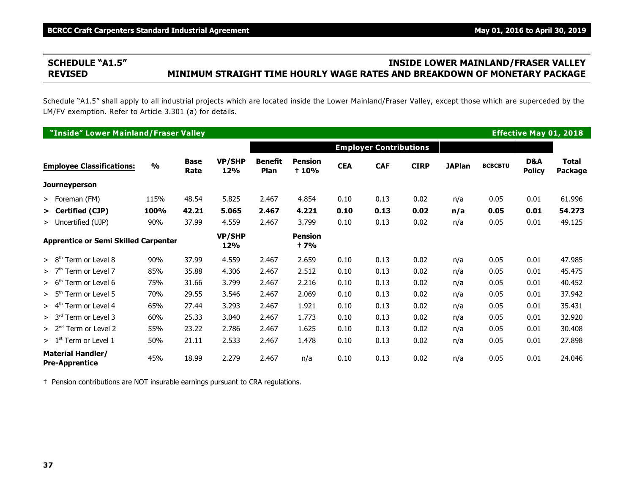# **SCHEDULE "A1.5" INSIDE LOWER MAINLAND/FRASER VALLEY REVISED MINIMUM STRAIGHT TIME HOURLY WAGE RATES AND BREAKDOWN OF MONETARY PACKAGE**

Schedule "A1.5" shall apply to all industrial projects which are located inside the Lower Mainland/Fraser Valley, except those which are superceded by the LM/FV exemption. Refer to Article 3.301 (a) for details.

| "Inside" Lower Mainland/Fraser Valley             |               |                     |                      |                               |                                |            |                               |             |               |                |                      | <b>Effective May 01, 2018</b> |
|---------------------------------------------------|---------------|---------------------|----------------------|-------------------------------|--------------------------------|------------|-------------------------------|-------------|---------------|----------------|----------------------|-------------------------------|
|                                                   |               |                     |                      |                               |                                |            | <b>Employer Contributions</b> |             |               |                |                      |                               |
| <b>Employee Classifications:</b>                  | $\frac{0}{0}$ | <b>Base</b><br>Rate | <b>VP/SHP</b><br>12% | <b>Benefit</b><br><b>Plan</b> | <b>Pension</b><br><b>t</b> 10% | <b>CEA</b> | <b>CAF</b>                    | <b>CIRP</b> | <b>JAPlan</b> | <b>BCBCBTU</b> | D&A<br><b>Policy</b> | <b>Total</b><br>Package       |
| <b>Journeyperson</b>                              |               |                     |                      |                               |                                |            |                               |             |               |                |                      |                               |
| > Foreman (FM)                                    | 115%          | 48.54               | 5.825                | 2.467                         | 4.854                          | 0.10       | 0.13                          | 0.02        | n/a           | 0.05           | 0.01                 | 61.996                        |
| > Certified (CJP)                                 | 100%          | 42.21               | 5.065                | 2.467                         | 4.221                          | 0.10       | 0.13                          | 0.02        | n/a           | 0.05           | 0.01                 | 54.273                        |
| > Uncertified (UJP)                               | 90%           | 37.99               | 4.559                | 2.467                         | 3.799                          | 0.10       | 0.13                          | 0.02        | n/a           | 0.05           | 0.01                 | 49.125                        |
| <b>Apprentice or Semi Skilled Carpenter</b>       |               |                     | <b>VP/SHP</b><br>12% |                               | <b>Pension</b><br>+ 7%         |            |                               |             |               |                |                      |                               |
| Term or Level 8<br>> 8 <sup>tr</sup>              | 90%           | 37.99               | 4.559                | 2.467                         | 2.659                          | 0.10       | 0.13                          | 0.02        | n/a           | 0.05           | 0.01                 | 47.985                        |
| >7 <sup>th</sup><br>Term or Level 7               | 85%           | 35.88               | 4.306                | 2.467                         | 2.512                          | 0.10       | 0.13                          | 0.02        | n/a           | 0.05           | 0.01                 | 45.475                        |
| Term or Level 6<br>> 6 <sup>th</sup>              | 75%           | 31.66               | 3.799                | 2.467                         | 2.216                          | 0.10       | 0.13                          | 0.02        | n/a           | 0.05           | 0.01                 | 40.452                        |
| Term or Level 5<br>> 5 <sup>th</sup>              | 70%           | 29.55               | 3.546                | 2.467                         | 2.069                          | 0.10       | 0.13                          | 0.02        | n/a           | 0.05           | 0.01                 | 37.942                        |
| > 4 <sup>th</sup><br>Term or Level 4              | 65%           | 27.44               | 3.293                | 2.467                         | 1.921                          | 0.10       | 0.13                          | 0.02        | n/a           | 0.05           | 0.01                 | 35.431                        |
| > 3 <sup>rd</sup><br>Term or Level 3              | 60%           | 25.33               | 3.040                | 2.467                         | 1.773                          | 0.10       | 0.13                          | 0.02        | n/a           | 0.05           | 0.01                 | 32.920                        |
| $> 2nd$ Term or Level 2                           | 55%           | 23.22               | 2.786                | 2.467                         | 1.625                          | 0.10       | 0.13                          | 0.02        | n/a           | 0.05           | 0.01                 | 30.408                        |
| $> 1st$ Term or Level 1                           | 50%           | 21.11               | 2.533                | 2.467                         | 1.478                          | 0.10       | 0.13                          | 0.02        | n/a           | 0.05           | 0.01                 | 27.898                        |
| <b>Material Handler/</b><br><b>Pre-Apprentice</b> | 45%           | 18.99               | 2.279                | 2.467                         | n/a                            | 0.10       | 0.13                          | 0.02        | n/a           | 0.05           | 0.01                 | 24.046                        |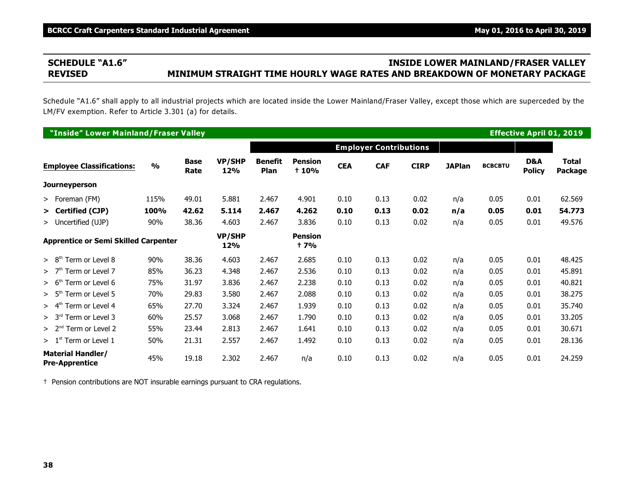# **SCHEDULE "A1.6" INSIDE LOWER MAINLAND/FRASER VALLEY REVISED MINIMUM STRAIGHT TIME HOURLY WAGE RATES AND BREAKDOWN OF MONETARY PACKAGE**

Schedule "A1.6" shall apply to all industrial projects which are located inside the Lower Mainland/Fraser Valley, except those which are superceded by the LM/FV exemption. Refer to Article 3.301 (a) for details.

|                   | "Inside" Lower Mainland/Fraser Valley             |               |                     |                      |                        |                                |            |                               |             |               |                |                      | <b>Effective April 01, 2019</b> |
|-------------------|---------------------------------------------------|---------------|---------------------|----------------------|------------------------|--------------------------------|------------|-------------------------------|-------------|---------------|----------------|----------------------|---------------------------------|
|                   |                                                   |               |                     |                      |                        |                                |            | <b>Employer Contributions</b> |             |               |                |                      |                                 |
|                   | <b>Employee Classifications:</b>                  | $\frac{0}{0}$ | <b>Base</b><br>Rate | <b>VP/SHP</b><br>12% | <b>Benefit</b><br>Plan | <b>Pension</b><br><b>t</b> 10% | <b>CEA</b> | <b>CAF</b>                    | <b>CIRP</b> | <b>JAPlan</b> | <b>BCBCBTU</b> | D&A<br><b>Policy</b> | <b>Total</b><br>Package         |
|                   | <b>Journeyperson</b>                              |               |                     |                      |                        |                                |            |                               |             |               |                |                      |                                 |
|                   | > Foreman (FM)                                    | 115%          | 49.01               | 5.881                | 2.467                  | 4.901                          | 0.10       | 0.13                          | 0.02        | n/a           | 0.05           | 0.01                 | 62.569                          |
|                   | > Certified (CJP)                                 | 100%          | 42.62               | 5.114                | 2.467                  | 4.262                          | 0.10       | 0.13                          | 0.02        | n/a           | 0.05           | 0.01                 | 54.773                          |
|                   | > Uncertified (UJP)                               | 90%           | 38.36               | 4.603                | 2.467                  | 3.836                          | 0.10       | 0.13                          | 0.02        | n/a           | 0.05           | 0.01                 | 49.576                          |
|                   | <b>Apprentice or Semi Skilled Carpenter</b>       |               |                     | <b>VP/SHP</b><br>12% |                        | <b>Pension</b><br>† 7%         |            |                               |             |               |                |                      |                                 |
| > 8 <sup>tr</sup> | Term or Level 8                                   | 90%           | 38.36               | 4.603                | 2.467                  | 2.685                          | 0.10       | 0.13                          | 0.02        | n/a           | 0.05           | 0.01                 | 48.425                          |
| >7 <sup>th</sup>  | Term or Level 7                                   | 85%           | 36.23               | 4.348                | 2.467                  | 2.536                          | 0.10       | 0.13                          | 0.02        | n/a           | 0.05           | 0.01                 | 45.891                          |
| > 6 <sup>th</sup> | Term or Level 6                                   | 75%           | 31.97               | 3.836                | 2.467                  | 2.238                          | 0.10       | 0.13                          | 0.02        | n/a           | 0.05           | 0.01                 | 40.821                          |
| > 5 <sup>th</sup> | Term or Level 5                                   | 70%           | 29.83               | 3.580                | 2.467                  | 2.088                          | 0.10       | 0.13                          | 0.02        | n/a           | 0.05           | 0.01                 | 38.275                          |
| > 4 <sup>th</sup> | Term or Level 4                                   | 65%           | 27.70               | 3.324                | 2.467                  | 1.939                          | 0.10       | 0.13                          | 0.02        | n/a           | 0.05           | 0.01                 | 35.740                          |
| > 3 <sup>rd</sup> | Term or Level 3                                   | 60%           | 25.57               | 3.068                | 2.467                  | 1.790                          | 0.10       | 0.13                          | 0.02        | n/a           | 0.05           | 0.01                 | 33.205                          |
|                   | $> 2nd$ Term or Level 2                           | 55%           | 23.44               | 2.813                | 2.467                  | 1.641                          | 0.10       | 0.13                          | 0.02        | n/a           | 0.05           | 0.01                 | 30.671                          |
|                   | $> 1st$ Term or Level 1                           | 50%           | 21.31               | 2.557                | 2.467                  | 1.492                          | 0.10       | 0.13                          | 0.02        | n/a           | 0.05           | 0.01                 | 28.136                          |
|                   | <b>Material Handler/</b><br><b>Pre-Apprentice</b> | 45%           | 19.18               | 2.302                | 2.467                  | n/a                            | 0.10       | 0.13                          | 0.02        | n/a           | 0.05           | 0.01                 | 24.259                          |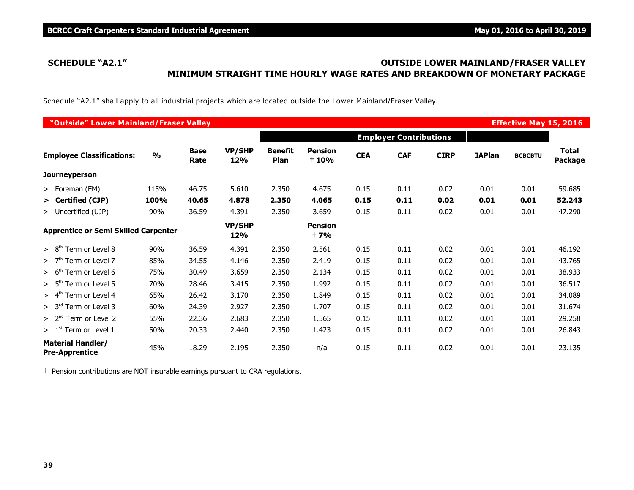# **SCHEDULE "A2.1" OUTSIDE LOWER MAINLAND/FRASER VALLEY MINIMUM STRAIGHT TIME HOURLY WAGE RATES AND BREAKDOWN OF MONETARY PACKAGE**

Schedule "A2.1" shall apply to all industrial projects which are located outside the Lower Mainland/Fraser Valley.

| "Outside" Lower Mainland/Fraser Valley            |               |                     |                      |                        |                         |            |                               |             |               | <b>Effective May 15, 2016</b> |                         |
|---------------------------------------------------|---------------|---------------------|----------------------|------------------------|-------------------------|------------|-------------------------------|-------------|---------------|-------------------------------|-------------------------|
|                                                   |               |                     |                      |                        |                         |            | <b>Employer Contributions</b> |             |               |                               |                         |
| <b>Employee Classifications:</b>                  | $\frac{0}{0}$ | <b>Base</b><br>Rate | <b>VP/SHP</b><br>12% | <b>Benefit</b><br>Plan | <b>Pension</b><br>+ 10% | <b>CEA</b> | <b>CAF</b>                    | <b>CIRP</b> | <b>JAPlan</b> | <b>BCBCBTU</b>                | <b>Total</b><br>Package |
| <b>Journeyperson</b>                              |               |                     |                      |                        |                         |            |                               |             |               |                               |                         |
| > Foreman (FM)                                    | 115%          | 46.75               | 5.610                | 2.350                  | 4.675                   | 0.15       | 0.11                          | 0.02        | 0.01          | 0.01                          | 59.685                  |
| > Certified (CJP)                                 | 100%          | 40.65               | 4.878                | 2.350                  | 4.065                   | 0.15       | 0.11                          | 0.02        | 0.01          | 0.01                          | 52.243                  |
| > Uncertified (UJP)                               | 90%           | 36.59               | 4.391                | 2.350                  | 3.659                   | 0.15       | 0.11                          | 0.02        | 0.01          | 0.01                          | 47.290                  |
| <b>Apprentice or Semi Skilled Carpenter</b>       |               |                     | <b>VP/SHP</b><br>12% |                        | <b>Pension</b><br>† 7%  |            |                               |             |               |                               |                         |
| Term or Level 8<br>> 8 <sup>th</sup>              | 90%           | 36.59               | 4.391                | 2.350                  | 2.561                   | 0.15       | 0.11                          | 0.02        | 0.01          | 0.01                          | 46.192                  |
| Term or Level 7<br>>7 <sup>th</sup>               | 85%           | 34.55               | 4.146                | 2.350                  | 2.419                   | 0.15       | 0.11                          | 0.02        | 0.01          | 0.01                          | 43.765                  |
| > 6 <sup>th</sup><br>Term or Level 6              | 75%           | 30.49               | 3.659                | 2.350                  | 2.134                   | 0.15       | 0.11                          | 0.02        | 0.01          | 0.01                          | 38.933                  |
| Term or Level 5<br>> 5 <sup>th</sup>              | 70%           | 28.46               | 3.415                | 2.350                  | 1.992                   | 0.15       | 0.11                          | 0.02        | 0.01          | 0.01                          | 36.517                  |
| $> 4th$ Term or Level 4                           | 65%           | 26.42               | 3.170                | 2.350                  | 1.849                   | 0.15       | 0.11                          | 0.02        | 0.01          | 0.01                          | 34.089                  |
| > 3 <sup>rd</sup><br>Term or Level 3              | 60%           | 24.39               | 2.927                | 2.350                  | 1.707                   | 0.15       | 0.11                          | 0.02        | 0.01          | 0.01                          | 31.674                  |
| $> 2nd$ Term or Level 2                           | 55%           | 22.36               | 2.683                | 2.350                  | 1.565                   | 0.15       | 0.11                          | 0.02        | 0.01          | 0.01                          | 29.258                  |
| $> 1st$ Term or Level 1                           | 50%           | 20.33               | 2.440                | 2.350                  | 1.423                   | 0.15       | 0.11                          | 0.02        | 0.01          | 0.01                          | 26.843                  |
| <b>Material Handler/</b><br><b>Pre-Apprentice</b> | 45%           | 18.29               | 2.195                | 2.350                  | n/a                     | 0.15       | 0.11                          | 0.02        | 0.01          | 0.01                          | 23.135                  |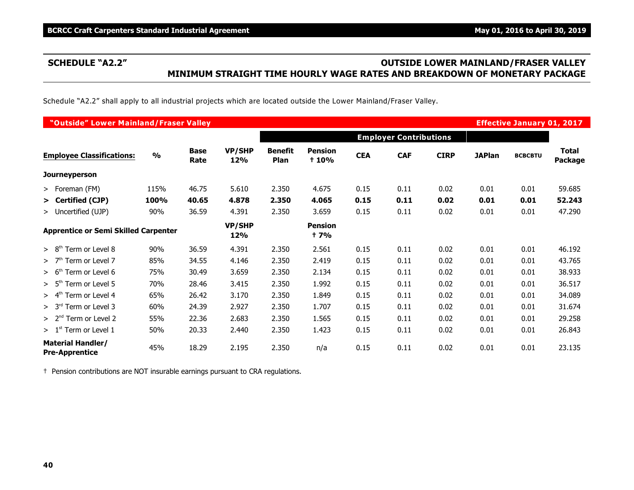# **SCHEDULE "A2.2" OUTSIDE LOWER MAINLAND/FRASER VALLEY MINIMUM STRAIGHT TIME HOURLY WAGE RATES AND BREAKDOWN OF MONETARY PACKAGE**

Schedule "A2.2" shall apply to all industrial projects which are located outside the Lower Mainland/Fraser Valley.

| "Outside" Lower Mainland/Fraser Valley            |               |                     |                      |                        |                                |            |                               |             |               | <b>Effective January 01, 2017</b> |                         |
|---------------------------------------------------|---------------|---------------------|----------------------|------------------------|--------------------------------|------------|-------------------------------|-------------|---------------|-----------------------------------|-------------------------|
|                                                   |               |                     |                      |                        |                                |            | <b>Employer Contributions</b> |             |               |                                   |                         |
| <b>Employee Classifications:</b>                  | $\frac{0}{0}$ | <b>Base</b><br>Rate | <b>VP/SHP</b><br>12% | <b>Benefit</b><br>Plan | <b>Pension</b><br><b>t</b> 10% | <b>CEA</b> | <b>CAF</b>                    | <b>CIRP</b> | <b>JAPlan</b> | <b>BCBCBTU</b>                    | <b>Total</b><br>Package |
| <b>Journeyperson</b>                              |               |                     |                      |                        |                                |            |                               |             |               |                                   |                         |
| > Foreman (FM)                                    | 115%          | 46.75               | 5.610                | 2.350                  | 4.675                          | 0.15       | 0.11                          | 0.02        | 0.01          | 0.01                              | 59.685                  |
| > Certified (CJP)                                 | <b>100%</b>   | 40.65               | 4.878                | 2.350                  | 4.065                          | 0.15       | 0.11                          | 0.02        | 0.01          | 0.01                              | 52.243                  |
| > Uncertified (UJP)                               | 90%           | 36.59               | 4.391                | 2.350                  | 3.659                          | 0.15       | 0.11                          | 0.02        | 0.01          | 0.01                              | 47.290                  |
| <b>Apprentice or Semi Skilled Carpenter</b>       |               |                     | <b>VP/SHP</b><br>12% |                        | <b>Pension</b><br>† 7%         |            |                               |             |               |                                   |                         |
| > 8 <sup>th</sup><br>Term or Level 8              | 90%           | 36.59               | 4.391                | 2.350                  | 2.561                          | 0.15       | 0.11                          | 0.02        | 0.01          | 0.01                              | 46.192                  |
| $> 7th$ Term or Level 7                           | 85%           | 34.55               | 4.146                | 2.350                  | 2.419                          | 0.15       | 0.11                          | 0.02        | 0.01          | 0.01                              | 43.765                  |
| Term or Level 6<br>> 6 <sup>th</sup>              | 75%           | 30.49               | 3.659                | 2.350                  | 2.134                          | 0.15       | 0.11                          | 0.02        | 0.01          | 0.01                              | 38.933                  |
| > 5 <sup>th</sup><br>Term or Level 5              | 70%           | 28.46               | 3.415                | 2.350                  | 1.992                          | 0.15       | 0.11                          | 0.02        | 0.01          | 0.01                              | 36.517                  |
| Term or Level 4<br>> 4 <sup>th</sup>              | 65%           | 26.42               | 3.170                | 2.350                  | 1.849                          | 0.15       | 0.11                          | 0.02        | 0.01          | 0.01                              | 34.089                  |
| > 3 <sup>rd</sup><br>Term or Level 3              | 60%           | 24.39               | 2.927                | 2.350                  | 1.707                          | 0.15       | 0.11                          | 0.02        | 0.01          | 0.01                              | 31.674                  |
| $> 2nd$ Term or Level 2                           | 55%           | 22.36               | 2.683                | 2.350                  | 1.565                          | 0.15       | 0.11                          | 0.02        | 0.01          | 0.01                              | 29.258                  |
| $>1st$ Term or Level 1                            | 50%           | 20.33               | 2.440                | 2.350                  | 1.423                          | 0.15       | 0.11                          | 0.02        | 0.01          | 0.01                              | 26.843                  |
| <b>Material Handler/</b><br><b>Pre-Apprentice</b> | 45%           | 18.29               | 2.195                | 2.350                  | n/a                            | 0.15       | 0.11                          | 0.02        | 0.01          | 0.01                              | 23.135                  |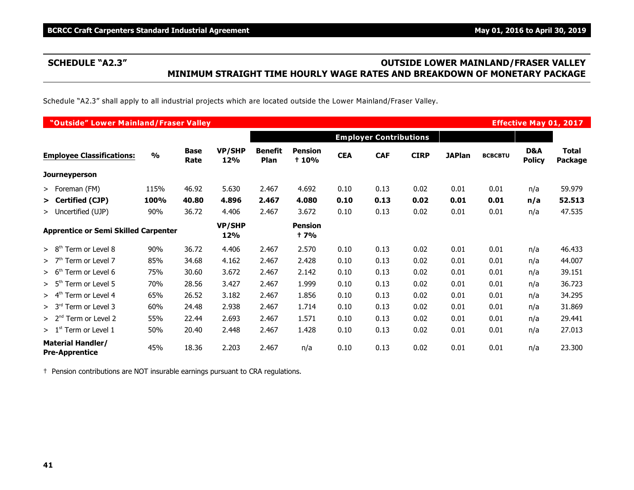# **SCHEDULE "A2.3" OUTSIDE LOWER MAINLAND/FRASER VALLEY MINIMUM STRAIGHT TIME HOURLY WAGE RATES AND BREAKDOWN OF MONETARY PACKAGE**

Schedule "A2.3" shall apply to all industrial projects which are located outside the Lower Mainland/Fraser Valley.

| "Outside" Lower Mainland/Fraser Valley            |               |                     |                      |                        |                         |            |                               |             |               |                | <b>Effective May 01, 2017</b> |                                |
|---------------------------------------------------|---------------|---------------------|----------------------|------------------------|-------------------------|------------|-------------------------------|-------------|---------------|----------------|-------------------------------|--------------------------------|
|                                                   |               |                     |                      |                        |                         |            | <b>Employer Contributions</b> |             |               |                |                               |                                |
| <b>Employee Classifications:</b>                  | $\frac{0}{0}$ | <b>Base</b><br>Rate | <b>VP/SHP</b><br>12% | <b>Benefit</b><br>Plan | <b>Pension</b><br>+ 10% | <b>CEA</b> | <b>CAF</b>                    | <b>CIRP</b> | <b>JAPlan</b> | <b>BCBCBTU</b> | D&A<br><b>Policy</b>          | <b>Total</b><br><b>Package</b> |
| <b>Journeyperson</b>                              |               |                     |                      |                        |                         |            |                               |             |               |                |                               |                                |
| > Foreman (FM)                                    | 115%          | 46.92               | 5.630                | 2.467                  | 4.692                   | 0.10       | 0.13                          | 0.02        | 0.01          | 0.01           | n/a                           | 59.979                         |
| > Certified (CJP)                                 | 100%          | 40.80               | 4.896                | 2.467                  | 4.080                   | 0.10       | 0.13                          | 0.02        | 0.01          | 0.01           | n/a                           | 52.513                         |
| > Uncertified (UJP)                               | 90%           | 36.72               | 4.406                | 2.467                  | 3.672                   | 0.10       | 0.13                          | 0.02        | 0.01          | 0.01           | n/a                           | 47.535                         |
| <b>Apprentice or Semi Skilled Carpenter</b>       |               |                     | <b>VP/SHP</b><br>12% |                        | <b>Pension</b><br>† 7%  |            |                               |             |               |                |                               |                                |
| > 8 <sup>th</sup><br>Term or Level 8              | 90%           | 36.72               | 4.406                | 2.467                  | 2.570                   | 0.10       | 0.13                          | 0.02        | 0.01          | 0.01           | n/a                           | 46.433                         |
| Term or Level 7<br>>7 <sup>th</sup>               | 85%           | 34.68               | 4.162                | 2.467                  | 2.428                   | 0.10       | 0.13                          | 0.02        | 0.01          | 0.01           | n/a                           | 44.007                         |
| > 6 <sup>th</sup><br>Term or Level 6              | 75%           | 30.60               | 3.672                | 2.467                  | 2.142                   | 0.10       | 0.13                          | 0.02        | 0.01          | 0.01           | n/a                           | 39.151                         |
| > 5 <sup>th</sup><br>Term or Level 5              | 70%           | 28.56               | 3.427                | 2.467                  | 1.999                   | 0.10       | 0.13                          | 0.02        | 0.01          | 0.01           | n/a                           | 36.723                         |
| > 4 <sup>th</sup><br>Term or Level 4              | 65%           | 26.52               | 3.182                | 2.467                  | 1.856                   | 0.10       | 0.13                          | 0.02        | 0.01          | 0.01           | n/a                           | 34.295                         |
| > 3 <sup>rd</sup><br>Term or Level 3              | 60%           | 24.48               | 2.938                | 2.467                  | 1.714                   | 0.10       | 0.13                          | 0.02        | 0.01          | 0.01           | n/a                           | 31.869                         |
| > 2 <sup>nd</sup><br>Term or Level 2              | 55%           | 22.44               | 2.693                | 2.467                  | 1.571                   | 0.10       | 0.13                          | 0.02        | 0.01          | 0.01           | n/a                           | 29.441                         |
| > 1 <sup>st</sup><br>Term or Level 1              | 50%           | 20.40               | 2.448                | 2.467                  | 1.428                   | 0.10       | 0.13                          | 0.02        | 0.01          | 0.01           | n/a                           | 27.013                         |
| <b>Material Handler/</b><br><b>Pre-Apprentice</b> | 45%           | 18.36               | 2.203                | 2.467                  | n/a                     | 0.10       | 0.13                          | 0.02        | 0.01          | 0.01           | n/a                           | 23.300                         |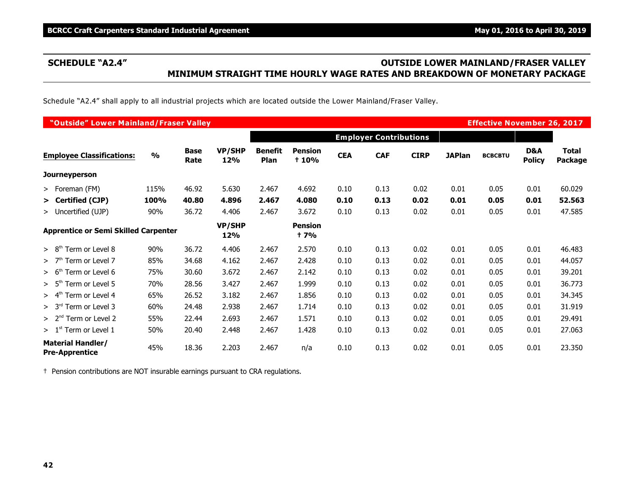# **SCHEDULE "A2.4" OUTSIDE LOWER MAINLAND/FRASER VALLEY MINIMUM STRAIGHT TIME HOURLY WAGE RATES AND BREAKDOWN OF MONETARY PACKAGE**

Schedule "A2.4" shall apply to all industrial projects which are located outside the Lower Mainland/Fraser Valley.

| "Outside" Lower Mainland/Fraser Valley            |               |                     |                      |                        |                              |            |                               |             |               | <b>Effective November 26, 2017</b> |                      |                         |
|---------------------------------------------------|---------------|---------------------|----------------------|------------------------|------------------------------|------------|-------------------------------|-------------|---------------|------------------------------------|----------------------|-------------------------|
|                                                   |               |                     |                      |                        |                              |            | <b>Employer Contributions</b> |             |               |                                    |                      |                         |
| <b>Employee Classifications:</b>                  | $\frac{9}{6}$ | <b>Base</b><br>Rate | <b>VP/SHP</b><br>12% | <b>Benefit</b><br>Plan | <b>Pension</b><br>+ 10%      | <b>CEA</b> | <b>CAF</b>                    | <b>CIRP</b> | <b>JAPlan</b> | <b>BCBCBTU</b>                     | D&A<br><b>Policy</b> | <b>Total</b><br>Package |
| <b>Journeyperson</b>                              |               |                     |                      |                        |                              |            |                               |             |               |                                    |                      |                         |
| > Foreman (FM)                                    | 115%          | 46.92               | 5.630                | 2.467                  | 4.692                        | 0.10       | 0.13                          | 0.02        | 0.01          | 0.05                               | 0.01                 | 60.029                  |
| > Certified (CJP)                                 | 100%          | 40.80               | 4.896                | 2.467                  | 4.080                        | 0.10       | 0.13                          | 0.02        | 0.01          | 0.05                               | 0.01                 | 52.563                  |
| > Uncertified (UJP)                               | 90%           | 36.72               | 4.406                | 2.467                  | 3.672                        | 0.10       | 0.13                          | 0.02        | 0.01          | 0.05                               | 0.01                 | 47.585                  |
| <b>Apprentice or Semi Skilled Carpenter</b>       |               |                     | <b>VP/SHP</b><br>12% |                        | <b>Pension</b><br><b>+7%</b> |            |                               |             |               |                                    |                      |                         |
| > 8 <sup>th</sup><br>Term or Level 8              | 90%           | 36.72               | 4.406                | 2.467                  | 2.570                        | 0.10       | 0.13                          | 0.02        | 0.01          | 0.05                               | 0.01                 | 46.483                  |
| Term or Level 7<br>>7 <sup>th</sup>               | 85%           | 34.68               | 4.162                | 2.467                  | 2.428                        | 0.10       | 0.13                          | 0.02        | 0.01          | 0.05                               | 0.01                 | 44.057                  |
| Term or Level 6<br>> 6 <sup>tt</sup>              | 75%           | 30.60               | 3.672                | 2.467                  | 2.142                        | 0.10       | 0.13                          | 0.02        | 0.01          | 0.05                               | 0.01                 | 39.201                  |
| > 5 <sup>tr</sup><br>Term or Level 5              | 70%           | 28.56               | 3.427                | 2.467                  | 1.999                        | 0.10       | 0.13                          | 0.02        | 0.01          | 0.05                               | 0.01                 | 36.773                  |
| > 4 <sup>th</sup><br>Term or Level 4              | 65%           | 26.52               | 3.182                | 2.467                  | 1.856                        | 0.10       | 0.13                          | 0.02        | 0.01          | 0.05                               | 0.01                 | 34.345                  |
| > 3 <sup>rd</sup><br>Term or Level 3              | 60%           | 24.48               | 2.938                | 2.467                  | 1.714                        | 0.10       | 0.13                          | 0.02        | 0.01          | 0.05                               | 0.01                 | 31.919                  |
| $> 2nd$ Term or Level 2                           | 55%           | 22.44               | 2.693                | 2.467                  | 1.571                        | 0.10       | 0.13                          | 0.02        | 0.01          | 0.05                               | 0.01                 | 29.491                  |
| $>1st$ Term or Level 1                            | 50%           | 20.40               | 2.448                | 2.467                  | 1.428                        | 0.10       | 0.13                          | 0.02        | 0.01          | 0.05                               | 0.01                 | 27.063                  |
| <b>Material Handler/</b><br><b>Pre-Apprentice</b> | 45%           | 18.36               | 2.203                | 2.467                  | n/a                          | 0.10       | 0.13                          | 0.02        | 0.01          | 0.05                               | 0.01                 | 23.350                  |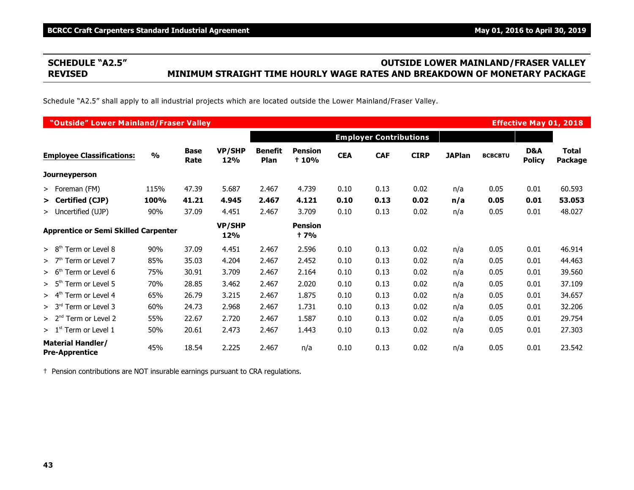# **SCHEDULE "A2.5" OUTSIDE LOWER MAINLAND/FRASER VALLEY REVISED MINIMUM STRAIGHT TIME HOURLY WAGE RATES AND BREAKDOWN OF MONETARY PACKAGE**

Schedule "A2.5" shall apply to all industrial projects which are located outside the Lower Mainland/Fraser Valley.

| "Outside" Lower Mainland/Fraser Valley            |               |                     |                      |                        |                               |            |                               |             |               |                |                      | <b>Effective May 01, 2018</b>  |
|---------------------------------------------------|---------------|---------------------|----------------------|------------------------|-------------------------------|------------|-------------------------------|-------------|---------------|----------------|----------------------|--------------------------------|
|                                                   |               |                     |                      |                        |                               |            | <b>Employer Contributions</b> |             |               |                |                      |                                |
| <b>Employee Classifications:</b>                  | $\frac{0}{0}$ | <b>Base</b><br>Rate | <b>VP/SHP</b><br>12% | <b>Benefit</b><br>Plan | <b>Pension</b><br>+ 10%       | <b>CEA</b> | <b>CAF</b>                    | <b>CIRP</b> | <b>JAPlan</b> | <b>BCBCBTU</b> | D&A<br><b>Policy</b> | <b>Total</b><br><b>Package</b> |
| <b>Journeyperson</b>                              |               |                     |                      |                        |                               |            |                               |             |               |                |                      |                                |
| > Foreman (FM)                                    | 115%          | 47.39               | 5.687                | 2.467                  | 4.739                         | 0.10       | 0.13                          | 0.02        | n/a           | 0.05           | 0.01                 | 60.593                         |
| > Certified (CJP)                                 | 100%          | 41.21               | 4.945                | 2.467                  | 4.121                         | 0.10       | 0.13                          | 0.02        | n/a           | 0.05           | 0.01                 | 53.053                         |
| > Uncertified (UJP)                               | 90%           | 37.09               | 4.451                | 2.467                  | 3.709                         | 0.10       | 0.13                          | 0.02        | n/a           | 0.05           | 0.01                 | 48.027                         |
| <b>Apprentice or Semi Skilled Carpenter</b>       |               |                     | <b>VP/SHP</b><br>12% |                        | <b>Pension</b><br><b>t</b> 7% |            |                               |             |               |                |                      |                                |
| > 8 <sup>th</sup><br>Term or Level 8              | 90%           | 37.09               | 4.451                | 2.467                  | 2.596                         | 0.10       | 0.13                          | 0.02        | n/a           | 0.05           | 0.01                 | 46.914                         |
| >7 <sup>th</sup><br>Term or Level 7               | 85%           | 35.03               | 4.204                | 2.467                  | 2.452                         | 0.10       | 0.13                          | 0.02        | n/a           | 0.05           | 0.01                 | 44.463                         |
| > 6 <sup>tr</sup><br>Term or Level 6              | 75%           | 30.91               | 3.709                | 2.467                  | 2.164                         | 0.10       | 0.13                          | 0.02        | n/a           | 0.05           | 0.01                 | 39.560                         |
| > 5 <sup>th</sup><br>Term or Level 5              | 70%           | 28.85               | 3.462                | 2.467                  | 2.020                         | 0.10       | 0.13                          | 0.02        | n/a           | 0.05           | 0.01                 | 37.109                         |
| > 4 <sup>th</sup><br>Term or Level 4              | 65%           | 26.79               | 3.215                | 2.467                  | 1.875                         | 0.10       | 0.13                          | 0.02        | n/a           | 0.05           | 0.01                 | 34.657                         |
| > 3 <sup>rd</sup><br>Term or Level 3              | 60%           | 24.73               | 2.968                | 2.467                  | 1.731                         | 0.10       | 0.13                          | 0.02        | n/a           | 0.05           | 0.01                 | 32.206                         |
| > 2 <sup>nd</sup><br>Term or Level 2              | 55%           | 22.67               | 2.720                | 2.467                  | 1.587                         | 0.10       | 0.13                          | 0.02        | n/a           | 0.05           | 0.01                 | 29.754                         |
| $>1st$ Term or Level 1                            | 50%           | 20.61               | 2.473                | 2.467                  | 1.443                         | 0.10       | 0.13                          | 0.02        | n/a           | 0.05           | 0.01                 | 27.303                         |
| <b>Material Handler/</b><br><b>Pre-Apprentice</b> | 45%           | 18.54               | 2.225                | 2.467                  | n/a                           | 0.10       | 0.13                          | 0.02        | n/a           | 0.05           | 0.01                 | 23.542                         |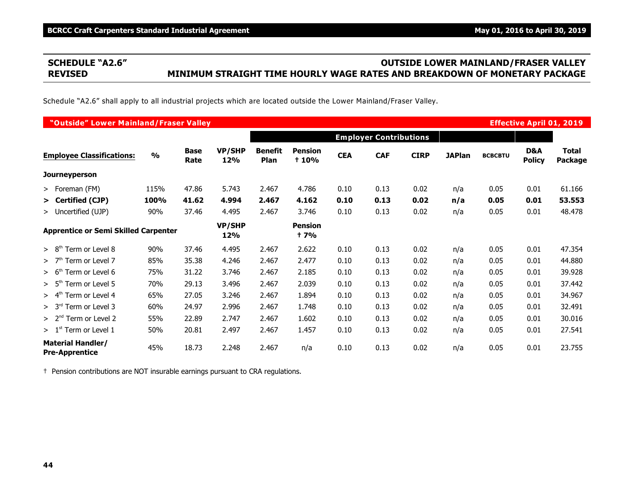# **SCHEDULE "A2.6" OUTSIDE LOWER MAINLAND/FRASER VALLEY REVISED MINIMUM STRAIGHT TIME HOURLY WAGE RATES AND BREAKDOWN OF MONETARY PACKAGE**

Schedule "A2.6" shall apply to all industrial projects which are located outside the Lower Mainland/Fraser Valley.

| "Outside" Lower Mainland/Fraser Valley            |               |                     |                      |                        |                                |            |                               |             |               |                |                      | <b>Effective April 01, 2019</b> |
|---------------------------------------------------|---------------|---------------------|----------------------|------------------------|--------------------------------|------------|-------------------------------|-------------|---------------|----------------|----------------------|---------------------------------|
|                                                   |               |                     |                      |                        |                                |            | <b>Employer Contributions</b> |             |               |                |                      |                                 |
| <b>Employee Classifications:</b>                  | $\frac{0}{0}$ | <b>Base</b><br>Rate | <b>VP/SHP</b><br>12% | <b>Benefit</b><br>Plan | <b>Pension</b><br><b>t 10%</b> | <b>CEA</b> | <b>CAF</b>                    | <b>CIRP</b> | <b>JAPlan</b> | <b>BCBCBTU</b> | D&A<br><b>Policy</b> | <b>Total</b><br>Package         |
| <b>Journeyperson</b>                              |               |                     |                      |                        |                                |            |                               |             |               |                |                      |                                 |
| > Foreman (FM)                                    | 115%          | 47.86               | 5.743                | 2.467                  | 4.786                          | 0.10       | 0.13                          | 0.02        | n/a           | 0.05           | 0.01                 | 61.166                          |
| > Certified (CJP)                                 | 100%          | 41.62               | 4.994                | 2.467                  | 4.162                          | 0.10       | 0.13                          | 0.02        | n/a           | 0.05           | 0.01                 | 53.553                          |
| > Uncertified (UJP)                               | 90%           | 37.46               | 4.495                | 2.467                  | 3.746                          | 0.10       | 0.13                          | 0.02        | n/a           | 0.05           | 0.01                 | 48.478                          |
| <b>Apprentice or Semi Skilled Carpenter</b>       |               |                     | <b>VP/SHP</b><br>12% |                        | <b>Pension</b><br>† 7%         |            |                               |             |               |                |                      |                                 |
| > 8 <sup>th</sup><br>Term or Level 8              | 90%           | 37.46               | 4.495                | 2.467                  | 2.622                          | 0.10       | 0.13                          | 0.02        | n/a           | 0.05           | 0.01                 | 47.354                          |
| >7 <sup>th</sup><br>Term or Level 7               | 85%           | 35.38               | 4.246                | 2.467                  | 2.477                          | 0.10       | 0.13                          | 0.02        | n/a           | 0.05           | 0.01                 | 44.880                          |
| > 6 <sup>tr</sup><br>Term or Level 6              | 75%           | 31.22               | 3.746                | 2.467                  | 2.185                          | 0.10       | 0.13                          | 0.02        | n/a           | 0.05           | 0.01                 | 39.928                          |
| > 5 <sup>th</sup><br>Term or Level 5              | 70%           | 29.13               | 3.496                | 2.467                  | 2.039                          | 0.10       | 0.13                          | 0.02        | n/a           | 0.05           | 0.01                 | 37.442                          |
| > 4 <sup>th</sup><br>Term or Level 4              | 65%           | 27.05               | 3.246                | 2.467                  | 1.894                          | 0.10       | 0.13                          | 0.02        | n/a           | 0.05           | 0.01                 | 34.967                          |
| > 3 <sup>rd</sup><br>Term or Level 3              | 60%           | 24.97               | 2.996                | 2.467                  | 1.748                          | 0.10       | 0.13                          | 0.02        | n/a           | 0.05           | 0.01                 | 32.491                          |
| > 2 <sup>nd</sup><br>Term or Level 2              | 55%           | 22.89               | 2.747                | 2.467                  | 1.602                          | 0.10       | 0.13                          | 0.02        | n/a           | 0.05           | 0.01                 | 30.016                          |
| $>1st$ Term or Level 1                            | 50%           | 20.81               | 2.497                | 2.467                  | 1.457                          | 0.10       | 0.13                          | 0.02        | n/a           | 0.05           | 0.01                 | 27.541                          |
| <b>Material Handler/</b><br><b>Pre-Apprentice</b> | 45%           | 18.73               | 2.248                | 2.467                  | n/a                            | 0.10       | 0.13                          | 0.02        | n/a           | 0.05           | 0.01                 | 23.755                          |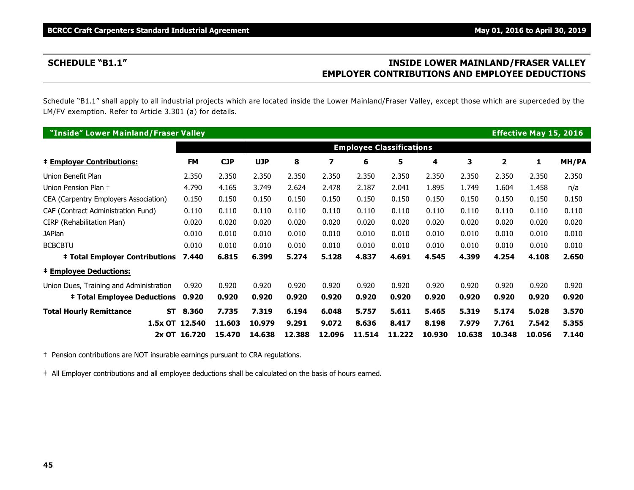# **SCHEDULE "B1.1" INSIDE LOWER MAINLAND/FRASER VALLEY EMPLOYER CONTRIBUTIONS AND EMPLOYEE DEDUCTIONS**

Schedule "B1.1" shall apply to all industrial projects which are located inside the Lower Mainland/Fraser Valley, except those which are superceded by the LM/FV exemption. Refer to Article 3.301 (a) for details.

| "Inside" Lower Mainland/Fraser Valley   |                    |            |            |        |        |        |                                 |        |        |        | <b>Effective May 15, 2016</b> |              |
|-----------------------------------------|--------------------|------------|------------|--------|--------|--------|---------------------------------|--------|--------|--------|-------------------------------|--------------|
|                                         |                    |            |            |        |        |        | <b>Employee Classifications</b> |        |        |        |                               |              |
| <b>‡ Employer Contributions:</b>        | <b>FM</b>          | <b>CJP</b> | <b>UJP</b> | 8      | 7      | 6      | 5                               | 4      | 3      | 2      | 1                             | <b>MH/PA</b> |
| Union Benefit Plan                      | 2.350              | 2.350      | 2.350      | 2.350  | 2.350  | 2.350  | 2.350                           | 2.350  | 2.350  | 2.350  | 2.350                         | 2.350        |
| Union Pension Plan +                    | 4.790              | 4.165      | 3.749      | 2.624  | 2.478  | 2.187  | 2.041                           | 1.895  | 1.749  | 1.604  | 1.458                         | n/a          |
| CEA (Carpentry Employers Association)   | 0.150              | 0.150      | 0.150      | 0.150  | 0.150  | 0.150  | 0.150                           | 0.150  | 0.150  | 0.150  | 0.150                         | 0.150        |
| CAF (Contract Administration Fund)      | 0.110              | 0.110      | 0.110      | 0.110  | 0.110  | 0.110  | 0.110                           | 0.110  | 0.110  | 0.110  | 0.110                         | 0.110        |
| CIRP (Rehabilitation Plan)              | 0.020              | 0.020      | 0.020      | 0.020  | 0.020  | 0.020  | 0.020                           | 0.020  | 0.020  | 0.020  | 0.020                         | 0.020        |
| <b>JAPlan</b>                           | 0.010              | 0.010      | 0.010      | 0.010  | 0.010  | 0.010  | 0.010                           | 0.010  | 0.010  | 0.010  | 0.010                         | 0.010        |
| <b>BCBCBTU</b>                          | 0.010              | 0.010      | 0.010      | 0.010  | 0.010  | 0.010  | 0.010                           | 0.010  | 0.010  | 0.010  | 0.010                         | 0.010        |
| <b>‡ Total Employer Contributions</b>   | 7.440              | 6.815      | 6.399      | 5.274  | 5.128  | 4.837  | 4.691                           | 4.545  | 4.399  | 4.254  | 4.108                         | 2.650        |
| <b>‡ Employee Deductions:</b>           |                    |            |            |        |        |        |                                 |        |        |        |                               |              |
| Union Dues, Training and Administration | 0.920              | 0.920      | 0.920      | 0.920  | 0.920  | 0.920  | 0.920                           | 0.920  | 0.920  | 0.920  | 0.920                         | 0.920        |
| <b>‡ Total Employee Deductions</b>      | 0.920              | 0.920      | 0.920      | 0.920  | 0.920  | 0.920  | 0.920                           | 0.920  | 0.920  | 0.920  | 0.920                         | 0.920        |
| <b>Total Hourly Remittance</b>          | 8.360<br><b>ST</b> | 7.735      | 7.319      | 6.194  | 6.048  | 5.757  | 5.611                           | 5.465  | 5.319  | 5.174  | 5.028                         | 3.570        |
|                                         | 1.5x OT 12.540     | 11.603     | 10.979     | 9.291  | 9.072  | 8.636  | 8.417                           | 8.198  | 7.979  | 7.761  | 7.542                         | 5.355        |
|                                         | 2x OT 16.720       | 15,470     | 14.638     | 12.388 | 12.096 | 11.514 | 11,222                          | 10.930 | 10.638 | 10.348 | 10.056                        | 7.140        |

† Pension contributions are NOT insurable earnings pursuant to CRA regulations.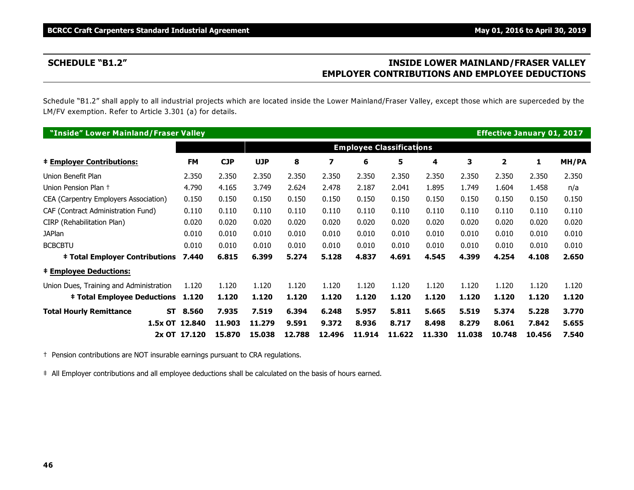# **SCHEDULE "B1.2" INSIDE LOWER MAINLAND/FRASER VALLEY EMPLOYER CONTRIBUTIONS AND EMPLOYEE DEDUCTIONS**

Schedule "B1.2" shall apply to all industrial projects which are located inside the Lower Mainland/Fraser Valley, except those which are superceded by the LM/FV exemption. Refer to Article 3.301 (a) for details.

| "Inside" Lower Mainland/Fraser Valley   |                |            |            |        |        |                                 |        |        |        |              | <b>Effective January 01, 2017</b> |       |
|-----------------------------------------|----------------|------------|------------|--------|--------|---------------------------------|--------|--------|--------|--------------|-----------------------------------|-------|
|                                         |                |            |            |        |        | <b>Employee Classifications</b> |        |        |        |              |                                   |       |
| <b>‡ Employer Contributions:</b>        | <b>FM</b>      | <b>CJP</b> | <b>UJP</b> | 8      | 7      | 6                               | 5      | 4      | 3      | $\mathbf{z}$ | 1                                 | MH/PA |
| Union Benefit Plan                      | 2.350          | 2.350      | 2.350      | 2.350  | 2.350  | 2.350                           | 2.350  | 2.350  | 2.350  | 2.350        | 2.350                             | 2.350 |
| Union Pension Plan +                    | 4.790          | 4.165      | 3.749      | 2.624  | 2.478  | 2.187                           | 2.041  | 1.895  | 1.749  | 1.604        | 1.458                             | n/a   |
| CEA (Carpentry Employers Association)   | 0.150          | 0.150      | 0.150      | 0.150  | 0.150  | 0.150                           | 0.150  | 0.150  | 0.150  | 0.150        | 0.150                             | 0.150 |
| CAF (Contract Administration Fund)      | 0.110          | 0.110      | 0.110      | 0.110  | 0.110  | 0.110                           | 0.110  | 0.110  | 0.110  | 0.110        | 0.110                             | 0.110 |
| CIRP (Rehabilitation Plan)              | 0.020          | 0.020      | 0.020      | 0.020  | 0.020  | 0.020                           | 0.020  | 0.020  | 0.020  | 0.020        | 0.020                             | 0.020 |
| <b>JAPlan</b>                           | 0.010          | 0.010      | 0.010      | 0.010  | 0.010  | 0.010                           | 0.010  | 0.010  | 0.010  | 0.010        | 0.010                             | 0.010 |
| <b>BCBCBTU</b>                          | 0.010          | 0.010      | 0.010      | 0.010  | 0.010  | 0.010                           | 0.010  | 0.010  | 0.010  | 0.010        | 0.010                             | 0.010 |
| <b>‡ Total Employer Contributions</b>   | 7.440          | 6.815      | 6.399      | 5.274  | 5.128  | 4.837                           | 4.691  | 4.545  | 4.399  | 4.254        | 4.108                             | 2.650 |
| <b>‡ Employee Deductions:</b>           |                |            |            |        |        |                                 |        |        |        |              |                                   |       |
| Union Dues, Training and Administration | 1.120          | 1.120      | 1.120      | 1.120  | 1.120  | 1.120                           | 1.120  | 1.120  | 1.120  | 1.120        | 1.120                             | 1.120 |
| <b>‡ Total Employee Deductions</b>      | 1.120          | 1.120      | 1.120      | 1.120  | 1.120  | 1.120                           | 1.120  | 1.120  | 1.120  | 1.120        | 1.120                             | 1.120 |
| <b>Total Hourly Remittance</b>          | ST<br>8.560    | 7.935      | 7.519      | 6.394  | 6.248  | 5.957                           | 5.811  | 5.665  | 5.519  | 5.374        | 5.228                             | 3.770 |
|                                         | 1.5x OT 12.840 | 11.903     | 11.279     | 9.591  | 9.372  | 8.936                           | 8.717  | 8.498  | 8.279  | 8.061        | 7.842                             | 5.655 |
|                                         | 2x OT 17.120   | 15,870     | 15,038     | 12.788 | 12.496 | 11.914                          | 11.622 | 11,330 | 11,038 | 10.748       | 10.456                            | 7.540 |

† Pension contributions are NOT insurable earnings pursuant to CRA regulations.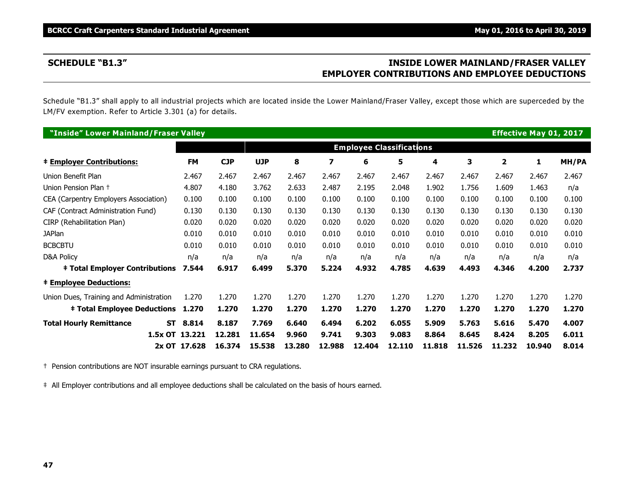# **SCHEDULE "B1.3" INSIDE LOWER MAINLAND/FRASER VALLEY EMPLOYER CONTRIBUTIONS AND EMPLOYEE DEDUCTIONS**

Schedule "B1.3" shall apply to all industrial projects which are located inside the Lower Mainland/Fraser Valley, except those which are superceded by the LM/FV exemption. Refer to Article 3.301 (a) for details.

| "Inside" Lower Mainland/Fraser Valley   |                |           |            |            |        |        |                                 |        |        |        |                | <b>Effective May 01, 2017</b> |       |
|-----------------------------------------|----------------|-----------|------------|------------|--------|--------|---------------------------------|--------|--------|--------|----------------|-------------------------------|-------|
|                                         |                |           |            |            |        |        | <b>Employee Classifications</b> |        |        |        |                |                               |       |
| <b>‡ Employer Contributions:</b>        |                | <b>FM</b> | <b>CJP</b> | <b>UJP</b> | 8      | 7      | 6                               | 5      | 4      | 3      | $\overline{2}$ | 1                             | MH/PA |
| Union Benefit Plan                      |                | 2.467     | 2.467      | 2.467      | 2.467  | 2.467  | 2.467                           | 2.467  | 2.467  | 2.467  | 2.467          | 2.467                         | 2.467 |
| Union Pension Plan +                    |                | 4.807     | 4.180      | 3.762      | 2.633  | 2.487  | 2.195                           | 2.048  | 1.902  | 1.756  | 1.609          | 1.463                         | n/a   |
| CEA (Carpentry Employers Association)   |                | 0.100     | 0.100      | 0.100      | 0.100  | 0.100  | 0.100                           | 0.100  | 0.100  | 0.100  | 0.100          | 0.100                         | 0.100 |
| CAF (Contract Administration Fund)      |                | 0.130     | 0.130      | 0.130      | 0.130  | 0.130  | 0.130                           | 0.130  | 0.130  | 0.130  | 0.130          | 0.130                         | 0.130 |
| CIRP (Rehabilitation Plan)              |                | 0.020     | 0.020      | 0.020      | 0.020  | 0.020  | 0.020                           | 0.020  | 0.020  | 0.020  | 0.020          | 0.020                         | 0.020 |
| <b>JAPlan</b>                           |                | 0.010     | 0.010      | 0.010      | 0.010  | 0.010  | 0.010                           | 0.010  | 0.010  | 0.010  | 0.010          | 0.010                         | 0.010 |
| <b>BCBCBTU</b>                          |                | 0.010     | 0.010      | 0.010      | 0.010  | 0.010  | 0.010                           | 0.010  | 0.010  | 0.010  | 0.010          | 0.010                         | 0.010 |
| <b>D&amp;A Policy</b>                   |                | n/a       | n/a        | n/a        | n/a    | n/a    | n/a                             | n/a    | n/a    | n/a    | n/a            | n/a                           | n/a   |
| <b>‡ Total Employer Contributions</b>   |                | 7.544     | 6.917      | 6.499      | 5.370  | 5.224  | 4.932                           | 4.785  | 4.639  | 4.493  | 4.346          | 4.200                         | 2.737 |
| <b>‡ Employee Deductions:</b>           |                |           |            |            |        |        |                                 |        |        |        |                |                               |       |
| Union Dues, Training and Administration |                | 1.270     | 1.270      | 1.270      | 1.270  | 1.270  | 1.270                           | 1.270  | 1.270  | 1.270  | 1.270          | 1.270                         | 1.270 |
| <b>‡ Total Employee Deductions</b>      |                | 1.270     | 1.270      | 1.270      | 1.270  | 1.270  | 1.270                           | 1.270  | 1.270  | 1.270  | 1.270          | 1.270                         | 1.270 |
| <b>Total Hourly Remittance</b>          | <b>ST</b>      | 8.814     | 8.187      | 7.769      | 6.640  | 6.494  | 6.202                           | 6.055  | 5.909  | 5.763  | 5.616          | 5.470                         | 4.007 |
|                                         | 1.5x OT 13.221 |           | 12.281     | 11.654     | 9.960  | 9.741  | 9.303                           | 9.083  | 8.864  | 8.645  | 8.424          | 8.205                         | 6.011 |
|                                         | 2x OT 17.628   |           | 16.374     | 15.538     | 13.280 | 12.988 | 12.404                          | 12.110 | 11.818 | 11.526 | 11.232         | 10.940                        | 8.014 |

† Pension contributions are NOT insurable earnings pursuant to CRA regulations.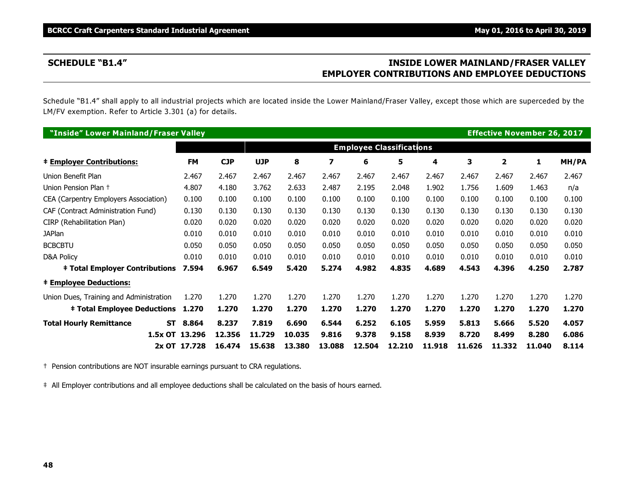# **SCHEDULE "B1.4" INSIDE LOWER MAINLAND/FRASER VALLEY EMPLOYER CONTRIBUTIONS AND EMPLOYEE DEDUCTIONS**

Schedule "B1.4" shall apply to all industrial projects which are located inside the Lower Mainland/Fraser Valley, except those which are superceded by the LM/FV exemption. Refer to Article 3.301 (a) for details.

| "Inside" Lower Mainland/Fraser Valley   |           |                |            |            |        |        |                                 |        |        |        | <b>Effective November 26, 2017</b> |        |       |
|-----------------------------------------|-----------|----------------|------------|------------|--------|--------|---------------------------------|--------|--------|--------|------------------------------------|--------|-------|
|                                         |           |                |            |            |        |        | <b>Employee Classifications</b> |        |        |        |                                    |        |       |
| <b>‡ Employer Contributions:</b>        |           | <b>FM</b>      | <b>CJP</b> | <b>UJP</b> | 8      | 7      | 6                               | 5      | 4      | 3      | $\overline{2}$                     | 1      | MH/PA |
| Union Benefit Plan                      |           | 2.467          | 2.467      | 2.467      | 2.467  | 2.467  | 2.467                           | 2.467  | 2.467  | 2.467  | 2.467                              | 2.467  | 2.467 |
| Union Pension Plan +                    |           | 4.807          | 4.180      | 3.762      | 2.633  | 2.487  | 2.195                           | 2.048  | 1.902  | 1.756  | 1.609                              | 1.463  | n/a   |
| CEA (Carpentry Employers Association)   |           | 0.100          | 0.100      | 0.100      | 0.100  | 0.100  | 0.100                           | 0.100  | 0.100  | 0.100  | 0.100                              | 0.100  | 0.100 |
| CAF (Contract Administration Fund)      |           | 0.130          | 0.130      | 0.130      | 0.130  | 0.130  | 0.130                           | 0.130  | 0.130  | 0.130  | 0.130                              | 0.130  | 0.130 |
| CIRP (Rehabilitation Plan)              |           | 0.020          | 0.020      | 0.020      | 0.020  | 0.020  | 0.020                           | 0.020  | 0.020  | 0.020  | 0.020                              | 0.020  | 0.020 |
| <b>JAPlan</b>                           |           | 0.010          | 0.010      | 0.010      | 0.010  | 0.010  | 0.010                           | 0.010  | 0.010  | 0.010  | 0.010                              | 0.010  | 0.010 |
| <b>BCBCBTU</b>                          |           | 0.050          | 0.050      | 0.050      | 0.050  | 0.050  | 0.050                           | 0.050  | 0.050  | 0.050  | 0.050                              | 0.050  | 0.050 |
| D&A Policy                              |           | 0.010          | 0.010      | 0.010      | 0.010  | 0.010  | 0.010                           | 0.010  | 0.010  | 0.010  | 0.010                              | 0.010  | 0.010 |
| <b>‡ Total Employer Contributions</b>   |           | 7.594          | 6.967      | 6.549      | 5.420  | 5.274  | 4.982                           | 4.835  | 4.689  | 4.543  | 4.396                              | 4.250  | 2.787 |
| <b>‡ Employee Deductions:</b>           |           |                |            |            |        |        |                                 |        |        |        |                                    |        |       |
| Union Dues, Training and Administration |           | 1.270          | 1.270      | 1.270      | 1.270  | 1.270  | 1.270                           | 1.270  | 1.270  | 1.270  | 1.270                              | 1.270  | 1.270 |
| <b>‡ Total Employee Deductions</b>      |           | 1.270          | 1.270      | 1.270      | 1.270  | 1.270  | 1.270                           | 1.270  | 1.270  | 1.270  | 1.270                              | 1.270  | 1.270 |
| <b>Total Hourly Remittance</b>          | <b>ST</b> | 8.864          | 8.237      | 7.819      | 6.690  | 6.544  | 6.252                           | 6.105  | 5.959  | 5.813  | 5.666                              | 5.520  | 4.057 |
|                                         |           | 1.5x OT 13.296 | 12,356     | 11.729     | 10.035 | 9.816  | 9.378                           | 9.158  | 8.939  | 8.720  | 8.499                              | 8.280  | 6.086 |
|                                         |           | 2x OT 17.728   | 16.474     | 15.638     | 13.380 | 13.088 | 12.504                          | 12.210 | 11.918 | 11.626 | 11.332                             | 11.040 | 8.114 |

† Pension contributions are NOT insurable earnings pursuant to CRA regulations.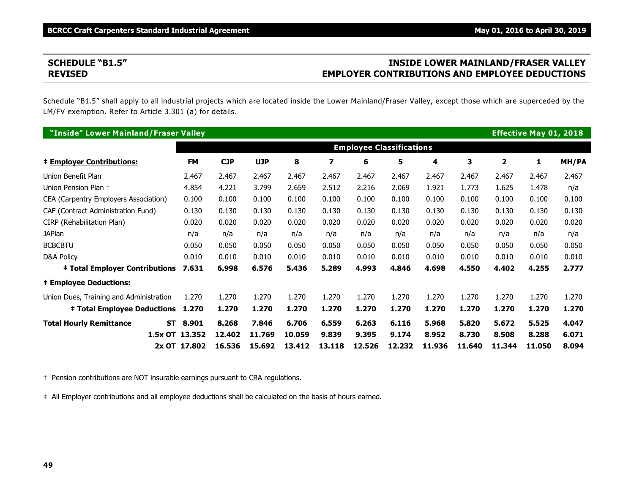# **SCHEDULE "B1.5" INSIDE LOWER MAINLAND/FRASER VALLEY REVISED EMPLOYER CONTRIBUTIONS AND EMPLOYEE DEDUCTIONS**

Schedule "B1.5" shall apply to all industrial projects which are located inside the Lower Mainland/Fraser Valley, except those which are superceded by the LM/FV exemption. Refer to Article 3.301 (a) for details.

| "Inside" Lower Mainland/Fraser Valley       |                |            |            |        |        |                                 |        |        |        |                | <b>Effective May 01, 2018</b> |       |
|---------------------------------------------|----------------|------------|------------|--------|--------|---------------------------------|--------|--------|--------|----------------|-------------------------------|-------|
|                                             |                |            |            |        |        | <b>Employee Classifications</b> |        |        |        |                |                               |       |
| <b>‡ Employer Contributions:</b>            | <b>FM</b>      | <b>CJP</b> | <b>UJP</b> | 8      | 7      | 6                               | 5      | 4      | 3      | $\overline{2}$ | 1                             | MH/PA |
| Union Benefit Plan                          | 2.467          | 2.467      | 2.467      | 2.467  | 2.467  | 2.467                           | 2.467  | 2.467  | 2.467  | 2.467          | 2.467                         | 2.467 |
| Union Pension Plan +                        | 4.854          | 4.221      | 3.799      | 2.659  | 2.512  | 2.216                           | 2.069  | 1.921  | 1.773  | 1.625          | 1.478                         | n/a   |
| CEA (Carpentry Employers Association)       | 0.100          | 0.100      | 0.100      | 0.100  | 0.100  | 0.100                           | 0.100  | 0.100  | 0.100  | 0.100          | 0.100                         | 0.100 |
| CAF (Contract Administration Fund)          | 0.130          | 0.130      | 0.130      | 0.130  | 0.130  | 0.130                           | 0.130  | 0.130  | 0.130  | 0.130          | 0.130                         | 0.130 |
| CIRP (Rehabilitation Plan)                  | 0.020          | 0.020      | 0.020      | 0.020  | 0.020  | 0.020                           | 0.020  | 0.020  | 0.020  | 0.020          | 0.020                         | 0.020 |
| <b>JAPlan</b>                               | n/a            | n/a        | n/a        | n/a    | n/a    | n/a                             | n/a    | n/a    | n/a    | n/a            | n/a                           | n/a   |
| <b>BCBCBTU</b>                              | 0.050          | 0.050      | 0.050      | 0.050  | 0.050  | 0.050                           | 0.050  | 0.050  | 0.050  | 0.050          | 0.050                         | 0.050 |
| <b>D&amp;A Policy</b>                       | 0.010          | 0.010      | 0.010      | 0.010  | 0.010  | 0.010                           | 0.010  | 0.010  | 0.010  | 0.010          | 0.010                         | 0.010 |
| <b>‡ Total Employer Contributions</b>       | 7.631          | 6.998      | 6.576      | 5.436  | 5.289  | 4.993                           | 4.846  | 4.698  | 4.550  | 4.402          | 4.255                         | 2.777 |
| <b>‡ Employee Deductions:</b>               |                |            |            |        |        |                                 |        |        |        |                |                               |       |
| Union Dues, Training and Administration     | 1.270          | 1.270      | 1.270      | 1.270  | 1.270  | 1.270                           | 1.270  | 1.270  | 1.270  | 1.270          | 1.270                         | 1.270 |
| <b>‡ Total Employee Deductions</b>          | 1.270          | 1.270      | 1.270      | 1.270  | 1.270  | 1.270                           | 1.270  | 1.270  | 1.270  | 1.270          | 1.270                         | 1.270 |
| <b>Total Hourly Remittance</b><br><b>ST</b> | 8.901          | 8.268      | 7.846      | 6.706  | 6.559  | 6.263                           | 6.116  | 5.968  | 5.820  | 5.672          | 5.525                         | 4.047 |
|                                             | 1.5x OT 13.352 | 12.402     | 11.769     | 10.059 | 9.839  | 9.395                           | 9.174  | 8.952  | 8.730  | 8.508          | 8.288                         | 6.071 |
|                                             | 2x OT 17.802   | 16.536     | 15.692     | 13.412 | 13.118 | 12.526                          | 12.232 | 11.936 | 11.640 | 11.344         | 11.050                        | 8.094 |

† Pension contributions are NOT insurable earnings pursuant to CRA regulations.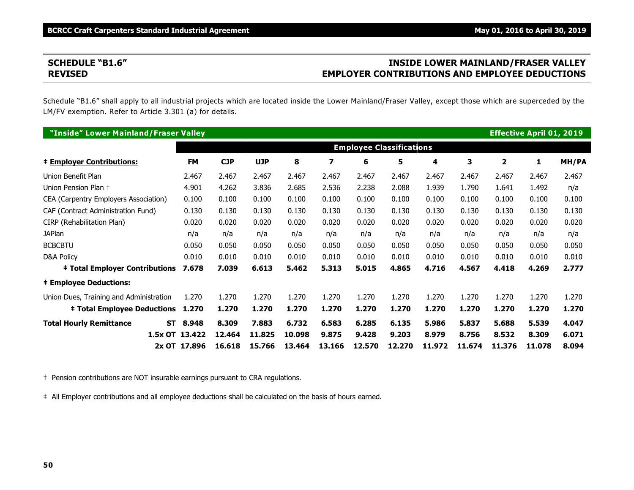# **SCHEDULE "B1.6" INSIDE LOWER MAINLAND/FRASER VALLEY REVISED EMPLOYER CONTRIBUTIONS AND EMPLOYEE DEDUCTIONS**

Schedule "B1.6" shall apply to all industrial projects which are located inside the Lower Mainland/Fraser Valley, except those which are superceded by the LM/FV exemption. Refer to Article 3.301 (a) for details.

| "Inside" Lower Mainland/Fraser Valley   |                    |            |            |        |        |                                 |        |        |        |                | <b>Effective April 01, 2019</b> |       |
|-----------------------------------------|--------------------|------------|------------|--------|--------|---------------------------------|--------|--------|--------|----------------|---------------------------------|-------|
|                                         |                    |            |            |        |        | <b>Employee Classifications</b> |        |        |        |                |                                 |       |
| <b>‡ Employer Contributions:</b>        | <b>FM</b>          | <b>CJP</b> | <b>UJP</b> | 8      | 7      | 6                               | 5      | 4      | 3      | $\overline{2}$ | 1                               | MH/PA |
| Union Benefit Plan                      | 2.467              | 2.467      | 2.467      | 2.467  | 2.467  | 2.467                           | 2.467  | 2.467  | 2.467  | 2.467          | 2.467                           | 2.467 |
| Union Pension Plan +                    | 4.901              | 4.262      | 3.836      | 2.685  | 2.536  | 2.238                           | 2.088  | 1.939  | 1.790  | 1.641          | 1.492                           | n/a   |
| CEA (Carpentry Employers Association)   | 0.100              | 0.100      | 0.100      | 0.100  | 0.100  | 0.100                           | 0.100  | 0.100  | 0.100  | 0.100          | 0.100                           | 0.100 |
| CAF (Contract Administration Fund)      | 0.130              | 0.130      | 0.130      | 0.130  | 0.130  | 0.130                           | 0.130  | 0.130  | 0.130  | 0.130          | 0.130                           | 0.130 |
| CIRP (Rehabilitation Plan)              | 0.020              | 0.020      | 0.020      | 0.020  | 0.020  | 0.020                           | 0.020  | 0.020  | 0.020  | 0.020          | 0.020                           | 0.020 |
| <b>JAPlan</b>                           | n/a                | n/a        | n/a        | n/a    | n/a    | n/a                             | n/a    | n/a    | n/a    | n/a            | n/a                             | n/a   |
| <b>BCBCBTU</b>                          | 0.050              | 0.050      | 0.050      | 0.050  | 0.050  | 0.050                           | 0.050  | 0.050  | 0.050  | 0.050          | 0.050                           | 0.050 |
| <b>D&amp;A Policy</b>                   | 0.010              | 0.010      | 0.010      | 0.010  | 0.010  | 0.010                           | 0.010  | 0.010  | 0.010  | 0.010          | 0.010                           | 0.010 |
| <b>‡ Total Employer Contributions</b>   | 7.678              | 7.039      | 6.613      | 5.462  | 5.313  | 5.015                           | 4.865  | 4.716  | 4.567  | 4.418          | 4.269                           | 2.777 |
| <b>‡ Employee Deductions:</b>           |                    |            |            |        |        |                                 |        |        |        |                |                                 |       |
| Union Dues, Training and Administration | 1.270              | 1.270      | 1.270      | 1.270  | 1.270  | 1.270                           | 1.270  | 1.270  | 1.270  | 1.270          | 1.270                           | 1.270 |
| <b>‡ Total Employee Deductions</b>      | 1.270              | 1.270      | 1.270      | 1.270  | 1.270  | 1.270                           | 1.270  | 1.270  | 1.270  | 1.270          | 1.270                           | 1.270 |
| <b>Total Hourly Remittance</b>          | 8.948<br><b>ST</b> | 8.309      | 7.883      | 6.732  | 6.583  | 6.285                           | 6.135  | 5.986  | 5.837  | 5.688          | 5.539                           | 4.047 |
|                                         | 1.5x OT 13.422     | 12.464     | 11,825     | 10.098 | 9.875  | 9.428                           | 9.203  | 8.979  | 8.756  | 8.532          | 8.309                           | 6.071 |
|                                         | 2x OT 17.896       | 16.618     | 15.766     | 13.464 | 13.166 | 12.570                          | 12.270 | 11.972 | 11.674 | 11.376         | 11.078                          | 8.094 |

† Pension contributions are NOT insurable earnings pursuant to CRA regulations.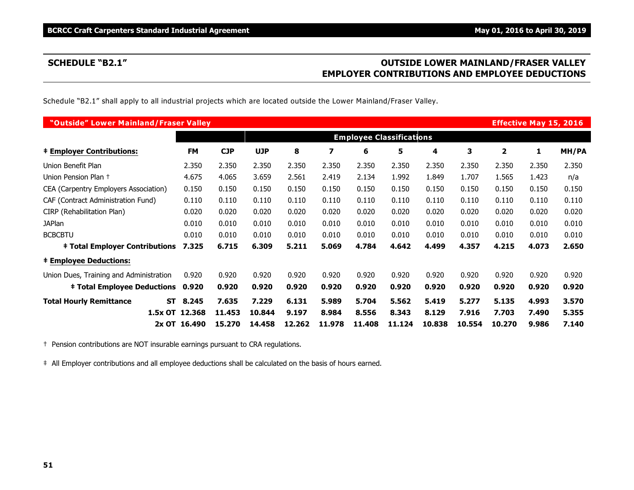# **SCHEDULE "B2.1" OUTSIDE LOWER MAINLAND/FRASER VALLEY EMPLOYER CONTRIBUTIONS AND EMPLOYEE DEDUCTIONS**

Schedule "B2.1" shall apply to all industrial projects which are located outside the Lower Mainland/Fraser Valley.

| "Outside" Lower Mainland/Fraser Valley      |                |            |            |        |        |        |                                 |        |        |        | <b>Effective May 15, 2016</b> |       |
|---------------------------------------------|----------------|------------|------------|--------|--------|--------|---------------------------------|--------|--------|--------|-------------------------------|-------|
|                                             |                |            |            |        |        |        | <b>Employee Classifications</b> |        |        |        |                               |       |
| <b>‡ Employer Contributions:</b>            | <b>FM</b>      | <b>CJP</b> | <b>UJP</b> | 8      | 7      | 6      | 5                               | 4      | 3      | 2      | 1                             | MH/PA |
| Union Benefit Plan                          | 2.350          | 2.350      | 2.350      | 2.350  | 2.350  | 2.350  | 2.350                           | 2.350  | 2.350  | 2.350  | 2.350                         | 2.350 |
| Union Pension Plan +                        | 4.675          | 4.065      | 3.659      | 2.561  | 2.419  | 2.134  | 1.992                           | 1.849  | 1.707  | 1.565  | 1.423                         | n/a   |
| CEA (Carpentry Employers Association)       | 0.150          | 0.150      | 0.150      | 0.150  | 0.150  | 0.150  | 0.150                           | 0.150  | 0.150  | 0.150  | 0.150                         | 0.150 |
| CAF (Contract Administration Fund)          | 0.110          | 0.110      | 0.110      | 0.110  | 0.110  | 0.110  | 0.110                           | 0.110  | 0.110  | 0.110  | 0.110                         | 0.110 |
| CIRP (Rehabilitation Plan)                  | 0.020          | 0.020      | 0.020      | 0.020  | 0.020  | 0.020  | 0.020                           | 0.020  | 0.020  | 0.020  | 0.020                         | 0.020 |
| <b>JAPlan</b>                               | 0.010          | 0.010      | 0.010      | 0.010  | 0.010  | 0.010  | 0.010                           | 0.010  | 0.010  | 0.010  | 0.010                         | 0.010 |
| <b>BCBCBTU</b>                              | 0.010          | 0.010      | 0.010      | 0.010  | 0.010  | 0.010  | 0.010                           | 0.010  | 0.010  | 0.010  | 0.010                         | 0.010 |
| <b>‡ Total Employer Contributions</b>       | 7.325          | 6.715      | 6.309      | 5.211  | 5.069  | 4.784  | 4.642                           | 4.499  | 4.357  | 4.215  | 4.073                         | 2.650 |
| <b>‡ Employee Deductions:</b>               |                |            |            |        |        |        |                                 |        |        |        |                               |       |
| Union Dues, Training and Administration     | 0.920          | 0.920      | 0.920      | 0.920  | 0.920  | 0.920  | 0.920                           | 0.920  | 0.920  | 0.920  | 0.920                         | 0.920 |
| <b>‡ Total Employee Deductions 0.920</b>    |                | 0.920      | 0.920      | 0.920  | 0.920  | 0.920  | 0.920                           | 0.920  | 0.920  | 0.920  | 0.920                         | 0.920 |
| <b>Total Hourly Remittance</b><br><b>ST</b> | 8.245          | 7.635      | 7.229      | 6.131  | 5.989  | 5.704  | 5.562                           | 5.419  | 5.277  | 5.135  | 4.993                         | 3.570 |
|                                             | 1.5x OT 12.368 | 11.453     | 10.844     | 9.197  | 8.984  | 8.556  | 8.343                           | 8.129  | 7.916  | 7.703  | 7.490                         | 5.355 |
|                                             | 2x OT 16.490   | 15.270     | 14.458     | 12.262 | 11.978 | 11.408 | 11.124                          | 10.838 | 10.554 | 10.270 | 9.986                         | 7.140 |

† Pension contributions are NOT insurable earnings pursuant to CRA regulations.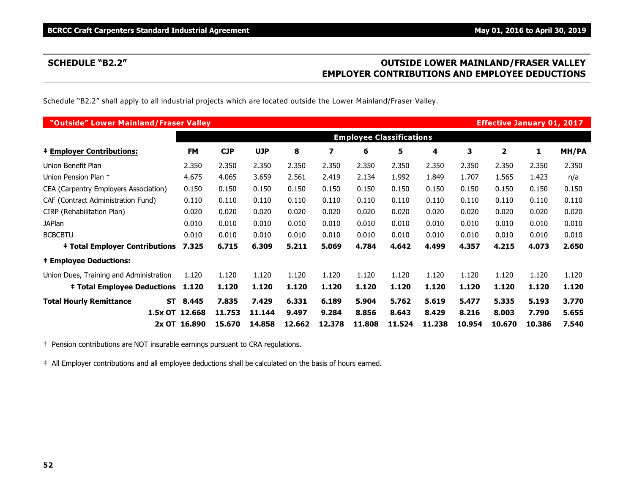# **SCHEDULE "B2.2" OUTSIDE LOWER MAINLAND/FRASER VALLEY EMPLOYER CONTRIBUTIONS AND EMPLOYEE DEDUCTIONS**

Schedule "B2.2" shall apply to all industrial projects which are located outside the Lower Mainland/Fraser Valley.

| "Outside" Lower Mainland/Fraser Valley      |                |            |            |        |        |        |                                 |        |        |        | <b>Effective January 01, 2017</b> |       |
|---------------------------------------------|----------------|------------|------------|--------|--------|--------|---------------------------------|--------|--------|--------|-----------------------------------|-------|
|                                             |                |            |            |        |        |        | <b>Employee Classifications</b> |        |        |        |                                   |       |
| <b>‡ Employer Contributions:</b>            | <b>FM</b>      | <b>CJP</b> | <b>UJP</b> | 8      | 7      | 6      | 5                               | 4      | 3      | 2      | 1                                 | MH/PA |
| Union Benefit Plan                          | 2.350          | 2.350      | 2.350      | 2.350  | 2.350  | 2.350  | 2.350                           | 2.350  | 2.350  | 2.350  | 2.350                             | 2.350 |
| Union Pension Plan +                        | 4.675          | 4.065      | 3.659      | 2.561  | 2.419  | 2.134  | 1.992                           | 1.849  | 1.707  | 1.565  | 1.423                             | n/a   |
| CEA (Carpentry Employers Association)       | 0.150          | 0.150      | 0.150      | 0.150  | 0.150  | 0.150  | 0.150                           | 0.150  | 0.150  | 0.150  | 0.150                             | 0.150 |
| CAF (Contract Administration Fund)          | 0.110          | 0.110      | 0.110      | 0.110  | 0.110  | 0.110  | 0.110                           | 0.110  | 0.110  | 0.110  | 0.110                             | 0.110 |
| CIRP (Rehabilitation Plan)                  | 0.020          | 0.020      | 0.020      | 0.020  | 0.020  | 0.020  | 0.020                           | 0.020  | 0.020  | 0.020  | 0.020                             | 0.020 |
| <b>JAPlan</b>                               | 0.010          | 0.010      | 0.010      | 0.010  | 0.010  | 0.010  | 0.010                           | 0.010  | 0.010  | 0.010  | 0.010                             | 0.010 |
| <b>BCBCBTU</b>                              | 0.010          | 0.010      | 0.010      | 0.010  | 0.010  | 0.010  | 0.010                           | 0.010  | 0.010  | 0.010  | 0.010                             | 0.010 |
| <b>‡ Total Employer Contributions</b>       | 7.325          | 6.715      | 6.309      | 5.211  | 5.069  | 4.784  | 4.642                           | 4.499  | 4.357  | 4.215  | 4.073                             | 2.650 |
| <b>‡ Employee Deductions:</b>               |                |            |            |        |        |        |                                 |        |        |        |                                   |       |
| Union Dues, Training and Administration     | 1.120          | 1.120      | 1.120      | 1.120  | 1.120  | 1.120  | 1.120                           | 1.120  | 1.120  | 1.120  | 1.120                             | 1.120 |
| <b>‡ Total Employee Deductions</b>          | 1.120          | 1.120      | 1.120      | 1.120  | 1.120  | 1.120  | 1.120                           | 1.120  | 1.120  | 1.120  | 1.120                             | 1.120 |
| <b>Total Hourly Remittance</b><br><b>ST</b> | 8.445          | 7.835      | 7.429      | 6.331  | 6.189  | 5.904  | 5.762                           | 5.619  | 5.477  | 5.335  | 5.193                             | 3.770 |
|                                             | 1.5x OT 12.668 | 11.753     | 11.144     | 9.497  | 9.284  | 8.856  | 8.643                           | 8.429  | 8.216  | 8.003  | 7.790                             | 5.655 |
|                                             | 2x OT 16.890   | 15.670     | 14.858     | 12.662 | 12.378 | 11,808 | 11.524                          | 11.238 | 10.954 | 10.670 | 10.386                            | 7.540 |

† Pension contributions are NOT insurable earnings pursuant to CRA regulations.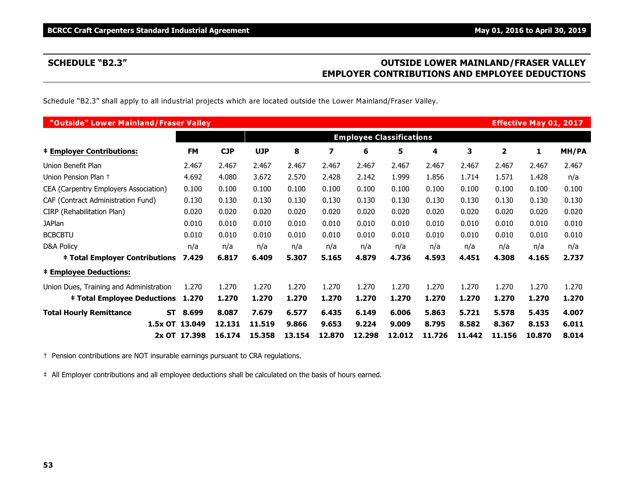# **SCHEDULE "B2.3" OUTSIDE LOWER MAINLAND/FRASER VALLEY EMPLOYER CONTRIBUTIONS AND EMPLOYEE DEDUCTIONS**

Schedule "B2.3" shall apply to all industrial projects which are located outside the Lower Mainland/Fraser Valley.

| "Outside" Lower Mainland/Fraser Valley  |                    |            |            |        |        |        |                                 |        |        |                | <b>Effective May 01, 2017</b> |       |
|-----------------------------------------|--------------------|------------|------------|--------|--------|--------|---------------------------------|--------|--------|----------------|-------------------------------|-------|
|                                         |                    |            |            |        |        |        | <b>Employee Classifications</b> |        |        |                |                               |       |
| <b>‡ Employer Contributions:</b>        | <b>FM</b>          | <b>CJP</b> | <b>UJP</b> | 8      | 7      | 6      | 5                               | 4      | 3      | $\overline{2}$ | 1                             | MH/PA |
| Union Benefit Plan                      | 2.467              | 2.467      | 2.467      | 2.467  | 2.467  | 2.467  | 2.467                           | 2.467  | 2.467  | 2.467          | 2.467                         | 2.467 |
| Union Pension Plan +                    | 4.692              | 4.080      | 3.672      | 2.570  | 2.428  | 2.142  | 1.999                           | 1.856  | 1.714  | 1.571          | 1.428                         | n/a   |
| CEA (Carpentry Employers Association)   | 0.100              | 0.100      | 0.100      | 0.100  | 0.100  | 0.100  | 0.100                           | 0.100  | 0.100  | 0.100          | 0.100                         | 0.100 |
| CAF (Contract Administration Fund)      | 0.130              | 0.130      | 0.130      | 0.130  | 0.130  | 0.130  | 0.130                           | 0.130  | 0.130  | 0.130          | 0.130                         | 0.130 |
| CIRP (Rehabilitation Plan)              | 0.020              | 0.020      | 0.020      | 0.020  | 0.020  | 0.020  | 0.020                           | 0.020  | 0.020  | 0.020          | 0.020                         | 0.020 |
| <b>JAPlan</b>                           | 0.010              | 0.010      | 0.010      | 0.010  | 0.010  | 0.010  | 0.010                           | 0.010  | 0.010  | 0.010          | 0.010                         | 0.010 |
| <b>BCBCBTU</b>                          | 0.010              | 0.010      | 0.010      | 0.010  | 0.010  | 0.010  | 0.010                           | 0.010  | 0.010  | 0.010          | 0.010                         | 0.010 |
| <b>D&amp;A Policy</b>                   | n/a                | n/a        | n/a        | n/a    | n/a    | n/a    | n/a                             | n/a    | n/a    | n/a            | n/a                           | n/a   |
| <b>‡ Total Employer Contributions</b>   | 7.429              | 6.817      | 6.409      | 5.307  | 5.165  | 4.879  | 4.736                           | 4.593  | 4.451  | 4.308          | 4.165                         | 2.737 |
| <b>‡ Employee Deductions:</b>           |                    |            |            |        |        |        |                                 |        |        |                |                               |       |
| Union Dues, Training and Administration | 1.270              | 1.270      | 1.270      | 1.270  | 1.270  | 1.270  | 1.270                           | 1.270  | 1.270  | 1.270          | 1.270                         | 1.270 |
| <b>‡ Total Employee Deductions</b>      | 1.270              | 1.270      | 1.270      | 1.270  | 1.270  | 1.270  | 1.270                           | 1.270  | 1.270  | 1.270          | 1.270                         | 1.270 |
| <b>Total Hourly Remittance</b>          | <b>ST</b><br>8.699 | 8.087      | 7.679      | 6.577  | 6.435  | 6.149  | 6.006                           | 5.863  | 5.721  | 5.578          | 5.435                         | 4.007 |
|                                         | 1.5x OT 13.049     | 12.131     | 11.519     | 9.866  | 9.653  | 9.224  | 9.009                           | 8.795  | 8.582  | 8.367          | 8.153                         | 6.011 |
|                                         | 2x OT 17.398       | 16.174     | 15.358     | 13.154 | 12.870 | 12.298 | 12.012                          | 11.726 | 11.442 | 11.156         | 10.870                        | 8.014 |

† Pension contributions are NOT insurable earnings pursuant to CRA regulations.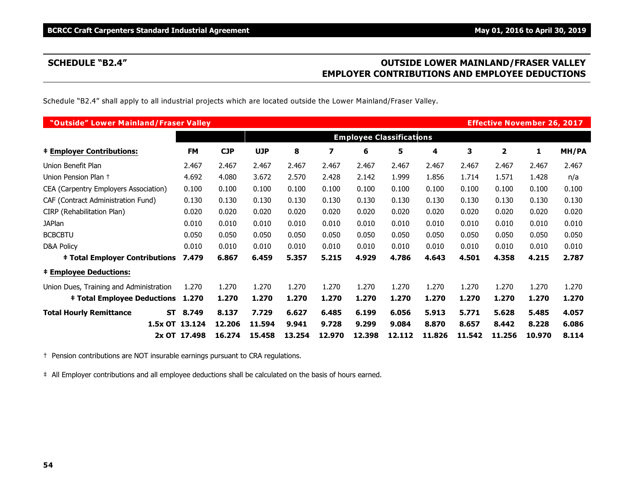# **SCHEDULE "B2.4" OUTSIDE LOWER MAINLAND/FRASER VALLEY EMPLOYER CONTRIBUTIONS AND EMPLOYEE DEDUCTIONS**

Schedule "B2.4" shall apply to all industrial projects which are located outside the Lower Mainland/Fraser Valley.

| "Outside" Lower Mainland/Fraser Valley  |                    |            |            |        |        |        |                                 |        |        | <b>Effective November 26, 2017</b> |        |       |
|-----------------------------------------|--------------------|------------|------------|--------|--------|--------|---------------------------------|--------|--------|------------------------------------|--------|-------|
|                                         |                    |            |            |        |        |        | <b>Employee Classifications</b> |        |        |                                    |        |       |
| <b>‡ Employer Contributions:</b>        | <b>FM</b>          | <b>CJP</b> | <b>UJP</b> | 8      | 7      | 6      | 5                               | 4      | 3      | $\overline{2}$                     | 1      | MH/PA |
| Union Benefit Plan                      | 2.467              | 2.467      | 2.467      | 2.467  | 2.467  | 2.467  | 2.467                           | 2.467  | 2.467  | 2.467                              | 2.467  | 2.467 |
| Union Pension Plan +                    | 4.692              | 4.080      | 3.672      | 2.570  | 2.428  | 2.142  | 1.999                           | 1.856  | 1.714  | 1.571                              | 1.428  | n/a   |
| CEA (Carpentry Employers Association)   | 0.100              | 0.100      | 0.100      | 0.100  | 0.100  | 0.100  | 0.100                           | 0.100  | 0.100  | 0.100                              | 0.100  | 0.100 |
| CAF (Contract Administration Fund)      | 0.130              | 0.130      | 0.130      | 0.130  | 0.130  | 0.130  | 0.130                           | 0.130  | 0.130  | 0.130                              | 0.130  | 0.130 |
| CIRP (Rehabilitation Plan)              | 0.020              | 0.020      | 0.020      | 0.020  | 0.020  | 0.020  | 0.020                           | 0.020  | 0.020  | 0.020                              | 0.020  | 0.020 |
| <b>JAPlan</b>                           | 0.010              | 0.010      | 0.010      | 0.010  | 0.010  | 0.010  | 0.010                           | 0.010  | 0.010  | 0.010                              | 0.010  | 0.010 |
| <b>BCBCBTU</b>                          | 0.050              | 0.050      | 0.050      | 0.050  | 0.050  | 0.050  | 0.050                           | 0.050  | 0.050  | 0.050                              | 0.050  | 0.050 |
| <b>D&amp;A Policy</b>                   | 0.010              | 0.010      | 0.010      | 0.010  | 0.010  | 0.010  | 0.010                           | 0.010  | 0.010  | 0.010                              | 0.010  | 0.010 |
| <b>‡ Total Employer Contributions</b>   | 7.479              | 6.867      | 6.459      | 5.357  | 5.215  | 4.929  | 4.786                           | 4.643  | 4.501  | 4.358                              | 4.215  | 2.787 |
| <b>‡ Employee Deductions:</b>           |                    |            |            |        |        |        |                                 |        |        |                                    |        |       |
| Union Dues, Training and Administration | 1.270              | 1.270      | 1.270      | 1.270  | 1.270  | 1.270  | 1.270                           | 1.270  | 1.270  | 1.270                              | 1.270  | 1.270 |
| <b>‡ Total Employee Deductions</b>      | 1.270              | 1.270      | 1.270      | 1.270  | 1.270  | 1.270  | 1.270                           | 1.270  | 1.270  | 1.270                              | 1.270  | 1.270 |
| <b>Total Hourly Remittance</b>          | <b>ST</b><br>8.749 | 8.137      | 7.729      | 6.627  | 6.485  | 6.199  | 6.056                           | 5.913  | 5.771  | 5.628                              | 5.485  | 4.057 |
|                                         | 1.5x OT 13.124     | 12.206     | 11.594     | 9.941  | 9.728  | 9.299  | 9.084                           | 8.870  | 8.657  | 8.442                              | 8.228  | 6.086 |
|                                         | 2x OT 17.498       | 16.274     | 15.458     | 13.254 | 12.970 | 12.398 | 12.112                          | 11.826 | 11.542 | 11.256                             | 10.970 | 8.114 |

† Pension contributions are NOT insurable earnings pursuant to CRA regulations.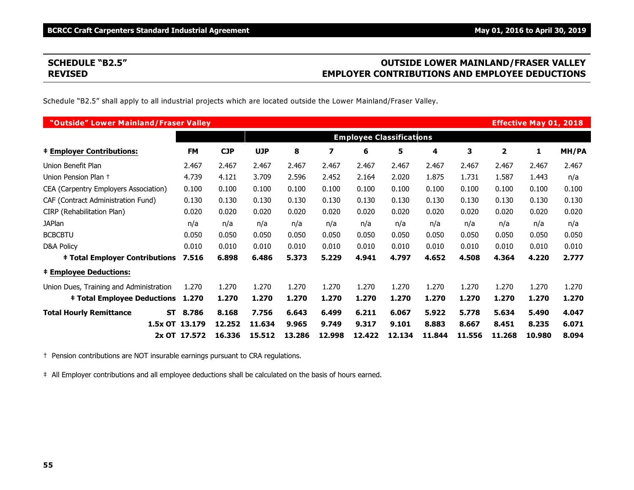# **SCHEDULE "B2.5" OUTSIDE LOWER MAINLAND/FRASER VALLEY REVISED EMPLOYER CONTRIBUTIONS AND EMPLOYEE DEDUCTIONS**

Schedule "B2.5" shall apply to all industrial projects which are located outside the Lower Mainland/Fraser Valley.

| "Outside" Lower Mainland/Fraser Valley      |                |            |            |        |        |                                 |        |        |        |        | <b>Effective May 01, 2018</b> |       |
|---------------------------------------------|----------------|------------|------------|--------|--------|---------------------------------|--------|--------|--------|--------|-------------------------------|-------|
|                                             |                |            |            |        |        | <b>Employee Classifications</b> |        |        |        |        |                               |       |
| <b>‡ Employer Contributions:</b>            | <b>FM</b>      | <b>CJP</b> | <b>UJP</b> | 8      | 7      | 6                               | 5      | 4      | 3      | 2      | 1                             | MH/PA |
| Union Benefit Plan                          | 2.467          | 2.467      | 2.467      | 2.467  | 2.467  | 2.467                           | 2.467  | 2.467  | 2.467  | 2.467  | 2.467                         | 2.467 |
| Union Pension Plan +                        | 4.739          | 4.121      | 3.709      | 2.596  | 2.452  | 2.164                           | 2.020  | 1.875  | 1.731  | 1.587  | 1.443                         | n/a   |
| CEA (Carpentry Employers Association)       | 0.100          | 0.100      | 0.100      | 0.100  | 0.100  | 0.100                           | 0.100  | 0.100  | 0.100  | 0.100  | 0.100                         | 0.100 |
| CAF (Contract Administration Fund)          | 0.130          | 0.130      | 0.130      | 0.130  | 0.130  | 0.130                           | 0.130  | 0.130  | 0.130  | 0.130  | 0.130                         | 0.130 |
| CIRP (Rehabilitation Plan)                  | 0.020          | 0.020      | 0.020      | 0.020  | 0.020  | 0.020                           | 0.020  | 0.020  | 0.020  | 0.020  | 0.020                         | 0.020 |
| <b>JAPlan</b>                               | n/a            | n/a        | n/a        | n/a    | n/a    | n/a                             | n/a    | n/a    | n/a    | n/a    | n/a                           | n/a   |
| <b>BCBCBTU</b>                              | 0.050          | 0.050      | 0.050      | 0.050  | 0.050  | 0.050                           | 0.050  | 0.050  | 0.050  | 0.050  | 0.050                         | 0.050 |
| D&A Policy                                  | 0.010          | 0.010      | 0.010      | 0.010  | 0.010  | 0.010                           | 0.010  | 0.010  | 0.010  | 0.010  | 0.010                         | 0.010 |
| <b>‡ Total Employer Contributions</b>       | 7.516          | 6.898      | 6.486      | 5.373  | 5.229  | 4.941                           | 4.797  | 4.652  | 4.508  | 4.364  | 4.220                         | 2.777 |
| <b>‡ Employee Deductions:</b>               |                |            |            |        |        |                                 |        |        |        |        |                               |       |
| Union Dues, Training and Administration     | 1.270          | 1.270      | 1.270      | 1.270  | 1.270  | 1.270                           | 1.270  | 1.270  | 1.270  | 1.270  | 1.270                         | 1.270 |
| <b>‡ Total Employee Deductions</b>          | 1.270          | 1.270      | 1.270      | 1.270  | 1.270  | 1.270                           | 1.270  | 1.270  | 1.270  | 1.270  | 1.270                         | 1.270 |
| <b>Total Hourly Remittance</b><br><b>ST</b> | 8.786          | 8.168      | 7.756      | 6.643  | 6.499  | 6.211                           | 6.067  | 5.922  | 5.778  | 5.634  | 5.490                         | 4.047 |
|                                             | 1.5x OT 13.179 | 12,252     | 11.634     | 9.965  | 9.749  | 9.317                           | 9.101  | 8.883  | 8.667  | 8.451  | 8.235                         | 6.071 |
|                                             | 2x OT 17.572   | 16.336     | 15.512     | 13.286 | 12.998 | 12.422                          | 12.134 | 11.844 | 11.556 | 11.268 | 10.980                        | 8.094 |

† Pension contributions are NOT insurable earnings pursuant to CRA regulations.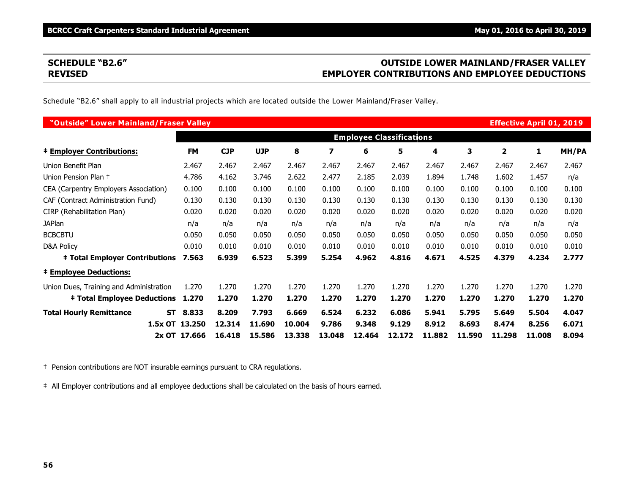# **SCHEDULE "B2.6" OUTSIDE LOWER MAINLAND/FRASER VALLEY REVISED EMPLOYER CONTRIBUTIONS AND EMPLOYEE DEDUCTIONS**

Schedule "B2.6" shall apply to all industrial projects which are located outside the Lower Mainland/Fraser Valley.

| "Outside" Lower Mainland/Fraser Valley      |              |            |            |        |        |                                 |        |        |        |        | <b>Effective April 01, 2019</b> |       |
|---------------------------------------------|--------------|------------|------------|--------|--------|---------------------------------|--------|--------|--------|--------|---------------------------------|-------|
|                                             |              |            |            |        |        | <b>Employee Classifications</b> |        |        |        |        |                                 |       |
| <b>‡ Employer Contributions:</b>            | <b>FM</b>    | <b>CJP</b> | <b>UJP</b> | 8      | 7      | 6                               | 5      | 4      | з      | 2      | 1                               | MH/PA |
| Union Benefit Plan                          | 2.467        | 2.467      | 2.467      | 2.467  | 2.467  | 2.467                           | 2.467  | 2.467  | 2.467  | 2.467  | 2.467                           | 2.467 |
| Union Pension Plan +                        | 4.786        | 4.162      | 3.746      | 2.622  | 2.477  | 2.185                           | 2.039  | 1.894  | 1.748  | 1.602  | 1.457                           | n/a   |
| CEA (Carpentry Employers Association)       | 0.100        | 0.100      | 0.100      | 0.100  | 0.100  | 0.100                           | 0.100  | 0.100  | 0.100  | 0.100  | 0.100                           | 0.100 |
| CAF (Contract Administration Fund)          | 0.130        | 0.130      | 0.130      | 0.130  | 0.130  | 0.130                           | 0.130  | 0.130  | 0.130  | 0.130  | 0.130                           | 0.130 |
| CIRP (Rehabilitation Plan)                  | 0.020        | 0.020      | 0.020      | 0.020  | 0.020  | 0.020                           | 0.020  | 0.020  | 0.020  | 0.020  | 0.020                           | 0.020 |
| <b>JAPlan</b>                               | n/a          | n/a        | n/a        | n/a    | n/a    | n/a                             | n/a    | n/a    | n/a    | n/a    | n/a                             | n/a   |
| <b>BCBCBTU</b>                              | 0.050        | 0.050      | 0.050      | 0.050  | 0.050  | 0.050                           | 0.050  | 0.050  | 0.050  | 0.050  | 0.050                           | 0.050 |
| D&A Policy                                  | 0.010        | 0.010      | 0.010      | 0.010  | 0.010  | 0.010                           | 0.010  | 0.010  | 0.010  | 0.010  | 0.010                           | 0.010 |
| <b>‡ Total Employer Contributions</b>       | 7.563        | 6.939      | 6.523      | 5.399  | 5.254  | 4.962                           | 4.816  | 4.671  | 4.525  | 4.379  | 4.234                           | 2.777 |
| <b>‡ Employee Deductions:</b>               |              |            |            |        |        |                                 |        |        |        |        |                                 |       |
| Union Dues, Training and Administration     | 1.270        | 1.270      | 1.270      | 1.270  | 1.270  | 1.270                           | 1.270  | 1.270  | 1.270  | 1.270  | 1.270                           | 1.270 |
| <b>‡ Total Employee Deductions</b>          | 1.270        | 1.270      | 1.270      | 1.270  | 1.270  | 1.270                           | 1.270  | 1.270  | 1.270  | 1.270  | 1.270                           | 1.270 |
| <b>Total Hourly Remittance</b><br><b>ST</b> | 8.833        | 8.209      | 7.793      | 6.669  | 6.524  | 6.232                           | 6.086  | 5.941  | 5.795  | 5.649  | 5.504                           | 4.047 |
| 1.5x OT 13.250                              |              | 12,314     | 11.690     | 10.004 | 9.786  | 9.348                           | 9.129  | 8.912  | 8.693  | 8.474  | 8.256                           | 6.071 |
|                                             | 2x OT 17.666 | 16,418     | 15.586     | 13,338 | 13.048 | 12.464                          | 12.172 | 11,882 | 11.590 | 11.298 | 11,008                          | 8.094 |

† Pension contributions are NOT insurable earnings pursuant to CRA regulations.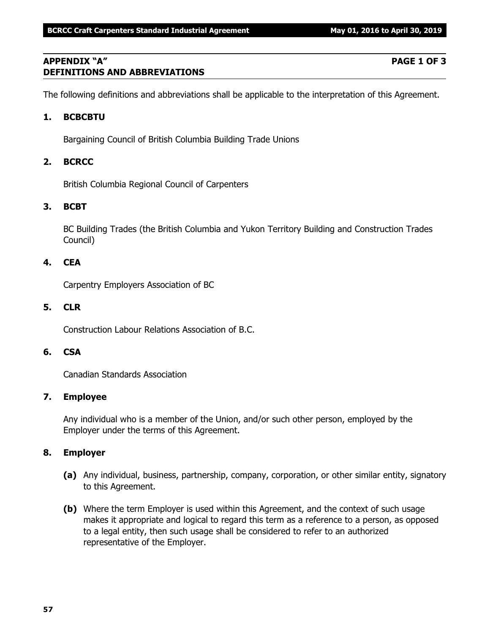# **APPENDIX "A" PAGE 1 OF 3 DEFINITIONS AND ABBREVIATIONS**

The following definitions and abbreviations shall be applicable to the interpretation of this Agreement.

# **1. BCBCBTU**

Bargaining Council of British Columbia Building Trade Unions

# **2. BCRCC**

British Columbia Regional Council of Carpenters

# **3. BCBT**

BC Building Trades (the British Columbia and Yukon Territory Building and Construction Trades Council)

# **4. CEA**

Carpentry Employers Association of BC

### **5. CLR**

Construction Labour Relations Association of B.C.

# **6. CSA**

Canadian Standards Association

# **7. Employee**

Any individual who is a member of the Union, and/or such other person, employed by the Employer under the terms of this Agreement.

# **8. Employer**

- **(a)** Any individual, business, partnership, company, corporation, or other similar entity, signatory to this Agreement.
- **(b)** Where the term Employer is used within this Agreement, and the context of such usage makes it appropriate and logical to regard this term as a reference to a person, as opposed to a legal entity, then such usage shall be considered to refer to an authorized representative of the Employer.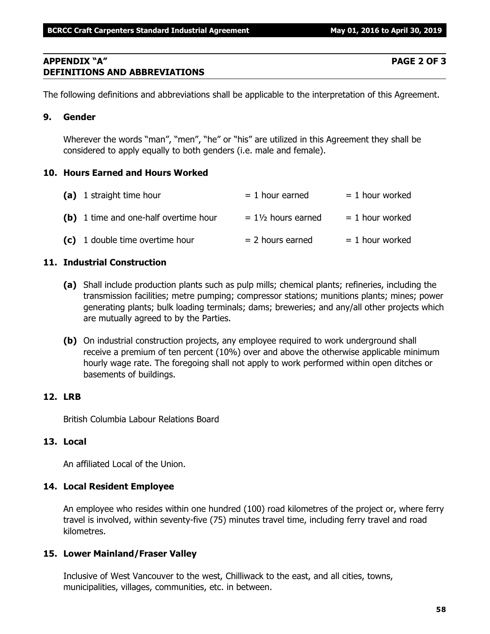# **APPENDIX "A" PAGE 2 OF 3 DEFINITIONS AND ABBREVIATIONS**

The following definitions and abbreviations shall be applicable to the interpretation of this Agreement.

# **9. Gender**

Wherever the words "man", "men", "he" or "his" are utilized in this Agreement they shall be considered to apply equally to both genders (i.e. male and female).

# **10. Hours Earned and Hours Worked**

| (a) 1 straight time hour              | $= 1$ hour earned             | $= 1$ hour worked |
|---------------------------------------|-------------------------------|-------------------|
| (b) 1 time and one-half overtime hour | $= 1\frac{1}{2}$ hours earned | $= 1$ hour worked |
| (c) 1 double time overtime hour       | $= 2$ hours earned            | $= 1$ hour worked |

# **11. Industrial Construction**

- **(a)** Shall include production plants such as pulp mills; chemical plants; refineries, including the transmission facilities; metre pumping; compressor stations; munitions plants; mines; power generating plants; bulk loading terminals; dams; breweries; and any/all other projects which are mutually agreed to by the Parties.
- **(b)** On industrial construction projects, any employee required to work underground shall receive a premium of ten percent (10%) over and above the otherwise applicable minimum hourly wage rate. The foregoing shall not apply to work performed within open ditches or basements of buildings.

# **12. LRB**

British Columbia Labour Relations Board

# **13. Local**

An affiliated Local of the Union.

# **14. Local Resident Employee**

An employee who resides within one hundred (100) road kilometres of the project or, where ferry travel is involved, within seventy-five (75) minutes travel time, including ferry travel and road kilometres.

# **15. Lower Mainland/Fraser Valley**

Inclusive of West Vancouver to the west, Chilliwack to the east, and all cities, towns, municipalities, villages, communities, etc. in between.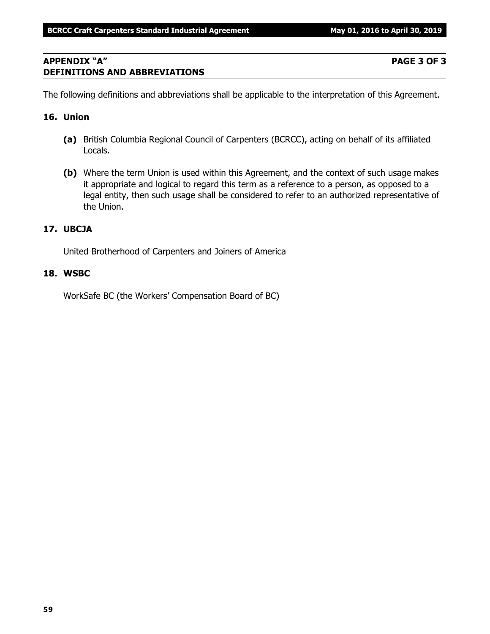# **APPENDIX "A" PAGE 3 OF 3 DEFINITIONS AND ABBREVIATIONS**

The following definitions and abbreviations shall be applicable to the interpretation of this Agreement.

### **16. Union**

- **(a)** British Columbia Regional Council of Carpenters (BCRCC), acting on behalf of its affiliated Locals.
- **(b)** Where the term Union is used within this Agreement, and the context of such usage makes it appropriate and logical to regard this term as a reference to a person, as opposed to a legal entity, then such usage shall be considered to refer to an authorized representative of the Union.

## **17. UBCJA**

United Brotherhood of Carpenters and Joiners of America

### **18. WSBC**

WorkSafe BC (the Workers' Compensation Board of BC)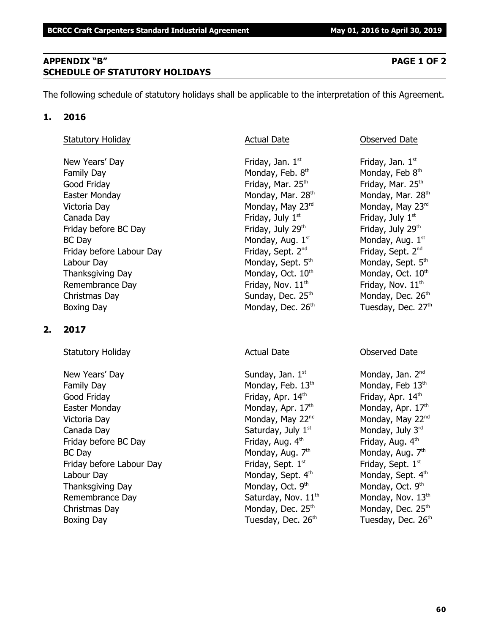# **APPENDIX "B" PAGE 1 OF 2 SCHEDULE OF STATUTORY HOLIDAYS**

The following schedule of statutory holidays shall be applicable to the interpretation of this Agreement.

# **1. 2016**

# Statutory Holiday **Actual Date Conserved Date** Observed Date

New Years' Day **Friday**, Jan. 1st Family Day **Monday, Feb. 8th** Monday, Feb. 8th Good Friday **Friday** Friday, Mar. 25<sup>th</sup> Friday, Mar. 25<sup>th</sup> Friday, Mar. 25<sup>th</sup> Easter Monday Monday, Mar. 28<sup>th</sup> Monday, Mar. 28<sup>th</sup> Monday, Mar. 28<sup>th</sup> Victoria Day **Monday, May 23<sup>rd</sup>** Monday, May 23<sup>rd</sup> Monday, May 23<sup>rd</sup> Canada Day **Friday, July 1<sup>st</sup>** Friday, July 1<sup>st</sup> Friday, July 1<sup>st</sup> Friday before BC Day  $Friday$ , July 29<sup>th</sup> Friday, July 29<sup>th</sup>  $BC$  Day Monday, Aug.  $1<sup>st</sup>$ Friday before Labour Day Friday, Sept. 2<sup>nd</sup> Labour Day Monday, Sept. 5<sup>th</sup> Monday, Sept. 5<sup>th</sup> Monday, Sept. 5<sup>th</sup> Thanksgiving Day Monday, Oct.  $10<sup>th</sup>$  Monday, Oct.  $10<sup>th</sup>$  Monday, Oct.  $10<sup>th</sup>$ Remembrance Day  $\qquad \qquad$  Friday, Nov.  $11^{\text{th}}$  Friday, Nov.  $11^{\text{th}}$ Christmas Day  $S$ unday, Dec. 25<sup>th</sup> Monday, Dec. 26<sup>th</sup> Boxing Day Monday, Dec. 26<sup>th</sup> Tuesday, Dec. 27<sup>th</sup>

# **2. 2017**

# Statutory Holiday **Actual Date** Actual Date **Conserved Date** Observed Date

New Years' Day North Sunday, Jan. 1<sup>st</sup> Monday, Jan. 2<sup>nd</sup> Monday, Jan. 2<sup>nd</sup> Family Day Monday, Feb.  $13<sup>th</sup>$  Monday, Feb  $13<sup>th</sup>$ Good Friday **Friday**, Apr. 14<sup>th</sup> Friday, Apr. 14<sup>th</sup> Friday, Apr. 14<sup>th</sup> Easter Monday **Monday, Apr. 17<sup>th</sup> Monday, Apr. 17<sup>th</sup> Monday, Apr. 17<sup>th</sup>** Victoria Day **Monday, May 22<sup>nd</sup> Monday, May 22<sup>nd</sup> Monday, May 22<sup>nd</sup> Monday, May 22<sup>nd</sup>** Canada Day Saturday, July  $1^{\text{st}}$  Monday, July  $3^{\text{rd}}$ Friday before BC Day  $Friday$ , Aug.  $4<sup>th</sup>$  Friday, Aug.  $4<sup>th</sup>$ BC Day Monday, Aug. 7<sup>th</sup> Friday before Labour Day Friday, Sept. 1<sup>st</sup> Labour Day Monday, Sept. 4<sup>th</sup> Monday, Sept. 4<sup>th</sup> Monday, Sept. 4<sup>th</sup> Thanksgiving Day Monday, Oct. 9th Remembrance Day  $Saturday$ , Nov.  $11<sup>th</sup>$  Monday, Nov.  $13<sup>th</sup>$ Christmas Day  $M$ onday, Dec. 25<sup>th</sup> Monday, Dec. 25<sup>th</sup> Monday, Dec. 25<sup>th</sup> Boxing Day **Bridge Community Community** Tuesday, Dec. 26<sup>th</sup> Tuesday, Dec. 26<sup>th</sup>

Friday, Jan.  $1<sup>st</sup>$ Monday, Feb 8th Monday, Aug. 1st Friday, Sept. 2<sup>nd</sup>

Monday, Aug.  $7<sup>th</sup>$ Friday, Sept. 1st Monday, Oct. 9<sup>th</sup>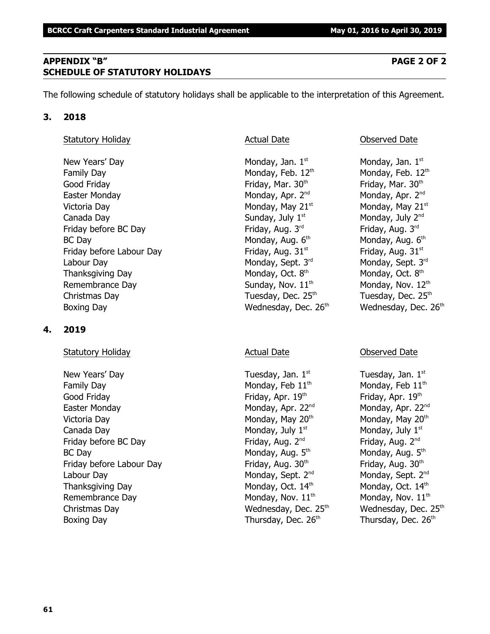# **APPENDIX "B" PAGE 2 OF 2 SCHEDULE OF STATUTORY HOLIDAYS**

The following schedule of statutory holidays shall be applicable to the interpretation of this Agreement.

### **3. 2018**

### Statutory Holiday **Actual Date Actual Date Conserved Date Observed Date**

New Years' Day  $\blacksquare$  Monday, Jan. 1st  $\blacksquare$  Monday, Jan. 1st structure  $\blacksquare$  Monday, Jan. 1st Family Day Monday, Feb.  $12<sup>th</sup>$  Monday, Feb.  $12<sup>th</sup>$ Good Friday **Friday**, Mar. 30<sup>th</sup> Friday, Mar. 30<sup>th</sup> Friday, Mar. 30<sup>th</sup> Easter Monday **Monday, Apr. 2<sup>nd</sup> Monday, Apr. 2<sup>nd</sup> Monday, Apr. 2<sup>nd</sup> Monday, Apr. 2<sup>nd</sup>** Victoria Day **Monday, May 21**<sup>st</sup> Monday, May 21<sup>st</sup> Monday, May 21<sup>st</sup> Canada Day  $Sunday, July 1<sup>st</sup>$  Monday, July  $2<sup>nd</sup>$ Friday before BC Day  $\qquad \qquad$  Friday, Aug. 3<sup>rd</sup> Friday, Aug. 3<sup>rd</sup>  $BC$  Day Monday, Aug.  $6<sup>th</sup>$ Friday before Labour Day Friday, Aug. 31st striday, Aug. 31st striday, Aug. 31st Labour Day Monday, Sept. 3<sup>rd</sup> Monday, Sept. 3<sup>rd</sup> Monday, Sept. 3<sup>rd</sup> Rept. 3<sup>rd</sup> Rept. 3<sup>rd</sup> Thanksgiving Day Monday, Oct. 8<sup>th</sup> Remembrance Day  $Sunday, Nov. 11<sup>th</sup>$  Monday, Nov.  $12<sup>th</sup>$ Christmas Day  $\qquad \qquad$  Tuesday, Dec. 25<sup>th</sup>  $\qquad \qquad$  Tuesday, Dec. 25<sup>th</sup> Boxing Day **Bridge Community Community** Wednesday, Dec. 26<sup>th</sup> Wednesday, Dec. 26<sup>th</sup>

# **4. 2019**

# Statutory Holiday **Actual Date** Actual Date **Conserved Date** Observed Date

New Years' Day  $\qquad \qquad$  Tuesday, Jan.  $1^{st}$  Tuesday, Jan.  $1^{st}$ Family Day Monday, Feb  $11<sup>th</sup>$  Monday, Feb  $11<sup>th</sup>$ Good Friday **Friday, Apr. 19th Friday, Apr. 19th 19th** Friday, Apr. 19th the three states of the three states of the three states of the three states of the three states of the three states of the three states of the three Easter Monday **Monday, Apr. 22<sup>nd</sup> Monday, Apr. 22**<sup>nd</sup> Monday, Apr. 22<sup>nd</sup> Victoria Day **Monday, May 20<sup>th</sup> Monday, May 20<sup>th</sup> Monday, May 20<sup>th</sup> Monday, May 20<sup>th</sup>** Canada Day  $\qquad \qquad \qquad \qquad$  Monday, July 1st structure  $\qquad$  Monday, July 1st structure  $\qquad$ Friday before BC Day Friday, Aug. 2<sup>nd</sup> Friday, Aug. 2<sup>nd</sup> Friday, Aug. 2<sup>nd</sup> Friday, Aug. 2<sup>nd</sup> BC Day Monday, Aug. 5<sup>th</sup> Friday before Labour Day Friday, Aug. 30<sup>th</sup> Friday, Aug. 30<sup>th</sup> Friday, Aug. 30<sup>th</sup> Labour Day Monday, Sept. 2<sup>nd</sup> Monday, Sept. 2<sup>nd</sup> Monday, Sept. 2<sup>nd</sup> Thanksgiving Day Monday, Oct.  $14<sup>th</sup>$  Monday, Oct.  $14<sup>th</sup>$  Monday, Oct.  $14<sup>th</sup>$ Remembrance Day  $M$ onday, Nov.  $11<sup>th</sup>$  Monday, Nov.  $11<sup>th</sup>$ Christmas Day **Mathem Christmas Day Christmas Day Christmas Day Christmas Day Area** Wednesday, Dec. 25<sup>th</sup> Boxing Day Thursday, Dec. 26<sup>th</sup> Thursday, Dec. 26<sup>th</sup> Thursday, Dec. 26<sup>th</sup>

Monday, Aug. 6th Monday, Oct. 8th

Monday, Aug.  $5<sup>th</sup>$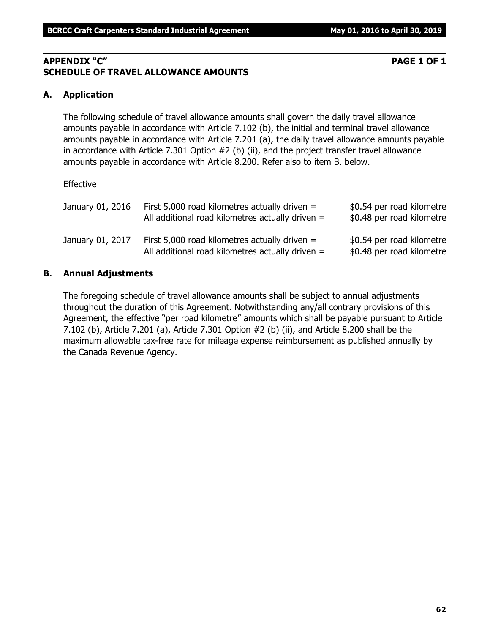# **APPENDIX "C" PAGE 1 OF 1 SCHEDULE OF TRAVEL ALLOWANCE AMOUNTS**

# **A. Application**

The following schedule of travel allowance amounts shall govern the daily travel allowance amounts payable in accordance with Article 7.102 (b), the initial and terminal travel allowance amounts payable in accordance with Article 7.201 (a), the daily travel allowance amounts payable in accordance with Article 7.301 Option #2 (b) (ii), and the project transfer travel allowance amounts payable in accordance with Article 8.200. Refer also to item B. below.

### Effective

| January 01, 2016 | First 5,000 road kilometres actually driven $=$<br>All additional road kilometres actually driven $=$ | \$0.54 per road kilometre<br>\$0.48 per road kilometre |
|------------------|-------------------------------------------------------------------------------------------------------|--------------------------------------------------------|
| January 01, 2017 | First 5,000 road kilometres actually driven $=$<br>All additional road kilometres actually driven $=$ | \$0.54 per road kilometre<br>\$0.48 per road kilometre |

# **B. Annual Adjustments**

The foregoing schedule of travel allowance amounts shall be subject to annual adjustments throughout the duration of this Agreement. Notwithstanding any/all contrary provisions of this Agreement, the effective "per road kilometre" amounts which shall be payable pursuant to Article 7.102 (b), Article 7.201 (a), Article 7.301 Option #2 (b) (ii), and Article 8.200 shall be the maximum allowable tax-free rate for mileage expense reimbursement as published annually by the Canada Revenue Agency.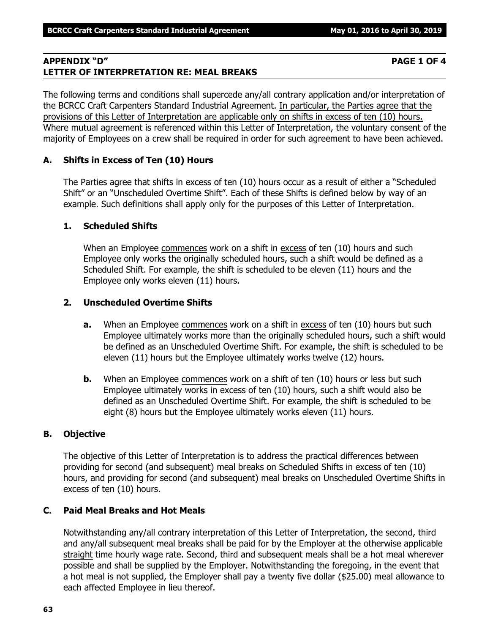# **APPENDIX "D" PAGE 1 OF 4 LETTER OF INTERPRETATION RE: MEAL BREAKS**

The following terms and conditions shall supercede any/all contrary application and/or interpretation of the BCRCC Craft Carpenters Standard Industrial Agreement. In particular, the Parties agree that the provisions of this Letter of Interpretation are applicable only on shifts in excess of ten (10) hours. Where mutual agreement is referenced within this Letter of Interpretation, the voluntary consent of the majority of Employees on a crew shall be required in order for such agreement to have been achieved.

# **A. Shifts in Excess of Ten (10) Hours**

The Parties agree that shifts in excess of ten (10) hours occur as a result of either a "Scheduled Shift" or an "Unscheduled Overtime Shift". Each of these Shifts is defined below by way of an example. Such definitions shall apply only for the purposes of this Letter of Interpretation.

# **1. Scheduled Shifts**

When an Employee commences work on a shift in excess of ten (10) hours and such Employee only works the originally scheduled hours, such a shift would be defined as a Scheduled Shift. For example, the shift is scheduled to be eleven (11) hours and the Employee only works eleven (11) hours.

# **2. Unscheduled Overtime Shifts**

- **a.** When an Employee commences work on a shift in excess of ten (10) hours but such Employee ultimately works more than the originally scheduled hours, such a shift would be defined as an Unscheduled Overtime Shift. For example, the shift is scheduled to be eleven (11) hours but the Employee ultimately works twelve (12) hours.
- **b.** When an Employee commences work on a shift of ten (10) hours or less but such Employee ultimately works in excess of ten (10) hours, such a shift would also be defined as an Unscheduled Overtime Shift. For example, the shift is scheduled to be eight (8) hours but the Employee ultimately works eleven (11) hours.

# **B. Objective**

The objective of this Letter of Interpretation is to address the practical differences between providing for second (and subsequent) meal breaks on Scheduled Shifts in excess of ten (10) hours, and providing for second (and subsequent) meal breaks on Unscheduled Overtime Shifts in excess of ten (10) hours.

# **C. Paid Meal Breaks and Hot Meals**

Notwithstanding any/all contrary interpretation of this Letter of Interpretation, the second, third and any/all subsequent meal breaks shall be paid for by the Employer at the otherwise applicable straight time hourly wage rate. Second, third and subsequent meals shall be a hot meal wherever possible and shall be supplied by the Employer. Notwithstanding the foregoing, in the event that a hot meal is not supplied, the Employer shall pay a twenty five dollar (\$25.00) meal allowance to each affected Employee in lieu thereof.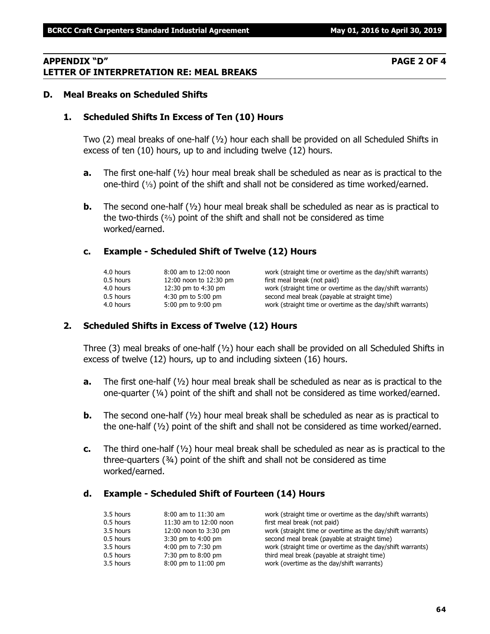### **APPENDIX "D" PAGE 2 OF 4 LETTER OF INTERPRETATION RE: MEAL BREAKS**

#### **D. Meal Breaks on Scheduled Shifts**

#### **1. Scheduled Shifts In Excess of Ten (10) Hours**

Two (2) meal breaks of one-half (½) hour each shall be provided on all Scheduled Shifts in excess of ten (10) hours, up to and including twelve (12) hours.

- **a.** The first one-half (½) hour meal break shall be scheduled as near as is practical to the one-third  $(1/3)$  point of the shift and shall not be considered as time worked/earned.
- **b.** The second one-half ( $\frac{1}{2}$ ) hour meal break shall be scheduled as near as is practical to the two-thirds  $(2)$  point of the shift and shall not be considered as time worked/earned.

#### **c. Example - Scheduled Shift of Twelve (12) Hours**

| 8:00 am to 12:00 noon  |
|------------------------|
| 12:00 noon to 12:30 pm |
| 12:30 pm to 4:30 pm    |
| 4:30 pm to 5:00 pm     |
| 5:00 pm to 9:00 pm     |
|                        |

work (straight time or overtime as the day/shift warrants) first meal break (not paid) work (straight time or overtime as the day/shift warrants) second meal break (payable at straight time) work (straight time or overtime as the day/shift warrants)

#### **2. Scheduled Shifts in Excess of Twelve (12) Hours**

Three (3) meal breaks of one-half  $(y_2)$  hour each shall be provided on all Scheduled Shifts in excess of twelve (12) hours, up to and including sixteen (16) hours.

- **a.** The first one-half (½) hour meal break shall be scheduled as near as is practical to the one-quarter  $(4)$  point of the shift and shall not be considered as time worked/earned.
- **b.** The second one-half (½) hour meal break shall be scheduled as near as is practical to the one-half (½) point of the shift and shall not be considered as time worked/earned.
- **c.** The third one-half (½) hour meal break shall be scheduled as near as is practical to the three-quarters (¾) point of the shift and shall not be considered as time worked/earned.

#### **d. Example - Scheduled Shift of Fourteen (14) Hours**

| 3.5 hours | $8:00$ am to $11:30$ am | work (straight time or overtime as the day/shift warrants) |
|-----------|-------------------------|------------------------------------------------------------|
| 0.5 hours | 11:30 am to 12:00 noon  | first meal break (not paid)                                |
| 3.5 hours | 12:00 noon to 3:30 pm   | work (straight time or overtime as the day/shift warrants) |
| 0.5 hours | $3:30$ pm to $4:00$ pm  | second meal break (payable at straight time)               |
| 3.5 hours | 4:00 pm to 7:30 pm      | work (straight time or overtime as the day/shift warrants) |
| 0.5 hours | 7:30 pm to 8:00 pm      | third meal break (payable at straight time)                |
| 3.5 hours | 8:00 pm to 11:00 pm     | work (overtime as the day/shift warrants)                  |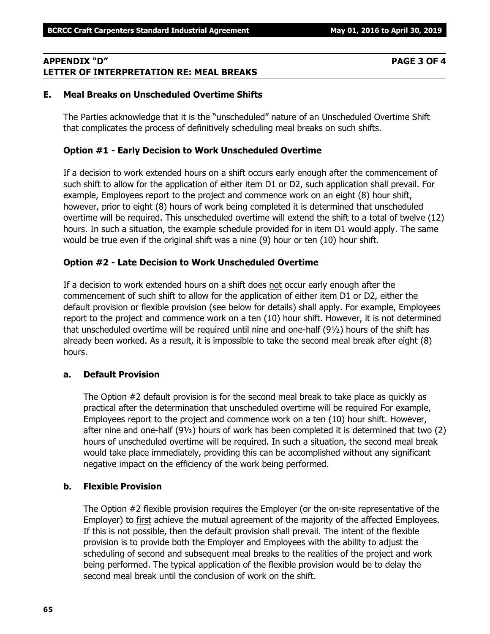# **APPENDIX "D" PAGE 3 OF 4 LETTER OF INTERPRETATION RE: MEAL BREAKS**

# **E. Meal Breaks on Unscheduled Overtime Shifts**

The Parties acknowledge that it is the "unscheduled" nature of an Unscheduled Overtime Shift that complicates the process of definitively scheduling meal breaks on such shifts.

# **Option #1 - Early Decision to Work Unscheduled Overtime**

If a decision to work extended hours on a shift occurs early enough after the commencement of such shift to allow for the application of either item D1 or D2, such application shall prevail. For example, Employees report to the project and commence work on an eight (8) hour shift, however, prior to eight (8) hours of work being completed it is determined that unscheduled overtime will be required. This unscheduled overtime will extend the shift to a total of twelve (12) hours. In such a situation, the example schedule provided for in item D1 would apply. The same would be true even if the original shift was a nine (9) hour or ten (10) hour shift.

# **Option #2 - Late Decision to Work Unscheduled Overtime**

If a decision to work extended hours on a shift does not occur early enough after the commencement of such shift to allow for the application of either item D1 or D2, either the default provision or flexible provision (see below for details) shall apply. For example, Employees report to the project and commence work on a ten (10) hour shift. However, it is not determined that unscheduled overtime will be required until nine and one-half (9½) hours of the shift has already been worked. As a result, it is impossible to take the second meal break after eight (8) hours.

# **a. Default Provision**

The Option #2 default provision is for the second meal break to take place as quickly as practical after the determination that unscheduled overtime will be required For example, Employees report to the project and commence work on a ten (10) hour shift. However, after nine and one-half (9½) hours of work has been completed it is determined that two (2) hours of unscheduled overtime will be required. In such a situation, the second meal break would take place immediately, providing this can be accomplished without any significant negative impact on the efficiency of the work being performed.

# **b. Flexible Provision**

The Option #2 flexible provision requires the Employer (or the on-site representative of the Employer) to first achieve the mutual agreement of the majority of the affected Employees. If this is not possible, then the default provision shall prevail. The intent of the flexible provision is to provide both the Employer and Employees with the ability to adjust the scheduling of second and subsequent meal breaks to the realities of the project and work being performed. The typical application of the flexible provision would be to delay the second meal break until the conclusion of work on the shift.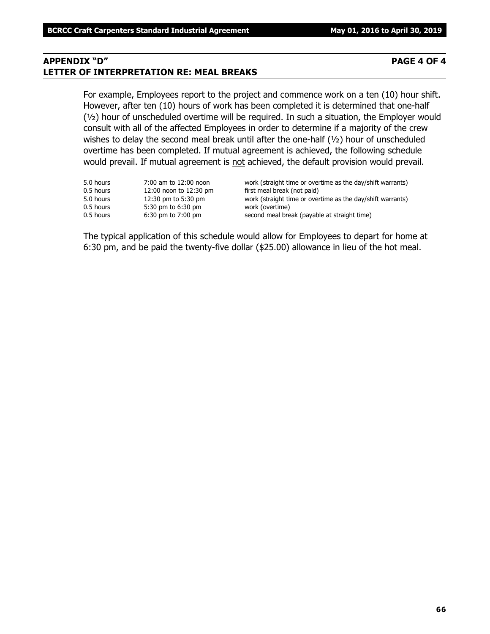# **APPENDIX "D" PAGE 4 OF 4 LETTER OF INTERPRETATION RE: MEAL BREAKS**

For example, Employees report to the project and commence work on a ten (10) hour shift. However, after ten (10) hours of work has been completed it is determined that one-half (½) hour of unscheduled overtime will be required. In such a situation, the Employer would consult with all of the affected Employees in order to determine if a majority of the crew wishes to delay the second meal break until after the one-half (1/2) hour of unscheduled overtime has been completed. If mutual agreement is achieved, the following schedule would prevail. If mutual agreement is not achieved, the default provision would prevail.

| 5.0 hours<br>0.5 hours<br>5.0 hours | 7:00 am to 12:00 noon<br>12:00 noon to 12:30 pm<br>12:30 pm to 5:30 pm | work (straight time or overtime as the day/shift warrants)<br>first meal break (not paid)<br>work (straight time or overtime as the day/shift warrants) |
|-------------------------------------|------------------------------------------------------------------------|---------------------------------------------------------------------------------------------------------------------------------------------------------|
| 0.5 hours                           | 5:30 pm to 6:30 pm                                                     | work (overtime)                                                                                                                                         |
| 0.5 hours                           | $6:30$ pm to $7:00$ pm                                                 | second meal break (payable at straight time)                                                                                                            |

The typical application of this schedule would allow for Employees to depart for home at 6:30 pm, and be paid the twenty-five dollar (\$25.00) allowance in lieu of the hot meal.